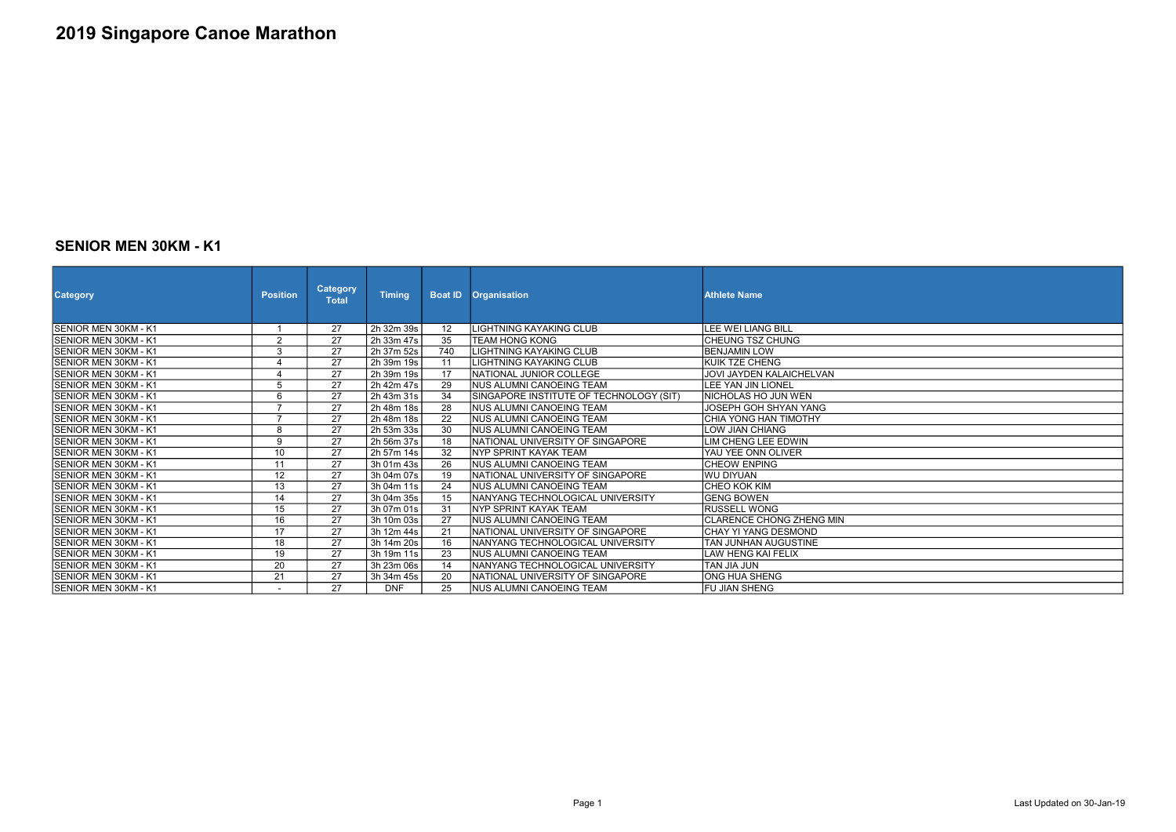#### SENIOR MEN 30KM - K1

| <b>Category</b>              | <b>Position</b> | <b>Category</b><br><b>Total</b> | <b>Timing</b> | <b>Boat ID</b>    | <b>Organisation</b>                     | <b>Athlete Name</b>          |
|------------------------------|-----------------|---------------------------------|---------------|-------------------|-----------------------------------------|------------------------------|
| ISENIOR MEN 30KM - K1        |                 | 27                              | 2h 32m 39s    | $12 \overline{ }$ | LIGHTNING KAYAKING CLUB                 | lLEE WEI LIANG BILL          |
| SENIOR MEN 30KM - K1         | $\overline{2}$  | $\overline{27}$                 | 2h 33m 47s    | 35                | TEAM HONG KONG                          | ICHEUNG TSZ CHUNG            |
| SENIOR MEN 30KM - K1         | 3               | 27                              | 2h 37m 52s    | 740               | <b>LIGHTNING KAYAKING CLUB</b>          | IBENJAMIN LOW                |
| SENIOR MEN 30KM - K1         | $\overline{4}$  | 27                              | 2h 39m 19s    | 11                | LIGHTNING KAYAKING CLUB                 | IKUIK TZE CHENG              |
| <b>SENIOR MEN 30KM - K1</b>  | 4               | 27                              | 2h 39m 19s    | 17                | NATIONAL JUNIOR COLLEGE                 | JOVI JAYDEN KALAICHELVAN     |
| <b>SENIOR MEN 30KM - K1</b>  | 5               | 27                              | 2h 42m 47s    | 29                | INUS ALUMNI CANOEING TEAM               | LEE YAN JIN LIONEL           |
| <b>SENIOR MEN 30KM - K1</b>  | $\overline{6}$  | $\overline{27}$                 | 2h 43m 31s    | $\overline{34}$   | SINGAPORE INSTITUTE OF TECHNOLOGY (SIT) | INICHOLAS HO JUN WEN         |
| ISENIOR MEN 30KM - K1        | $\overline{7}$  | 27                              | 2h 48m 18s    | 28                | INUS ALUMNI CANOEING TEAM               | <b>JOSEPH GOH SHYAN YANG</b> |
| ISENIOR MEN 30KM - K1        | $\overline{7}$  | 27                              | 2h 48m 18s    | $\overline{22}$   | NUS ALUMNI CANOEING TEAM                | CHIA YONG HAN TIMOTHY        |
| <b>SENIOR MEN 30KM - K1</b>  | 8               | 27                              | 2h 53m 33s    | 30                | INUS ALUMNI CANOEING TEAM               | <b>LOW JIAN CHIANG</b>       |
| <b>ISENIOR MEN 30KM - K1</b> | 9               | 27                              | 2h 56m 37s    | 18                | NATIONAL UNIVERSITY OF SINGAPORE        | ILIM CHENG LEE EDWIN         |
| SENIOR MEN 30KM - K1         | 10              | 27                              | 2h 57m 14s    | 32                | INYP SPRINT KAYAK TEAM                  | YAU YEE ONN OLIVER           |
| <b>SENIOR MEN 30KM - K1</b>  | 11              | 27                              | 3h 01m 43s    | 26                | INUS ALUMNI CANOEING TEAM               | <b>ICHEOW ENPING</b>         |
| ISENIOR MEN 30KM - K1        | $\overline{12}$ | $\overline{27}$                 | 3h 04m 07s    | 19                | INATIONAL UNIVERSITY OF SINGAPORE       | <b>IWU DIYUAN</b>            |
| SENIOR MEN 30KM - K1         | 13              | 27                              | 3h 04m 11s    | 24                | <b>NUS ALUMNI CANOEING TEAM</b>         | <b>CHEO KOK KIM</b>          |
| <b>SENIOR MEN 30KM - K1</b>  | 14              | 27                              | 3h 04m 35s    | 15                | NANYANG TECHNOLOGICAL UNIVERSITY        | IGENG BOWEN                  |
| <b>SENIOR MEN 30KM - K1</b>  | 15              | 27                              | 3h 07m 01s    | 31                | INYP SPRINT KAYAK TEAM                  | <b>RUSSELL WONG</b>          |
| <b>SENIOR MEN 30KM - K1</b>  | 16              | 27                              | 3h 10m 03s    | 27                | <b>NUS ALUMNI CANOEING TEAM</b>         | CLARENCE CHONG ZHENG MIN     |
| SENIOR MEN 30KM - K1         | $\overline{17}$ | $\overline{27}$                 | 3h 12m 44s    | 21                | NATIONAL UNIVERSITY OF SINGAPORE        | İCHAY YI YANG DESMOND        |
| ISENIOR MEN 30KM - K1        | 18              | 27                              | 3h 14m 20s    | 16                | INANYANG TECHNOLOGICAL UNIVERSITY       | <b>TAN JUNHAN AUGUSTINE</b>  |
| <b>SENIOR MEN 30KM - K1</b>  | 19              | 27                              | 3h 19m 11s    | $\overline{23}$   | INUS ALUMNI CANOEING TEAM               | LAW HENG KAI FELIX           |
| <b>SENIOR MEN 30KM - K1</b>  | 20              | 27                              | 3h 23m 06s    | 14                | NANYANG TECHNOLOGICAL UNIVERSITY        | <b>TAN JIA JUN</b>           |
| ISENIOR MEN 30KM - K1        | 21              | 27                              | 3h 34m 45s    | 20                | NATIONAL UNIVERSITY OF SINGAPORE        | IONG HUA SHENG               |
| ISENIOR MEN 30KM - K1        |                 | 27                              | <b>DNF</b>    | 25                | <b>NUS ALUMNI CANOEING TEAM</b>         | <b>IFU JIAN SHENG</b>        |

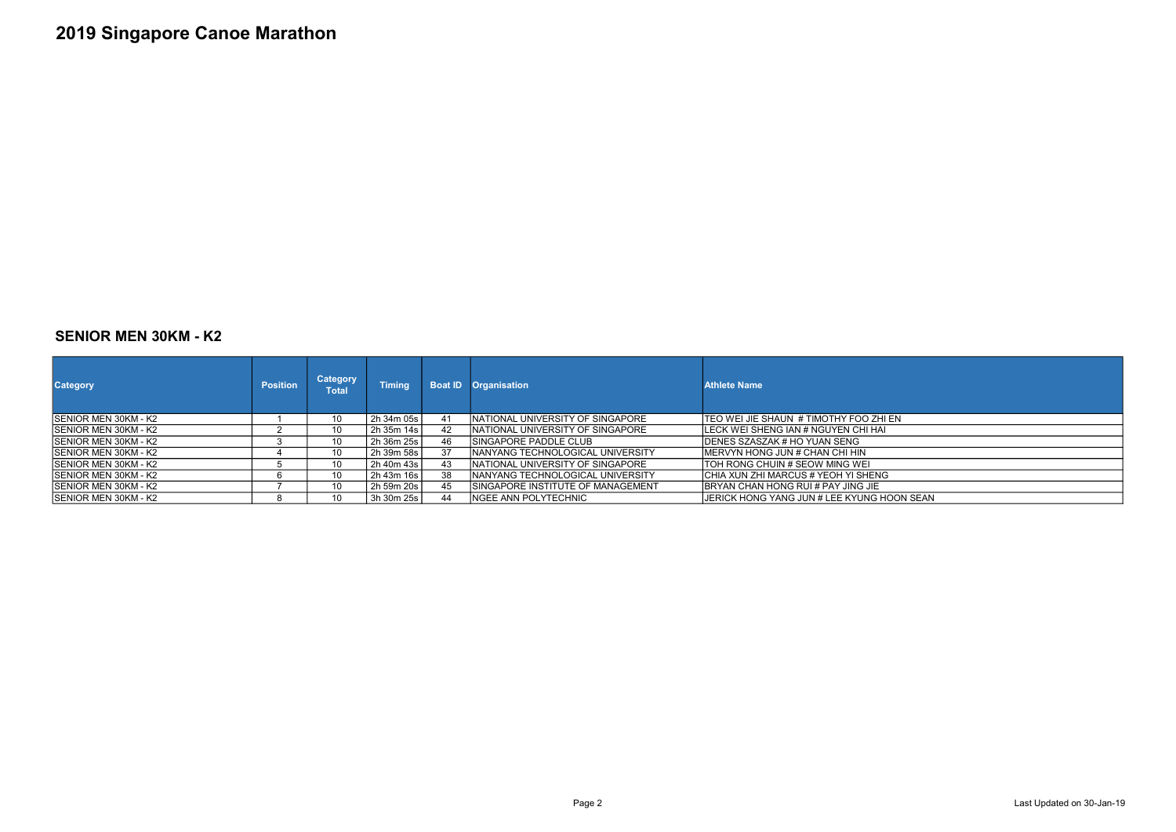### SENIOR MEN 30KM - K2

| <b>Category</b>              | <b>Position</b> | <b>Category</b><br><b>Total</b> | <b>Timing</b> | <b>Boat ID</b> | <b>Organisation</b>                      | <b>Athlete Name</b>                            |
|------------------------------|-----------------|---------------------------------|---------------|----------------|------------------------------------------|------------------------------------------------|
| <b>ISENIOR MEN 30KM - K2</b> |                 | 10                              | 2h 34m 05s l  | 41             | INATIONAL UNIVERSITY OF SINGAPORE        | <b>ITEO WEI JIE SHAUN # TIMOTHY FOO ZHI EN</b> |
| <b>ISENIOR MEN 30KM - K2</b> |                 | 10                              | 2h 35m 14s    | 42             | INATIONAL UNIVERSITY OF SINGAPORE        | LECK WEI SHENG IAN # NGUYEN CHI HAI            |
| <b>ISENIOR MEN 30KM - K2</b> |                 | 10                              | 2h 36m 25s l  | 46             | ISINGAPORE PADDLE CLUB                   | <b>IDENES SZASZAK # HO YUAN SENG</b>           |
| <b>ISENIOR MEN 30KM - K2</b> |                 | 10                              | 2h 39m 58s    | 37             | <b>INANYANG TECHNOLOGICAL UNIVERSITY</b> | <b>IMERVYN HONG JUN # CHAN CHI HIN</b>         |
| <b>ISENIOR MEN 30KM - K2</b> |                 | 10                              | 2h 40m 43s    | 43             | INATIONAL UNIVERSITY OF SINGAPORE        | ITOH RONG CHUIN # SEOW MING WEI                |
| <b>ISENIOR MEN 30KM - K2</b> |                 | 10                              | 2h 43m 16s    | 38             | <b>INANYANG TECHNOLOGICAL UNIVERSITY</b> | CHIA XUN ZHI MARCUS # YEOH YI SHENG            |
| <b>ISENIOR MEN 30KM - K2</b> |                 | 10                              | 2h 59m 20s    | 45             | ISINGAPORE INSTITUTE OF MANAGEMENT       | <b>IBRYAN CHAN HONG RUI # PAY JING JIE</b>     |
| <b>ISENIOR MEN 30KM - K2</b> |                 | 10                              | 3h 30m 25s l  | 44             | INGEE ANN POLYTECHNIC                    | IJERICK HONG YANG JUN # LEE KYUNG HOON SEAN    |

Page 2 **Last Updated on 30-Jan-19**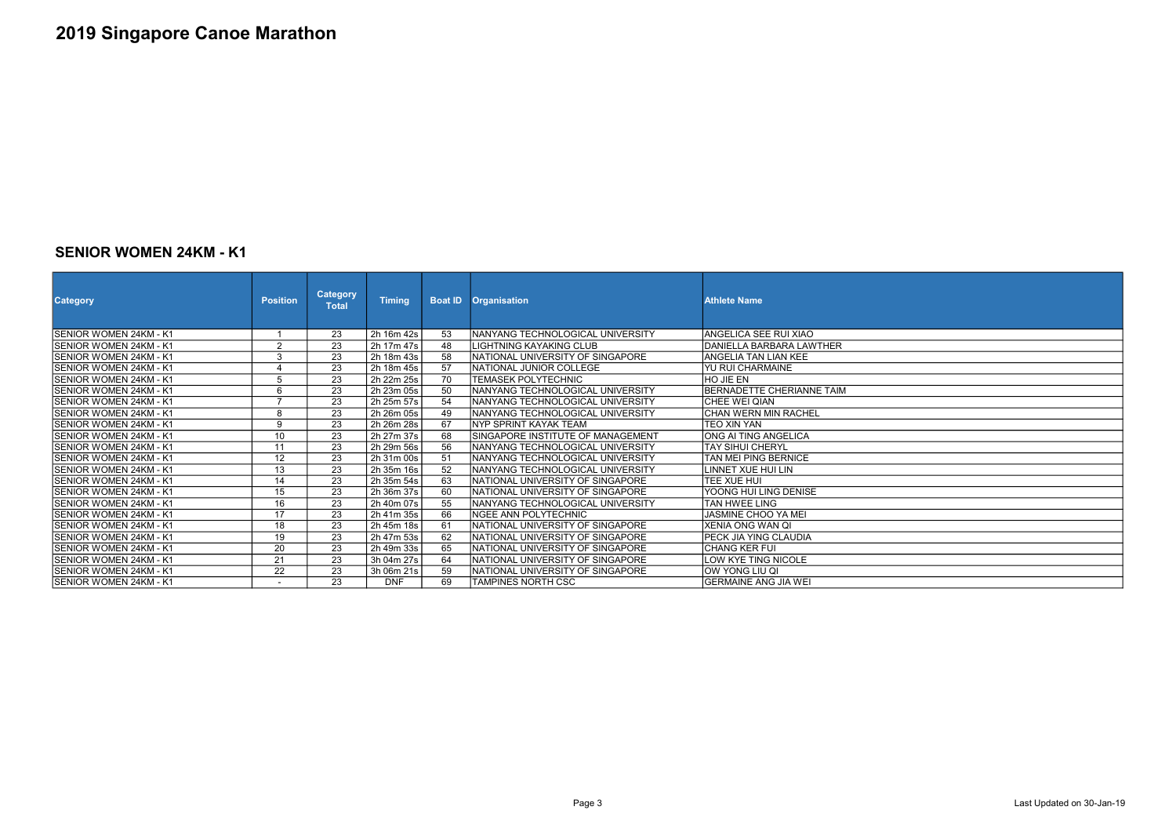### SENIOR WOMEN 24KM - K1

| <b>Category</b>               | <b>Position</b>          | <b>Category</b><br><b>Total</b> | <b>Timing</b> | <b>Boat ID</b> | <b>Organisation</b>                      | <b>Athlete Name</b>          |
|-------------------------------|--------------------------|---------------------------------|---------------|----------------|------------------------------------------|------------------------------|
| ISENIOR WOMEN 24KM - K1       |                          | 23                              | 2h 16m 42s    | 53             | INANYANG TECHNOLOGICAL UNIVERSITY        | IANGELICA SEE RUI XIAO       |
| ISENIOR WOMEN 24KM - K1       | $\overline{2}$           | $\overline{23}$                 | 2h 17m 47s    | 48             | İLIGHTNING KAYAKING CLUB                 | IDANIELLA BARBARA LAWTHER    |
| ISENIOR WOMEN 24KM - K1       | 3                        | 23                              | 2h 18m 43s    | 58             | INATIONAL UNIVERSITY OF SINGAPORE        | IANGELIA TAN LIAN KEE        |
| ISENIOR WOMEN 24KM - K1       | $\overline{4}$           | 23                              | 2h 18m 45s    | 57             | INATIONAL JUNIOR COLLEGE                 | IYU RUI CHARMAINE            |
| ISENIOR WOMEN 24KM - K1       | 5                        | 23                              | 2h 22m 25s    | 70             | <b>TEMASEK POLYTECHNIC</b>               | <b>HO JIF FN</b>             |
| ISENIOR WOMEN 24KM - K1       | 6                        | $\overline{23}$                 | 2h 23m 05s    | 50             | INANYANG TECHNOLOGICAL UNIVERSITY        | BERNADETTE CHERIANNE TAIM    |
| SENIOR WOMEN 24KM - K1        | $\overline{ }$           | 23                              | 2h 25m 57s    | 54             | INANYANG TECHNOLOGICAL UNIVERSITY        | <b>ICHEE WEI QIAN</b>        |
| <b>SENIOR WOMEN 24KM - K1</b> | 8                        | 23                              | 2h 26m 05s    | 49             | <b>INANYANG TECHNOLOGICAL UNIVERSITY</b> | <b>ICHAN WERN MIN RACHEL</b> |
| ISENIOR WOMEN 24KM - K1       | 9                        | 23                              | 2h 26m 28s    | 67             | INYP SPRINT KAYAK TEAM                   | TEO XIN YAN                  |
| ISENIOR WOMEN 24KM - K1       | 10                       | 23                              | 2h 27m 37s    | 68             | SINGAPORE INSTITUTE OF MANAGEMENT        | IONG AI TING ANGELICA        |
| ISENIOR WOMEN 24KM - K1       | 11                       | $\overline{23}$                 | 2h 29m 56s    | 56             | INANYANG TECHNOLOGICAL UNIVERSITY        | <b>TAY SIHUI CHERYL</b>      |
| ISENIOR WOMEN 24KM - K1       | 12                       | 23                              | 2h 31m 00s    | 51             | INANYANG TECHNOLOGICAL UNIVERSITY        | TAN MEI PING BERNICE         |
| ISENIOR WOMEN 24KM - K1       | 13                       | 23                              | 2h 35m 16s    | 52             | INANYANG TECHNOLOGICAL UNIVERSITY        | LINNET XUE HUI LIN           |
| ISENIOR WOMEN 24KM - K1       | $\overline{14}$          | $\overline{23}$                 | 2h 35m 54s    | 63             | INATIONAL UNIVERSITY OF SINGAPORE        | TFF XUF HUL                  |
| ISENIOR WOMEN 24KM - K1       | 15                       | 23                              | 2h 36m 37s    | 60             | NATIONAL UNIVERSITY OF SINGAPORE         | YOONG HUI LING DENISE        |
| ISENIOR WOMEN 24KM - K1       | 16                       | $\overline{23}$                 | 2h 40m 07s    | 55             | INANYANG TECHNOLOGICAL UNIVERSITY        | <b>TAN HWEE LING</b>         |
| ISENIOR WOMEN 24KM - K1       | 17                       | 23                              | 2h 41m 35s    | 66             | INGEE ANN POLYTECHNIC                    | JASMINE CHOO YA MEI          |
| ISENIOR WOMEN 24KM - K1       | 18                       | 23                              | 2h 45m 18s    | 61             | INATIONAL UNIVERSITY OF SINGAPORE        | XENIA ONG WAN QI             |
| ISENIOR WOMEN 24KM - K1       | $\overline{19}$          | $\overline{23}$                 | 2h 47m 53s    | 62             | INATIONAL UNIVERSITY OF SINGAPORE        | IPECK JIA YING CLAUDIA       |
| ISENIOR WOMEN 24KM - K1       | 20                       | 23                              | 2h 49m 33s    | 65             | INATIONAL UNIVERSITY OF SINGAPORE        | <b>ICHANG KER FUI</b>        |
| ISENIOR WOMEN 24KM - K1       | 21                       | $\overline{23}$                 | 3h 04m 27s    | 64             | NATIONAL UNIVERSITY OF SINGAPORE         | LOW KYE TING NICOLE          |
| SENIOR WOMEN 24KM - K1        | 22                       | 23                              | 3h 06m 21s    | 59             | <b>INATIONAL UNIVERSITY OF SINGAPORE</b> | <b>OW YONG LIU QI</b>        |
| SENIOR WOMEN 24KM - K1        | $\overline{\phantom{0}}$ | 23                              | <b>DNF</b>    | 69             | <b>ITAMPINES NORTH CSC</b>               | <b>GERMAINE ANG JIA WEI</b>  |

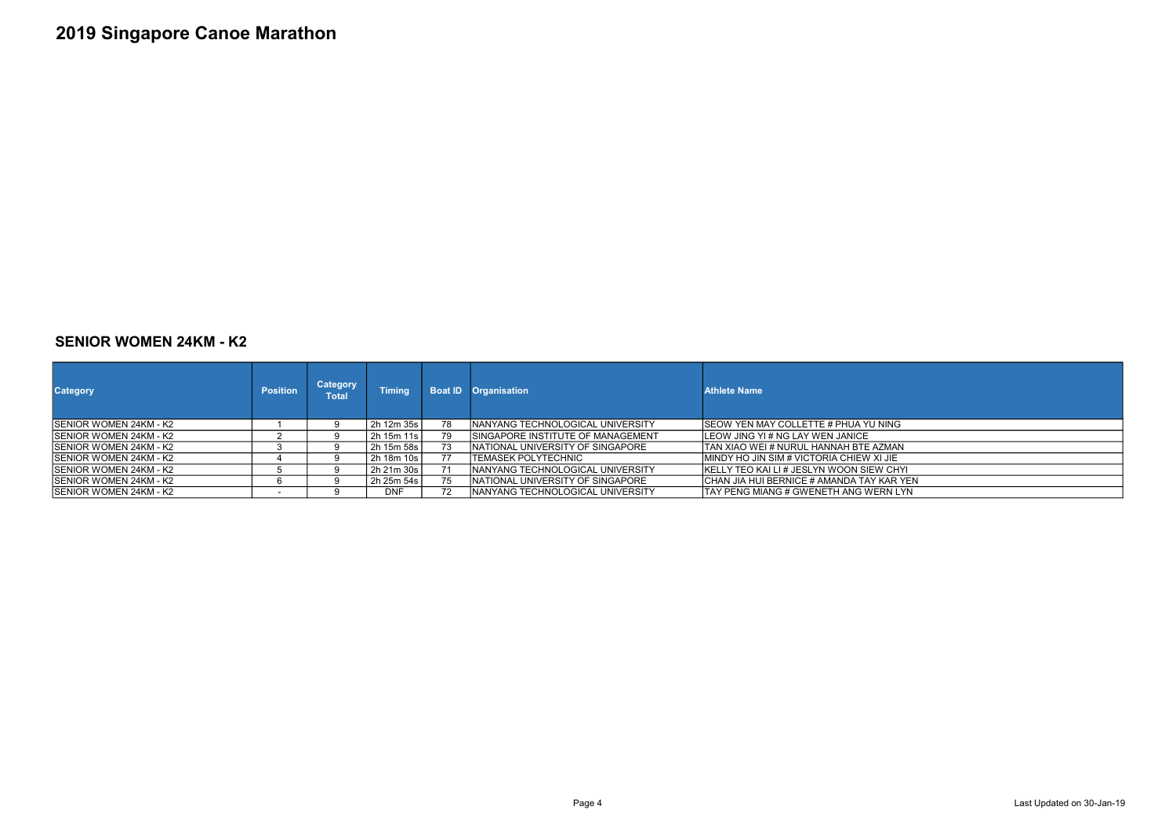#### SENIOR WOMEN 24KM - K2

| <b>Category</b>         | <b>Position</b> | <b>Category</b><br>Total | <b>Timing</b> |    | <b>Boat ID</b> Organisation             | <b>Athlete Name</b>                          |
|-------------------------|-----------------|--------------------------|---------------|----|-----------------------------------------|----------------------------------------------|
| SENIOR WOMEN 24KM - K2  |                 |                          | 2h 12m 35s    | 78 | <b>NANYANG TECHNOLOGICAL UNIVERSITY</b> | <b>ISEOW YEN MAY COLLETTE # PHUA YU NING</b> |
| ISENIOR WOMEN 24KM - K2 |                 |                          | 2h 15m 11s    | 79 | ISINGAPORE INSTITUTE OF MANAGEMENT      | ILEOW JING YI # NG LAY WEN JANICE            |
| SENIOR WOMEN 24KM - K2  |                 |                          | 2h 15m 58s    | 73 | INATIONAL UNIVERSITY OF SINGAPORE       | ITAN XIAO WEI # NURUL HANNAH BTE AZMAN       |
| ISENIOR WOMEN 24KM - K2 |                 |                          | 2h 18m 10s l  |    | ITEMASEK POLYTECHNIC                    | IMINDY HO JIN SIM # VICTORIA CHIEW XI JIE    |
| ISENIOR WOMEN 24KM - K2 |                 |                          | 2h 21m 30s    |    | INANYANG TECHNOLOGICAL UNIVERSITY       | IKELLY TEO KAI LI # JESLYN WOON SIEW CHYL    |
| ISENIOR WOMEN 24KM - K2 |                 |                          | 2h 25m 54s    | 75 | INATIONAL UNIVERSITY OF SINGAPORE       | CHAN JIA HUI BERNICE # AMANDA TAY KAR YEN    |
| ISENIOR WOMEN 24KM - K2 |                 |                          | <b>DNF</b>    | 72 | INANYANG TECHNOLOGICAL UNIVERSITY       | ITAY PENG MIANG # GWENETH ANG WERN LYN       |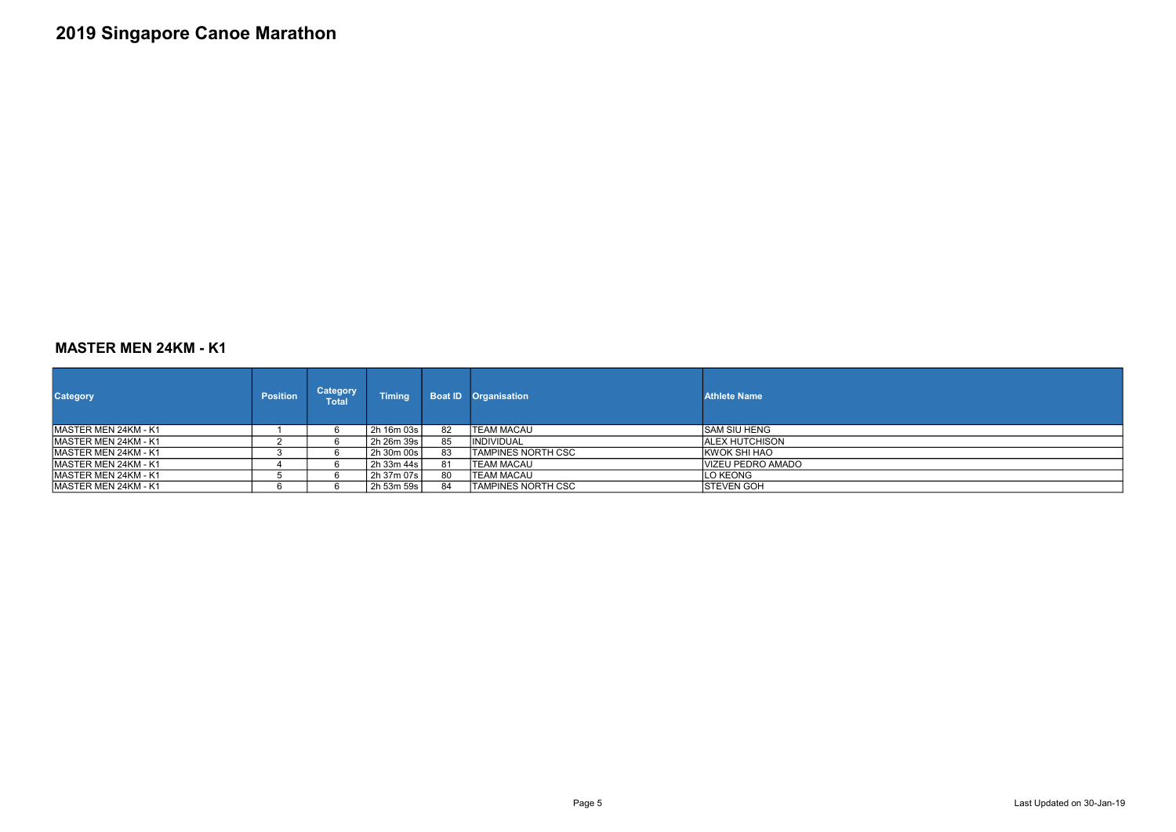### MASTER MEN 24KM - K1

| <b>Category</b>       | <b>Position</b> | <b>Category</b><br>Total | <b>Timing</b> | <b>Boat ID</b> | <b>Organisation</b>       | <b>Athlete Name</b> |
|-----------------------|-----------------|--------------------------|---------------|----------------|---------------------------|---------------------|
| IMASTER MEN 24KM - K1 |                 |                          | 2h 16m 03s    | 82             | ITEAM MACAU               | ISAM SIU HENG       |
| IMASTER MEN 24KM - K1 |                 |                          | 2h 26m 39s    | 85             | <b>IINDIVIDUAL</b>        | IALEX HUTCHISON     |
| IMASTER MEN 24KM - K1 |                 |                          | 2h 30m 00s    | 83             | ITAMPINES NORTH CSC       | IKWOK SHI HAO       |
| IMASTER MEN 24KM - K1 |                 |                          | 2h 33m 44s    | 81             | TEAM MACAU                | IVIZEU PEDRO AMADO  |
| IMASTER MEN 24KM - K1 |                 |                          | 2h 37m 07s    | 80             | <b>TEAM MACAU</b>         | ILO KEONG           |
| MASTER MEN 24KM - K1  |                 |                          | 2h 53m 59s    | 84             | <b>TAMPINES NORTH CSC</b> | <b>STEVEN GOH</b>   |

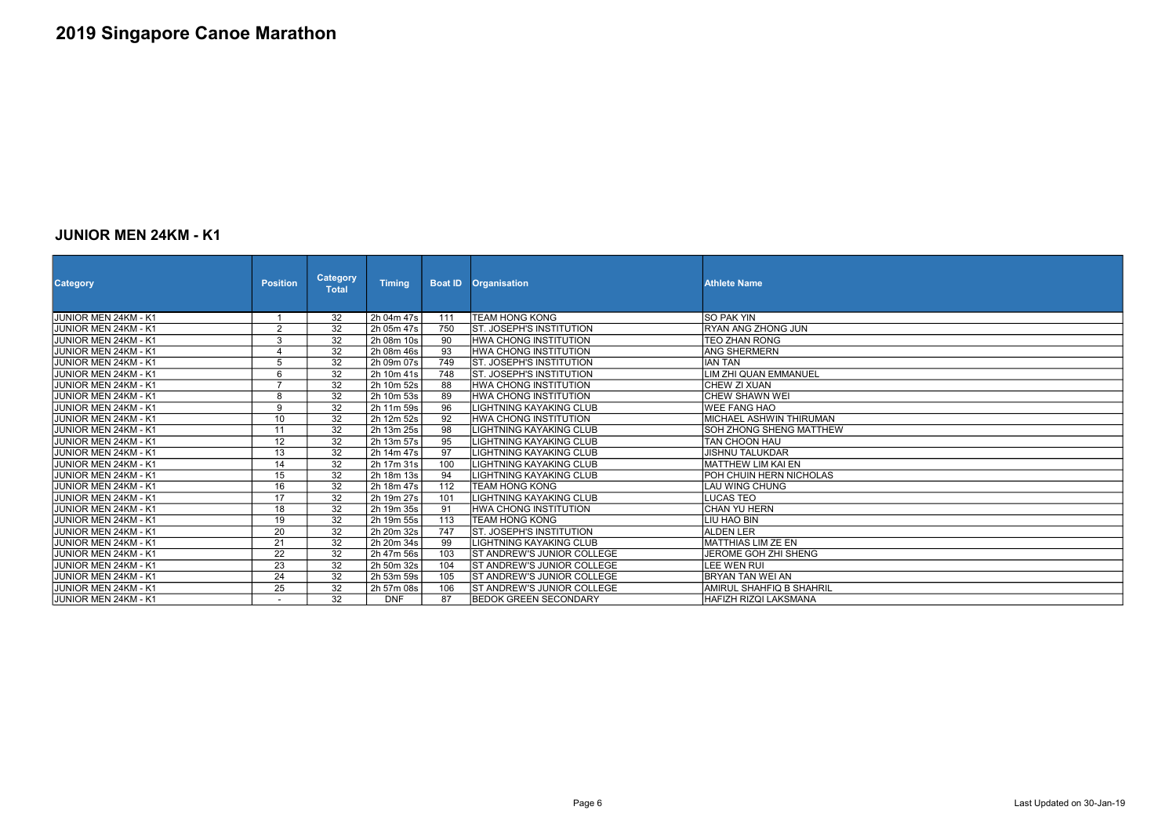### JUNIOR MEN 24KM - K1

| <b>Category</b>             | <b>Position</b> | <b>Category</b><br><b>Total</b> | <b>Timing</b> | <b>Boat ID</b>  | <b>Organisation</b>               | <b>Athlete Name</b>             |
|-----------------------------|-----------------|---------------------------------|---------------|-----------------|-----------------------------------|---------------------------------|
| JUNIOR MEN 24KM - K1        |                 | 32                              | 2h 04m 47s    | 111             | <b>TEAM HONG KONG</b>             | <b>SO PAK YIN</b>               |
| JUNIOR MEN 24KM - K1        | $\overline{2}$  | $\overline{32}$                 | 2h 05m 47s    | 750             | <b>ST. JOSEPH'S INSTITUTION</b>   | <b>IRYAN ANG ZHONG JUN</b>      |
| JUNIOR MEN 24KM - K1        | $\sqrt{3}$      | $\overline{32}$                 | 2h 08m 10s    | 90              | IHWA CHONG INSTITUTION            | <b>TEO ZHAN RONG</b>            |
| <b>JUNIOR MEN 24KM - K1</b> | $\overline{4}$  | $\overline{32}$                 | 2h 08m 46s    | 93              | <b>HWA CHONG INSTITUTION</b>      | <b>ANG SHERMERN</b>             |
| JUNIOR MEN 24KM - K1        | $\overline{5}$  | 32                              | 2h 09m 07s    | 749             | <b>ST. JOSEPH'S INSTITUTION</b>   | <b>IIAN TAN</b>                 |
| JUNIOR MEN 24KM - K1        | 6               | 32                              | 2h 10m 41s    | 748             | <b>ST. JOSEPH'S INSTITUTION</b>   | LIM ZHI QUAN EMMANUEL           |
| JUNIOR MEN 24KM - K1        | $\overline{7}$  | 32                              | 2h 10m 52s    | 88              | HWA CHONG INSTITUTION             | <b>CHEW ZI XUAN</b>             |
| JUNIOR MEN 24KM - K1        | 8               | $\overline{32}$                 | 2h 10m 53s    | 89              | <b>HWA CHONG INSTITUTION</b>      | lCHEW SHAWN WEI                 |
| JUNIOR MEN 24KM - K1        | $9\,$           | 32                              | 2h 11m 59s    | 96              | <b>LIGHTNING KAYAKING CLUB</b>    | <b>WEE FANG HAO</b>             |
| <b>JUNIOR MEN 24KM - K1</b> | 10              | $\overline{32}$                 | 2h 12m 52s    | $\overline{92}$ | <b>HWA CHONG INSTITUTION</b>      | <b>MICHAEL ASHWIN THIRUMAN</b>  |
| JUNIOR MEN 24KM - K1        | 11              | 32                              | 2h 13m 25s    | 98              | LIGHTNING KAYAKING CLUB           | <b>SOH ZHONG SHENG MATTHEW</b>  |
| <b>JUNIOR MEN 24KM - K1</b> | $\overline{12}$ | 32                              | 2h 13m 57s    | 95              | <b>LIGHTNING KAYAKING CLUB</b>    | <b>TAN CHOON HAU</b>            |
| JUNIOR MEN 24KM - K1        | 13              | 32                              | 2h 14m 47s    | 97              | LIGHTNING KAYAKING CLUB           | <b>JISHNU TALUKDAR</b>          |
| JUNIOR MEN 24KM - K1        | 14              | 32                              | 2h 17m 31s    | 100             | <b>I</b> LIGHTNING KAYAKING CLUB  | İMATTHEW LIM KAI EN             |
| JUNIOR MEN 24KM - K1        | $\overline{15}$ | $\overline{32}$                 | 2h 18m 13s    | 94              | LIGHTNING KAYAKING CLUB           | <b>IPOH CHUIN HERN NICHOLAS</b> |
| JUNIOR MEN 24KM - K1        | 16              | 32                              | 2h 18m 47s    | 112             | TEAM HONG KONG                    | LAU WING CHUNG                  |
| JUNIOR MEN 24KM - K1        | $\overline{17}$ | $\overline{32}$                 | 2h 19m 27s    | 101             | <b>LIGHTNING KAYAKING CLUB</b>    | <b>LUCAS TEO</b>                |
| JUNIOR MEN 24KM - K1        | 18              | $\overline{32}$                 | 2h 19m 35s    | 91              | <b>HWA CHONG INSTITUTION</b>      | <b>CHAN YU HERN</b>             |
| JUNIOR MEN 24KM - K1        | 19              | $\overline{32}$                 | 2h 19m 55s    | 113             | <b>TEAM HONG KONG</b>             | ILIU HAO BIN                    |
| JUNIOR MEN 24KM - K1        | 20              | $\overline{32}$                 | 2h 20m 32s    | 747             | <b>ST. JOSEPH'S INSTITUTION</b>   | <b>ALDEN LER</b>                |
| JUNIOR MEN 24KM - K1        | $\overline{21}$ | $\overline{32}$                 | 2h 20m 34s    | 99              | LIGHTNING KAYAKING CLUB           | MATTHIAS LIM ZE EN              |
| JUNIOR MEN 24KM - K1        | $\overline{22}$ | 32                              | 2h 47m 56s    | 103             | <b>ST ANDREW'S JUNIOR COLLEGE</b> | JEROME GOH ZHI SHENG            |
| JUNIOR MEN 24KM - K1        | 23              | $\overline{32}$                 | 2h 50m 32s    | 104             | <b>ST ANDREW'S JUNIOR COLLEGE</b> | llee wen rui                    |
| JUNIOR MEN 24KM - K1        | 24              | 32                              | 2h 53m 59s    | 105             | <b>ST ANDREW'S JUNIOR COLLEGE</b> | BRYAN TAN WEI AN                |
| JUNIOR MEN 24KM - K1        | 25              | $\overline{32}$                 | 2h 57m 08s    | 106             | <b>ST ANDREW'S JUNIOR COLLEGE</b> | AMIRUL SHAHFIQ B SHAHRIL        |
| JUNIOR MEN 24KM - K1        |                 | 32                              | <b>DNF</b>    | 87              | <b>BEDOK GREEN SECONDARY</b>      | <b>HAFIZH RIZQI LAKSMANA</b>    |

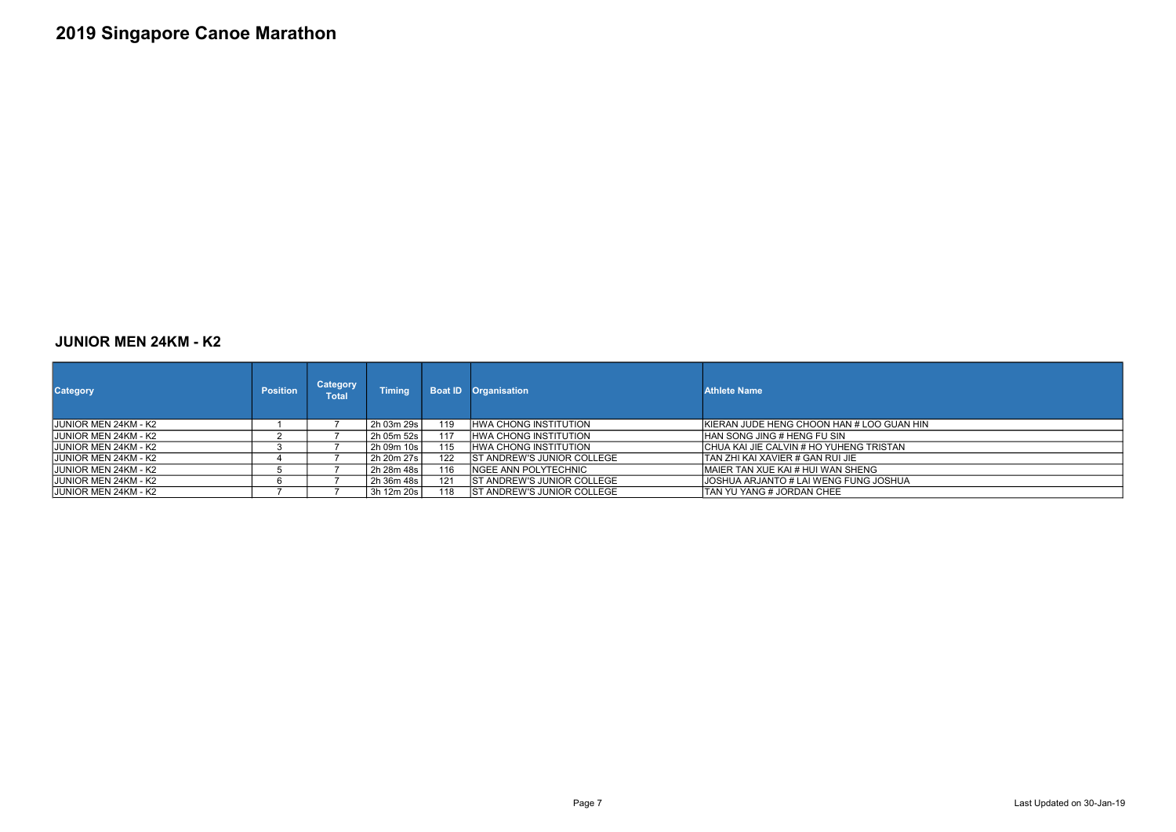### JUNIOR MEN 24KM - K2

| <b>Category</b>              | <b>Position</b> | <b>Category</b><br><b>Total</b> | <b>Timing</b> |     | <b>Boat ID Organisation</b>        | <b>Athlete Name</b>                        |
|------------------------------|-----------------|---------------------------------|---------------|-----|------------------------------------|--------------------------------------------|
| IJUNIOR MEN 24KM - K2        |                 |                                 | 2h 03m 29s l  | 119 | <b>IHWA CHONG INSTITUTION</b>      | IKIERAN JUDE HENG CHOON HAN # LOO GUAN HIN |
| <b>JJUNIOR MEN 24KM - K2</b> |                 |                                 | 2h 05m 52s l  | 117 | <b>HWA CHONG INSTITUTION</b>       | <b>HAN SONG JING # HENG FU SIN</b>         |
| IJUNIOR MEN 24KM - K2        |                 |                                 | 2h 09m 10s l  | 115 | IHWA CHONG INSTITUTION             | ICHUA KAI JIE CALVIN # HO YUHENG TRISTAN   |
| <b>JUNIOR MEN 24KM - K2</b>  |                 |                                 | 2h 20m 27s l  | 122 | <b>IST ANDREW'S JUNIOR COLLEGE</b> | ITAN ZHI KAI XAVIER # GAN RUI JIE          |
| IJUNIOR MEN 24KM - K2        |                 |                                 | 2h 28m 48s l  | 116 | INGEE ANN POLYTECHNIC              | IMAIER TAN XUE KAI # HUI WAN SHENG         |
| IJUNIOR MEN 24KM - K2        |                 |                                 | 2h 36m 48s l  | 121 | <b>IST ANDREW'S JUNIOR COLLEGE</b> | IJOSHUA ARJANTO # LAI WENG FUNG JOSHUA     |
| JJUNIOR MEN 24KM - K2        |                 |                                 | 3h 12m 20s l  | 118 | <b>ST ANDREW'S JUNIOR COLLEGE</b>  | TAN YU YANG # JORDAN CHEE                  |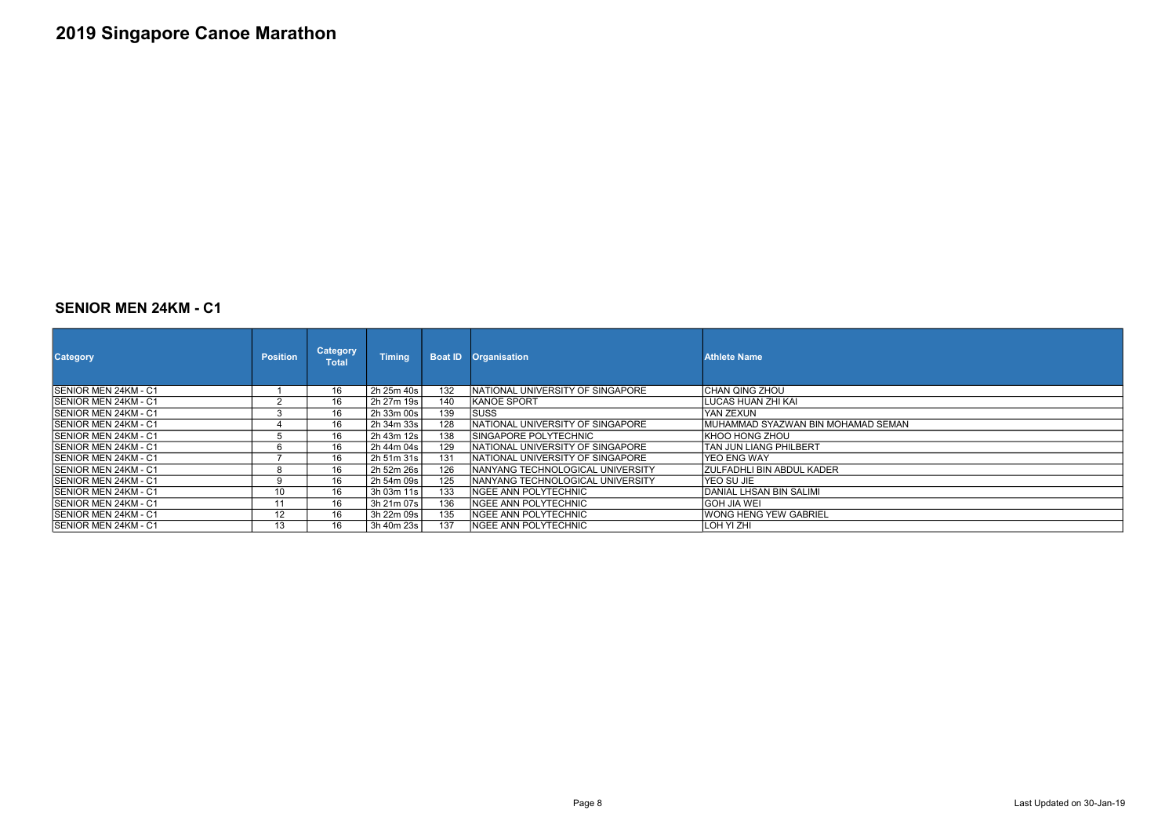#### SENIOR MEN 24KM - C1

| <b>Category</b>              | <b>Position</b> | <b>Category</b><br>Total | <b>Timing</b> | <b>Boat ID</b> | <b>Organisation</b>                     | <b>Athlete Name</b>                 |
|------------------------------|-----------------|--------------------------|---------------|----------------|-----------------------------------------|-------------------------------------|
| ISENIOR MEN 24KM - C1        |                 | 16                       | 2h 25m 40s    | 132            | INATIONAL UNIVERSITY OF SINGAPORE       | ICHAN QING ZHOU                     |
| ISENIOR MEN 24KM - C1        |                 | 16                       | 2h 27m 19s    | 140            | IKANOE SPORT                            | ILUCAS HUAN ZHI KAI                 |
| ISENIOR MEN 24KM - C1        |                 | 16                       | 2h 33m 00s    | 139            | <b>SUSS</b>                             | IYAN ZEXUN                          |
| ISENIOR MEN 24KM - C1        |                 | 16                       | 2h 34m 33s    | 128            | INATIONAL UNIVERSITY OF SINGAPORE       | IMUHAMMAD SYAZWAN BIN MOHAMAD SEMAN |
| ISENIOR MEN 24KM - C1        |                 | 16                       | 2h 43m 12s    | 138            | ISINGAPORE POLYTECHNIC                  | IKHOO HONG ZHOU                     |
| <b>ISENIOR MEN 24KM - C1</b> |                 | 16                       | 2h 44m 04s    | 129            | INATIONAL UNIVERSITY OF SINGAPORE       | lTAN JUN LIANG PHILBERT             |
| ISENIOR MEN 24KM - C1        |                 | 16                       | 2h 51m 31s    | 131            | <b>NATIONAL UNIVERSITY OF SINGAPORE</b> | lYEO ENG WAY                        |
| ISENIOR MEN 24KM - C1        |                 | 16                       | 2h 52m 26s    | 126            | INANYANG TECHNOLOGICAL UNIVERSITY       | IZULFADHLI BIN ABDUL KADER          |
| <b>ISENIOR MEN 24KM - C1</b> |                 | 16                       | 2h 54m 09s    | 125            | INANYANG TECHNOLOGICAL UNIVERSITY       | IYEO SU JIE                         |
| ISENIOR MEN 24KM - C1        | 10              | 16                       | 3h 03m 11s    | 133            | <b>NGEE ANN POLYTECHNIC</b>             | IDANIAL LHSAN BIN SALIMI            |
| ISENIOR MEN 24KM - C1        | 11              | 16                       | 3h 21m 07s    | 136            | INGEE ANN POLYTECHNIC                   | IGOH JIA WEI                        |
| ISENIOR MEN 24KM - C1        | 12              | 16                       | 3h 22m 09s    | 135            | <b>NGEE ANN POLYTECHNIC</b>             | WONG HENG YEW GABRIEL               |
| ISENIOR MEN 24KM - C1        | 13              | 16                       | 3h 40m 23s    | 137            | INGEE ANN POLYTECHNIC                   | ILOH YI ZHI                         |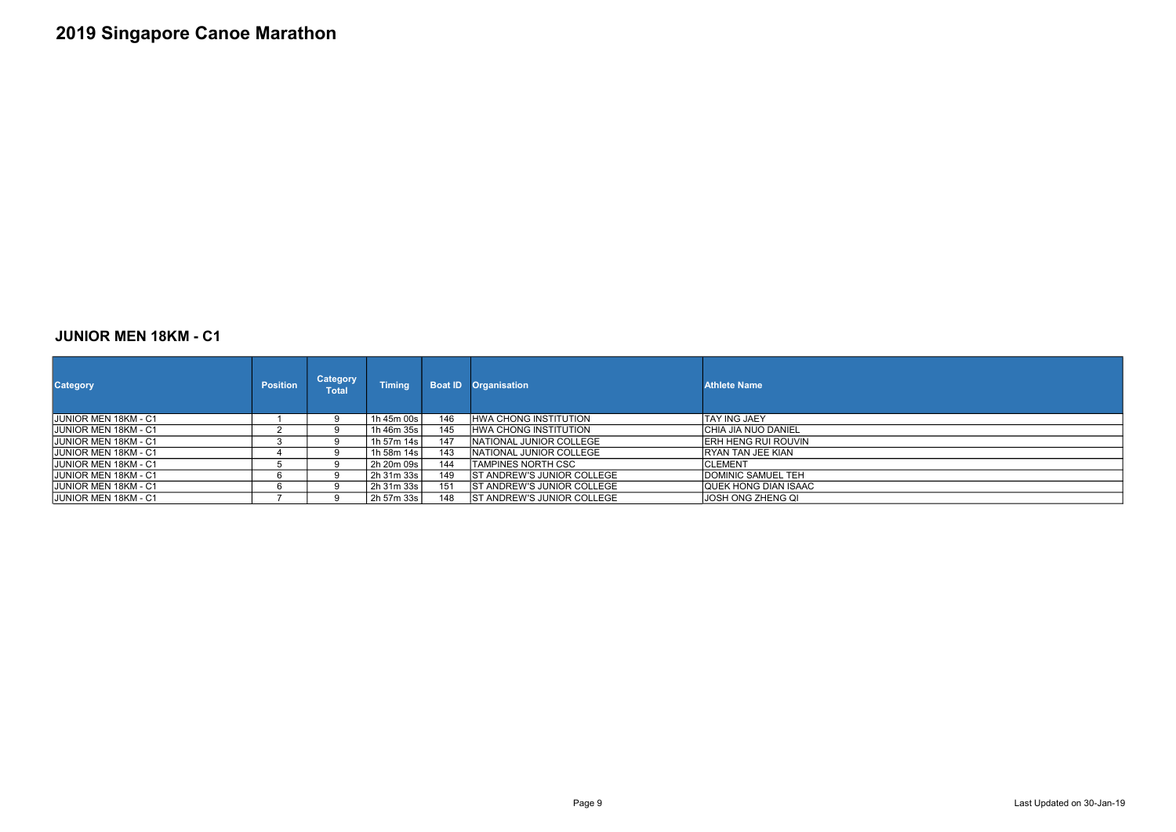### JUNIOR MEN 18KM - C1

| <b>Category</b>              | <b>Position</b> | <b>Category</b><br>Total | <b>Timing</b> | <b>Boat ID</b> | <b>Organisation</b>                | <b>Athlete Name</b>   |
|------------------------------|-----------------|--------------------------|---------------|----------------|------------------------------------|-----------------------|
| <b>JJUNIOR MEN 18KM - C1</b> |                 | 9                        | 1h 45m 00s    | 146            | <b>IHWA CHONG INSTITUTION</b>      | ITAY ING JAEY         |
| <b>JUNIOR MEN 18KM - C1</b>  |                 | 9                        | 1h 46m 35s    | 145            | <b>HWA CHONG INSTITUTION</b>       | ICHIA JIA NUO DANIEL  |
| <b>JJUNIOR MEN 18KM - C1</b> |                 | 9                        | 1h 57m 14s    | 147            | INATIONAL JUNIOR COLLEGE           | IERH HENG RUI ROUVIN  |
| <b>JUNIOR MEN 18KM - C1</b>  |                 | q                        | 1h 58m 14s    | 143            | INATIONAL JUNIOR COLLEGE           | IRYAN TAN JEE KIAN    |
| <b>JJUNIOR MEN 18KM - C1</b> |                 | <u>g</u>                 | 2h 20m 09s    | 144            | ITAMPINES NORTH CSC                | ICLEMENT              |
| JUNIOR MEN 18KM - C1         |                 |                          | 2h 31m 33s    | 149            | <b>ST ANDREW'S JUNIOR COLLEGE</b>  | DOMINIC SAMUEL TEH    |
| <b>JJUNIOR MEN 18KM - C1</b> | 6               | ч                        | 2h 31m 33s    | 151            | <b>IST ANDREW'S JUNIOR COLLEGE</b> | IQUEK HONG DIAN ISAAC |
| JUNIOR MEN 18KM - C1         |                 | q                        | 2h 57m 33s    | 148            | <b>IST ANDREW'S JUNIOR COLLEGE</b> | JOSH ONG ZHENG QI     |

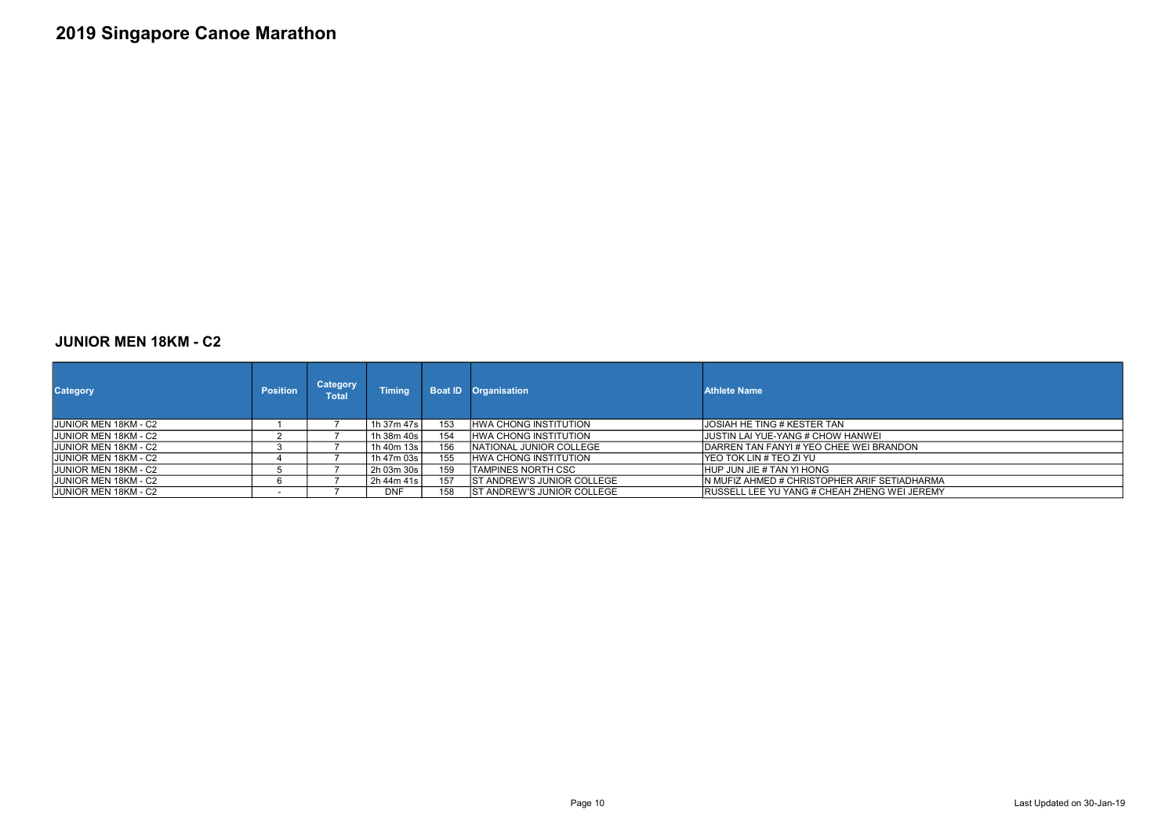### JUNIOR MEN 18KM - C2

| <b>Category</b>              | <b>Position</b> | <b>Category</b><br>Total | <b>Timing</b> |     | <b>Boat ID Organisation</b>        | <b>Athlete Name</b>                                  |
|------------------------------|-----------------|--------------------------|---------------|-----|------------------------------------|------------------------------------------------------|
| JUNIOR MEN 18KM - C2         |                 |                          | 1h 37m 47s l  | 153 | <b>HWA CHONG INSTITUTION</b>       | JOSIAH HE TING # KESTER TAN                          |
| JUNIOR MEN 18KM - C2         |                 |                          | 1h 38m 40s l  | 154 | <b>HWA CHONG INSTITUTION</b>       | JUSTIN LAI YUE-YANG # CHOW HANWEI                    |
| JUNIOR MEN 18KM - C2         |                 |                          | 1h 40m 13s l  | 156 | INATIONAL JUNIOR COLLEGE           | <b>IDARREN TAN FANYI # YEO CHEE WEI BRANDON</b>      |
| <b>JUNIOR MEN 18KM - C2</b>  |                 |                          | 1h 47m 03s    | 155 | <b>IHWA CHONG INSTITUTION</b>      | IYEO TOK LIN # TEO ZI YU                             |
| <b>JJUNIOR MEN 18KM - C2</b> |                 |                          | 2h 03m 30s    | 159 | ITAMPINES NORTH CSC                | HUP JUN JIE # TAN YI HONG                            |
| <b>JUNIOR MEN 18KM - C2</b>  |                 |                          | 2h 44m 41s    | 157 | <b>IST ANDREW'S JUNIOR COLLEGE</b> | IN MUFIZ AHMED # CHRISTOPHER ARIF SETIADHARMA        |
| <b>JUNIOR MEN 18KM - C2</b>  |                 |                          | <b>DNF</b>    | 158 | <b>ST ANDREW'S JUNIOR COLLEGE</b>  | <b>IRUSSELL LEE YU YANG # CHEAH ZHENG WEI JEREMY</b> |

Page 10 Last Updated on 30-Jan-19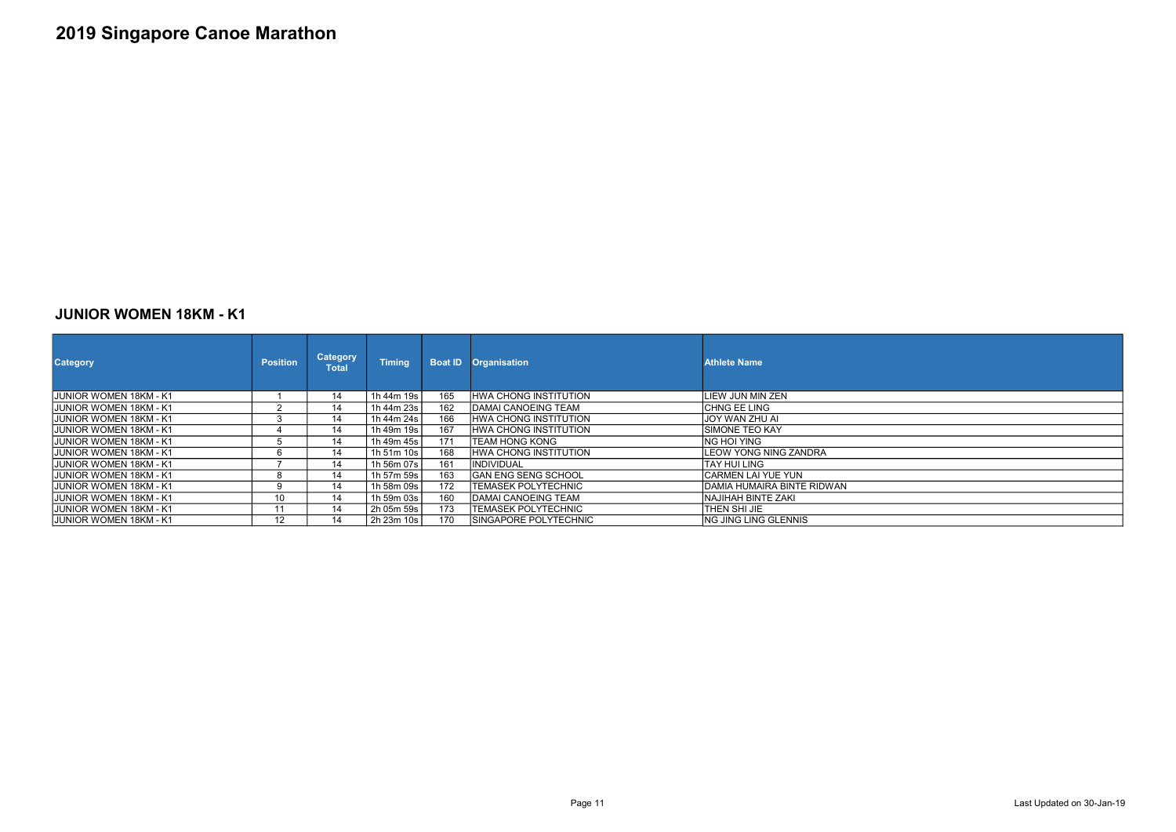### JUNIOR WOMEN 18KM - K1

| <b>Category</b>                | <b>Position</b> | <b>Category</b><br>Total | <b>Timing</b> |     | <b>Boat ID Organisation</b> | <b>Athlete Name</b>          |
|--------------------------------|-----------------|--------------------------|---------------|-----|-----------------------------|------------------------------|
| JUNIOR WOMEN 18KM - K1         |                 | 14                       | 1h 44m 19s    | 165 | HWA CHONG INSTITUTION       | ILIEW JUN MIN ZEN            |
| <b>JJUNIOR WOMEN 18KM - K1</b> |                 | 14                       | 1h 44m 23s l  | 162 | IDAMAI CANOEING TEAM        | ICHNG EE LING                |
| IJUNIOR WOMEN 18KM - K1        |                 | 14                       | 1h 44m 24s l  | 166 | IHWA CHONG INSTITUTION      | IJOY WAN ZHU AI              |
| <b>JJUNIOR WOMEN 18KM - K1</b> |                 | 14                       | 1h 49m 19s l  | 167 | IHWA CHONG INSTITUTION      | ISIMONE TEO KAY              |
| <b>JJUNIOR WOMEN 18KM - K1</b> | b               | 14                       | 1h 49m 45s l  | 171 | TEAM HONG KONG              | ING HOI YING                 |
| <b>JJUNIOR WOMEN 18KM - K1</b> | 6               | 14                       | 1h 51m 10s    | 168 | HWA CHONG INSTITUTION       | <b>LEOW YONG NING ZANDRA</b> |
| <b>JJUNIOR WOMEN 18KM - K1</b> |                 | 14                       | 1h 56m 07s    | 161 | <b>IINDIVIDUAL</b>          | TAY HUI LING                 |
| IJUNIOR WOMEN 18KM - K1        | 8               | 14                       | 1h 57m 59s l  | 163 | IGAN ENG SENG SCHOOL        | ICARMEN LAI YUE YUN          |
| IJUNIOR WOMEN 18KM - K1        |                 | 14                       | 1h 58m 09s l  | 172 | <b>TEMASEK POLYTECHNIC</b>  | DAMIA HUMAIRA BINTE RIDWAN   |
| <b>JJUNIOR WOMEN 18KM - K1</b> | 10              | 14                       | 1h 59m 03s l  | 160 | IDAMAI CANOEING TEAM        | INAJIHAH BINTE ZAKI          |
| <b>JJUNIOR WOMEN 18KM - K1</b> | 11              | 14                       | 2h 05m 59s    | 173 | <b>TEMASEK POLYTECHNIC</b>  | THEN SHI JIE                 |
| <b>JJUNIOR WOMEN 18KM - K1</b> | 12              | 14                       | 2h 23m 10s    | 170 | ISINGAPORE POLYTECHNIC      | ING JING LING GLENNIS        |

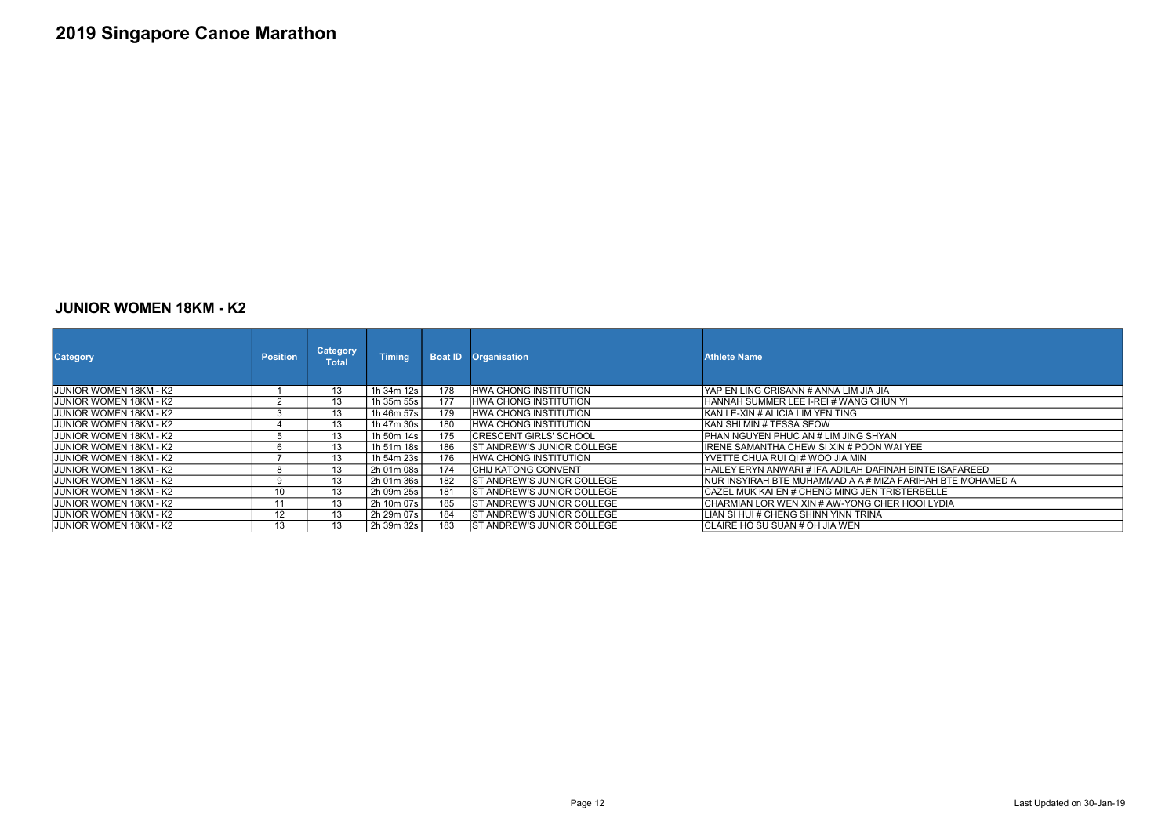#### JUNIOR WOMEN 18KM - K2

| <b>Category</b>                | <b>Position</b> | <b>Category</b><br><b>Total</b> | <b>Timing</b> |     | <b>Boat ID Organisation</b>        | <b>Athlete Name</b>                                                |
|--------------------------------|-----------------|---------------------------------|---------------|-----|------------------------------------|--------------------------------------------------------------------|
| IJUNIOR WOMEN 18KM - K2        |                 | 13                              | 1h 34m 12s    | 178 | HWA CHONG INSTITUTION              | IYAP EN LING CRISANN # ANNA LIM JIA JIA                            |
| IJUNIOR WOMEN 18KM - K2        |                 | 13                              | 1h 35m 55s    | 177 | <b>IHWA CHONG INSTITUTION</b>      | IHANNAH SUMMER LEE I-REI # WANG CHUN YI                            |
| IJUNIOR WOMEN 18KM - K2        |                 | 13                              | 1h 46m 57s    | 179 | <b>IHWA CHONG INSTITUTION</b>      | İKAN LE-XIN # ALICIA LIM YEN TING                                  |
| IJUNIOR WOMEN 18KM - K2        |                 | 13                              | 1h 47m 30s    | 180 | <b>IHWA CHONG INSTITUTION</b>      | IKAN SHI MIN # TESSA SEOW                                          |
| IJUNIOR WOMEN 18KM - K2        |                 | 13                              | 1h 50m 14s    | 175 | <b>ICRESCENT GIRLS' SCHOOL</b>     | IPHAN NGUYEN PHUC AN # LIM JING SHYAN.                             |
| IJUNIOR WOMEN 18KM - K2        |                 | 13                              | 1h 51m 18s    | 186 | <b>IST ANDREW'S JUNIOR COLLEGE</b> | IIRENE SAMANTHA CHEW SI XIN # POON WAI YEE                         |
| IJUNIOR WOMEN 18KM - K2        |                 | 13                              | 1h 54m 23s    | 176 | <b>HWA CHONG INSTITUTION</b>       | IYVETTE CHUA RUI QI # WOO JIA MIN                                  |
| IJUNIOR WOMEN 18KM - K2        | <u>່</u> ດ      | 13                              | 2h 01m 08s    | 174 | <b>ICHIJ KATONG CONVENT</b>        | HAILEY ERYN ANWARI # IFA ADILAH DAFINAH BINTE ISAFAREED            |
| JUNIOR WOMEN 18KM - K2         | ٩               | 13                              | 2h 01m 36s    | 182 | <b>ST ANDREW'S JUNIOR COLLEGE</b>  | <b>INUR INSYIRAH BTE MUHAMMAD A A # MIZA FARIHAH BTE MOHAMED A</b> |
| IJUNIOR WOMEN 18KM - K2        | 10              | 13                              | 2h 09m 25s    | 181 | <b>IST ANDREW'S JUNIOR COLLEGE</b> | ICAZEL MUK KAI EN # CHENG MING JEN TRISTERBELLE                    |
| IJUNIOR WOMEN 18KM - K2        | 11              | 13                              | 2h 10m 07s    | 185 | <b>IST ANDREW'S JUNIOR COLLEGE</b> | ICHARMIAN LOR WEN XIN # AW-YONG CHER HOOI LYDIA                    |
| <b>JUNIOR WOMEN 18KM - K2</b>  | 12              | 13                              | 2h 29m 07s    | 184 | <b>IST ANDREW'S JUNIOR COLLEGE</b> | LIAN SI HUI # CHENG SHINN YINN TRINA                               |
| <b>JJUNIOR WOMEN 18KM - K2</b> | 13              | 13                              | 2h 39m 32s    | 183 | <b>ST ANDREW'S JUNIOR COLLEGE</b>  | ICLAIRE HO SU SUAN # OH JIA WEN                                    |

| IN YI                      |
|----------------------------|
|                            |
|                            |
| N,                         |
| <b>VAI YEE</b>             |
|                            |
| <b>VAH BINTE ISAFAREED</b> |
| A FARIHAH BTE MOHAMED A    |
| RISTERBELLE                |
| ER HOOI LYDIA              |
|                            |
|                            |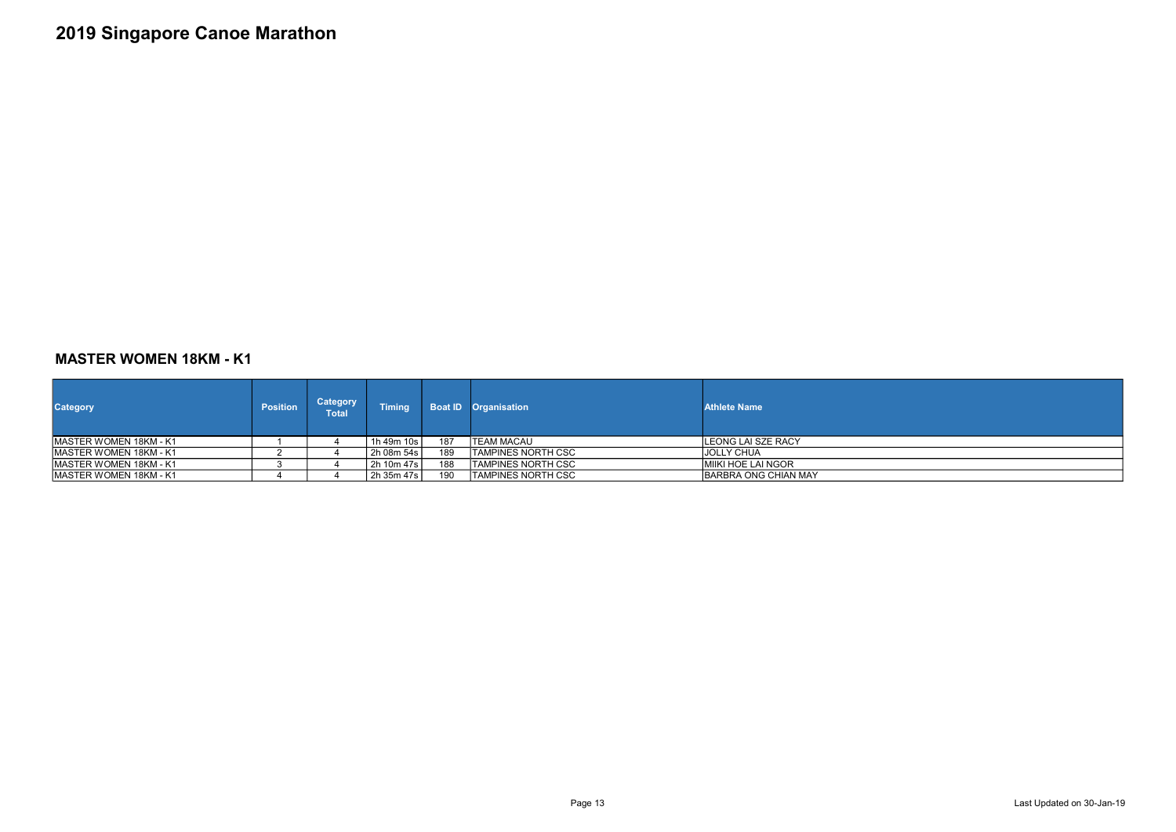### MASTER WOMEN 18KM - K1

| <b>Category</b>                | <b>Position</b> | <b>Category</b><br>Total | <b>Timing</b> |     | <b>Boat ID Organisation</b> | <b>Athlete Name</b>         |
|--------------------------------|-----------------|--------------------------|---------------|-----|-----------------------------|-----------------------------|
| <b>IMASTER WOMEN 18KM - K1</b> |                 |                          | 1h 49m 10s    | 187 | <b>ITEAM MACAU</b>          | LEONG LAI SZE RACY          |
| <b>IMASTER WOMEN 18KM - K1</b> |                 |                          | 2h 08m 54s    | 189 | <b>ITAMPINES NORTH CSC</b>  | IJOLLY CHUA                 |
| <b>IMASTER WOMEN 18KM - K1</b> |                 |                          | 2h 10m 47s    | 188 | <b>ITAMPINES NORTH CSC</b>  | İMIIKI HOE LAI NGOR         |
| <b>IMASTER WOMEN 18KM - K1</b> |                 |                          | 2h 35m 47s    | 190 | ITAMPINES NORTH CSC         | <b>BARBRA ONG CHIAN MAY</b> |



Page 13 Last Updated on 30-Jan-19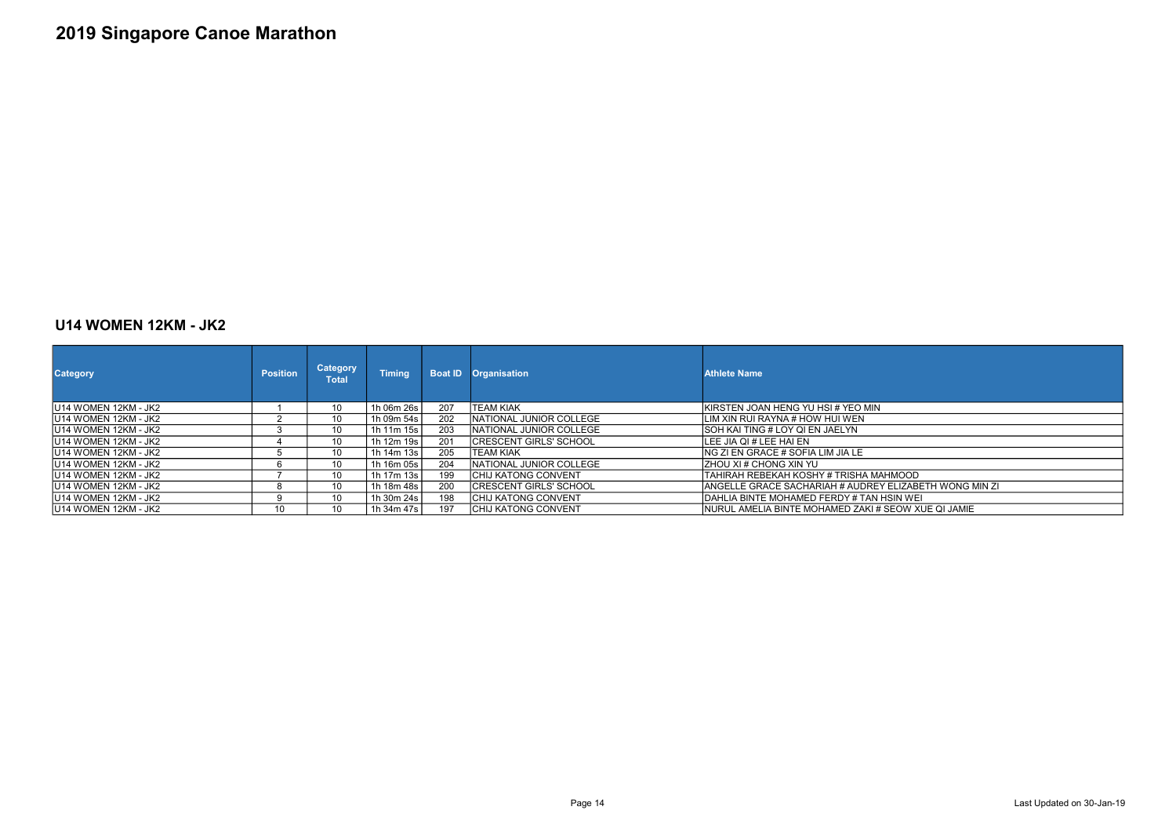#### U14 WOMEN 12KM - JK2

| <b>Category</b>              | <b>Position</b> | Category<br><b>Total</b> | <b>Timing</b> | <b>Boat ID</b> | <b>Organisation</b>             | <b>Athlete Name</b>                        |
|------------------------------|-----------------|--------------------------|---------------|----------------|---------------------------------|--------------------------------------------|
| <b>IU14 WOMEN 12KM - JK2</b> |                 | 10                       | 1h 06m 26s    | 207            | ITEAM KIAK                      | <b>IKIRSTEN JOAN HENG YU HSI # YEO MIN</b> |
| IU14 WOMEN 12KM - JK2        |                 | 10                       | 1h 09m 54s    | 202            | INATIONAL JUNIOR COLLEGE        | ILIM XIN RUI RAYNA # HOW HUI WEN           |
| IU14 WOMEN 12KM - JK2        |                 | 10                       | 1h 11m 15s    | 203            | INATIONAL JUNIOR COLLEGE        | <b>SOH KAI TING # LOY QI EN JAELYN</b>     |
| IU14 WOMEN 12KM - JK2        |                 | 10                       | 1h 12m 19s    | 201            | ICRESCENT GIRLS' SCHOOL         | LEE JIA QI # LEE HAI EN                    |
| IU14 WOMEN 12KM - JK2        |                 | 10                       | 1h 14m 13s    | 205            | ITEAM KIAK                      | ING ZI EN GRACE # SOFIA LIM JIA LE         |
| IU14 WOMEN 12KM - JK2        |                 | 10                       | 1h 16m 05s    | 204            | <b>INATIONAL JUNIOR COLLEGE</b> | <b>ZHOU XI # CHONG XIN YU</b>              |
| IU14 WOMEN 12KM - JK2        |                 | 10                       | 1h 17m 13s    | 199            | <b>ICHIJ KATONG CONVENT</b>     | TAHIRAH REBEKAH KOSHY # TRISHA MAHMOOD     |
| IU14 WOMEN 12KM - JK2        |                 | 10                       | 1h 18m 48s    | 200            | <b>CRESCENT GIRLS' SCHOOL</b>   | IANGELLE GRACE SACHARIAH # AUDREY ELIZABE  |
| IU14 WOMEN 12KM - JK2        | 9               | 10                       | 1h 30m 24s    | 198            | <b>CHIJ KATONG CONVENT</b>      | DAHLIA BINTE MOHAMED FERDY # TAN HSIN WEI  |
| <b>IU14 WOMEN 12KM - JK2</b> | 10              | 10                       | 1h 34m 47s    | 197            | <b>CHIJ KATONG CONVENT</b>      | INURUL AMELIA BINTE MOHAMED ZAKI # SEOW XI |

\HMOOD<br>/ ELIZABETH WONG MIN ZI<br>HSIN WEI SEOW XUE QI JAMIE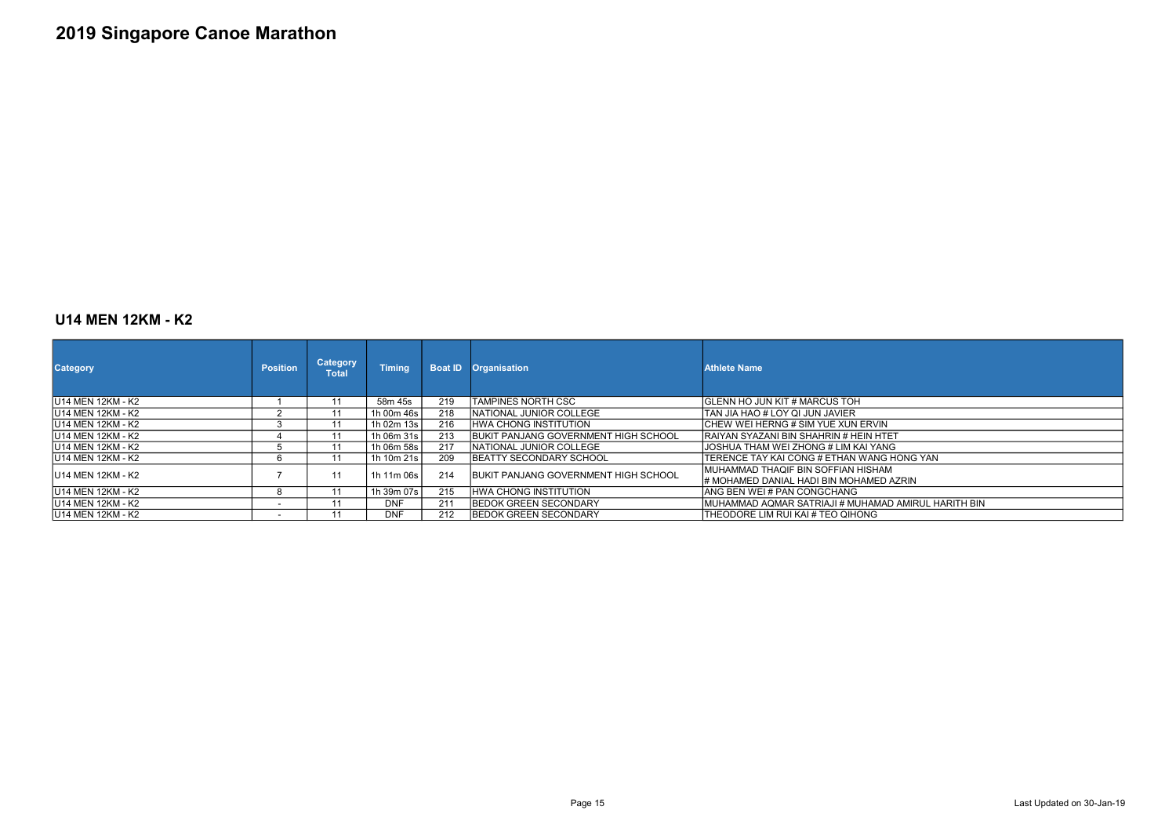#### U14 MEN 12KM - K2

| <b>Category</b>           | <b>Position</b>          | <b>Category</b><br>Total | <b>Timing</b> | <b>Boat ID</b> | <b>Organisation</b>                          | <b>Athlete Name</b>                                                            |
|---------------------------|--------------------------|--------------------------|---------------|----------------|----------------------------------------------|--------------------------------------------------------------------------------|
| <b>IU14 MEN 12KM - K2</b> |                          | 11                       | 58m 45s       | 219            | TAMPINES NORTH CSC                           | <b>GLENN HO JUN KIT # MARCUS TOH</b>                                           |
| IU14 MEN 12KM - K2        |                          | 11                       | 1h 00m 46s    | 218            | NATIONAL JUNIOR COLLEGE                      | TAN JIA HAO # LOY QI JUN JAVIER                                                |
| <b>IU14 MEN 12KM - K2</b> | 3                        | 11                       | 1h 02m 13s    | 216            | <b>HWA CHONG INSTITUTION</b>                 | ICHEW WEI HERNG # SIM YUE XUN ERVIN                                            |
| <b>IU14 MEN 12KM - K2</b> |                          | 11                       | 1h 06m 31s    | 213            | <b>IBUKIT PANJANG GOVERNMENT HIGH SCHOOL</b> | IRAIYAN SYAZANI BIN SHAHRIN # HEIN HTET                                        |
| <b>IU14 MEN 12KM - K2</b> |                          | 11                       | 1h 06m 58s    | 217            | NATIONAL JUNIOR COLLEGE                      | JOSHUA THAM WEI ZHONG # LIM KAI YANG                                           |
| IU14 MEN 12KM - K2        | O                        | 11                       | 1h 10m 21s    | 209            | <b>IBEATTY SECONDARY SCHOOL</b>              | TERENCE TAY KAI CONG # ETHAN WANG HONG YAN                                     |
| <b>IU14 MEN 12KM - K2</b> |                          | 11                       | 1h 11m 06s    | 214            | <b>IBUKIT PANJANG GOVERNMENT HIGH SCHOOL</b> | MUHAMMAD THAQIF BIN SOFFIAN HISHAM<br>1# MOHAMED DANIAL HADI BIN MOHAMED AZRIN |
| <b>IU14 MEN 12KM - K2</b> | 8                        |                          | 1h 39m 07s    | 215            | <b>HWA CHONG INSTITUTION</b>                 | ANG BEN WEI#PAN CONGCHANG                                                      |
| <b>IU14 MEN 12KM - K2</b> | $\sim$                   |                          | DNF           | 211            | <b>IBEDOK GREEN SECONDARY</b>                | IMUHAMMAD AQMAR SATRIAJI # MUHAMAD AMIRUL H                                    |
| <b>IU14 MEN 12KM - K2</b> | $\overline{\phantom{0}}$ |                          | <b>DNF</b>    | 212            | <b>IBEDOK GREEN SECONDARY</b>                | THEODORE LIM RUI KAI # TEO QIHONG                                              |

AZRIN D AMIRUL HARITH BIN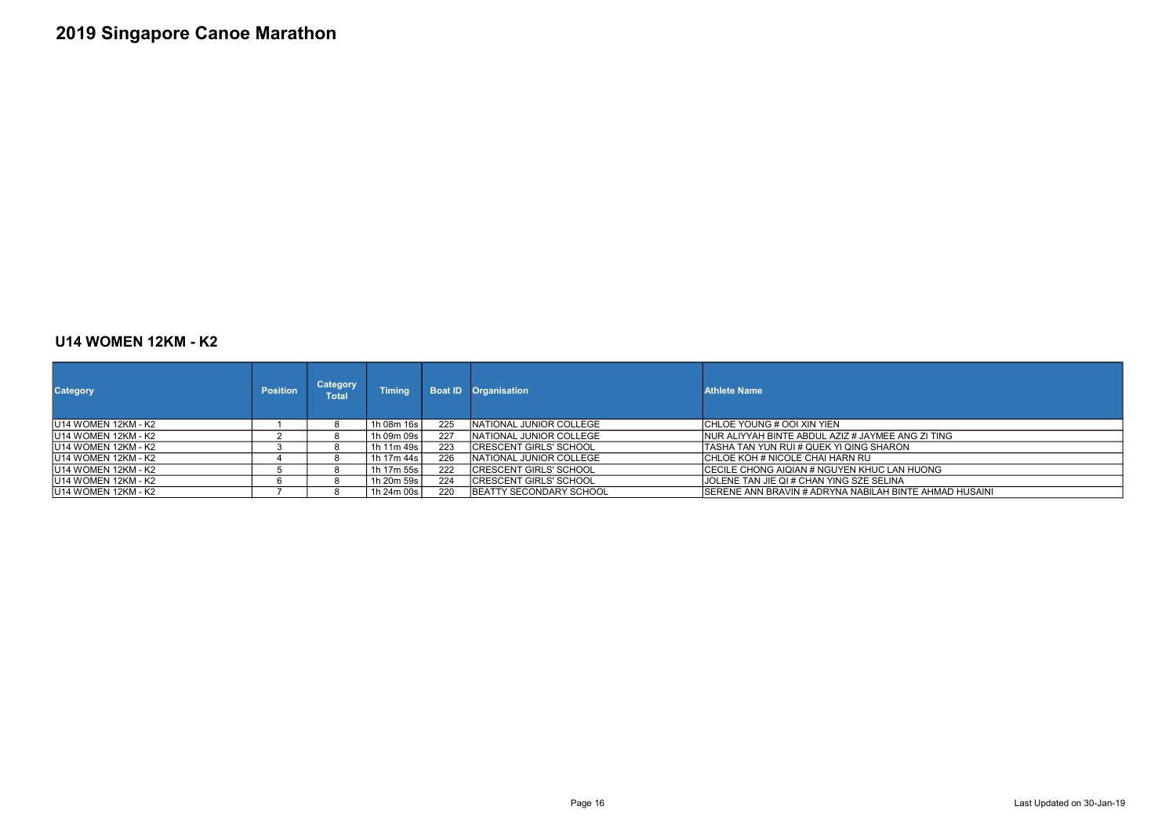#### U14 WOMEN 12KM - K2

| <b>Category</b>      | <b>Position</b> | <b>Category</b><br>Total | <b>Timing</b> |     | <b>Boat ID Organisation</b>     | <b>Athlete Name</b>                                |
|----------------------|-----------------|--------------------------|---------------|-----|---------------------------------|----------------------------------------------------|
| IU14 WOMEN 12KM - K2 |                 |                          | 1h 08m 16s    | 225 | NATIONAL JUNIOR COLLEGE         | CHLOE YOUNG # OOI XIN YIEN                         |
| IU14 WOMEN 12KM - K2 |                 |                          | 1h 09m 09s    | 227 | INATIONAL JUNIOR COLLEGE        | INUR ALIYYAH BINTE ABDUL AZIZ # JAYMEE ANG ZI TING |
| IU14 WOMEN 12KM - K2 |                 |                          | 1h 11m 49s    | 223 | <b>ICRESCENT GIRLS' SCHOOL</b>  | TASHA TAN YUN RUI # QUEK YI QING SHARON            |
| IU14 WOMEN 12KM - K2 |                 |                          | 1h 17m 44s l  | 226 | INATIONAL JUNIOR COLLEGE        | ICHLOE KOH # NICOLE CHAI HARN RU                   |
| IU14 WOMEN 12KM - K2 |                 |                          | 1h 17m 55s l  | 222 | <b>ICRESCENT GIRLS' SCHOOL</b>  | ICECILE CHONG AIQIAN # NGUYEN KHUC LAN HUONG       |
| IU14 WOMEN 12KM - K2 |                 |                          | 1h 20m 59s    | 224 | <b>ICRESCENT GIRLS' SCHOOL</b>  | JOLENE TAN JIE QI # CHAN YING SZE SELINA           |
| IU14 WOMEN 12KM - K2 |                 |                          | 1h 24m 00s    | 220 | <b>IBEATTY SECONDARY SCHOOL</b> | ISERENE ANN BRAVIN # ADRYNA NABILAH BINTE AHMAD    |

- MOMEN 12<br>UNA<br>H BINTE AHMAD HUSAINI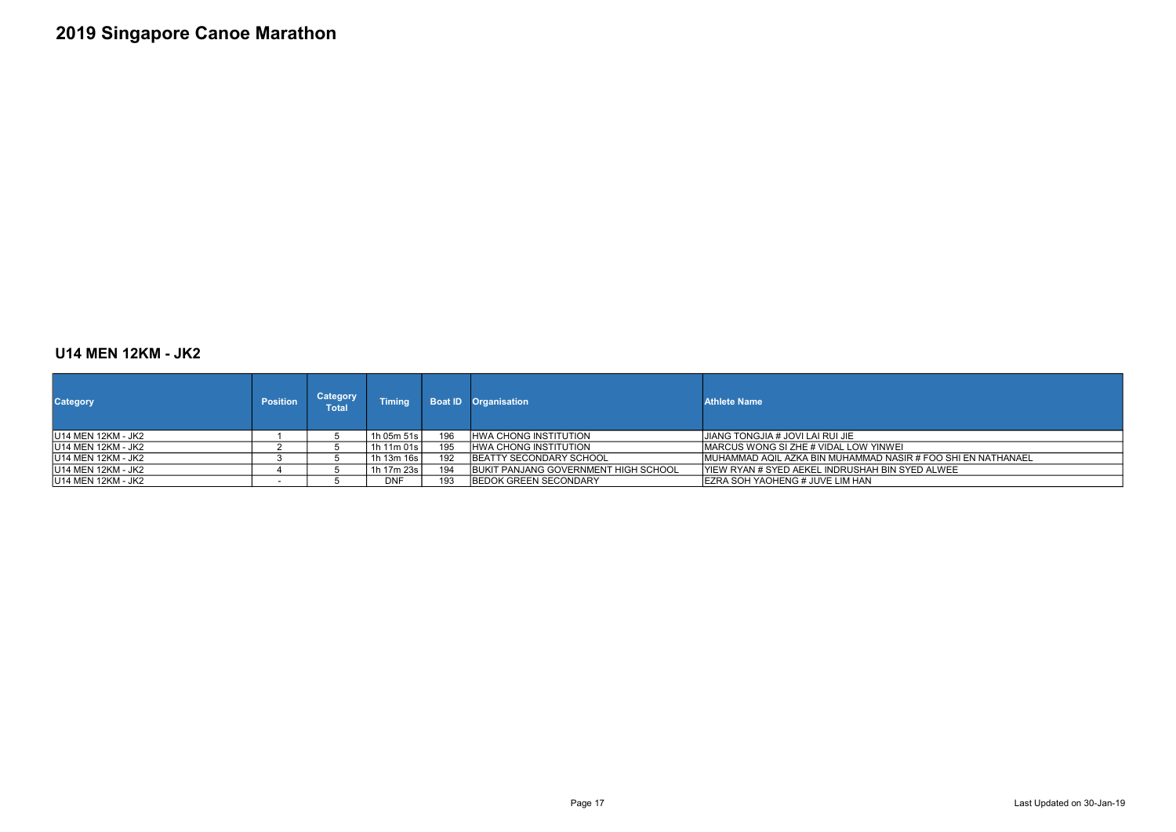### U14 MEN 12KM - JK2

| <b>Category</b>            | <b>Position</b> | Category<br>Total | <b>Timing</b> |     | <b>Boat ID Organisation</b>                  | <b>Athlete Name</b>                              |
|----------------------------|-----------------|-------------------|---------------|-----|----------------------------------------------|--------------------------------------------------|
| <b>IU14 MEN 12KM - JK2</b> |                 |                   | 1h 05m 51s l  | 196 | <b>HWA CHONG INSTITUTION</b>                 | IJIANG TONGJIA # JOVI LAI RUI JIE                |
| IU14 MEN 12KM - JK2        |                 |                   | 1h 11m 01s    | 195 | <b>HWA CHONG INSTITUTION</b>                 | IMARCUS WONG SI ZHE # VIDAL LOW YINWEI           |
| IU14 MEN 12KM - JK2        |                 |                   | 1h 13m 16s l  | 192 | <b>IBEATTY SECONDARY SCHOOL</b>              | IMUHAMMAD AQIL AZKA BIN MUHAMMAD NASIR # FOO SH  |
| <b>IU14 MEN 12KM - JK2</b> |                 |                   | 1h 17m 23s l  | 194 | <b>IBUKIT PANJANG GOVERNMENT HIGH SCHOOL</b> | lYIEW RYAN # SYED AEKEL INDRUSHAH BIN SYED ALWEE |
| IU14 MEN 12KM - JK2        |                 |                   | <b>DNF</b>    | 193 | <b>IBEDOK GREEN SECONDARY</b>                | IEZRA SOH YAOHENG # JUVE LIM HAN                 |

JWEI<br>NASIR # FOO SHI EN NATHANAEL<br>BIN SYED ALWEE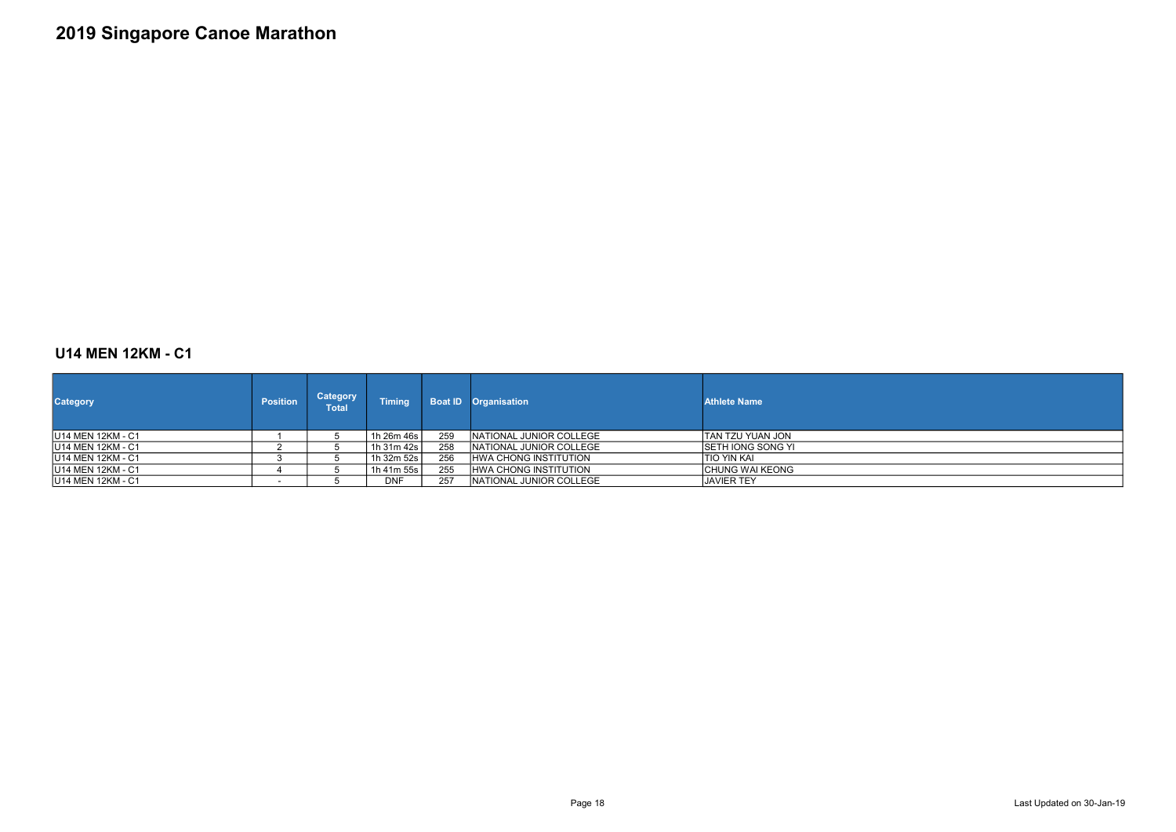### U14 MEN 12KM - C1

| <b>Category</b>    | <b>Position</b> | <b>Category</b><br><b>Total</b> | <b>Timing</b> |     | <b>Boat ID Organisation</b>  | <b>Athlete Name</b>       |
|--------------------|-----------------|---------------------------------|---------------|-----|------------------------------|---------------------------|
| IU14 MEN 12KM - C1 |                 |                                 | 1h 26m 46s l  | 259 | NATIONAL JUNIOR COLLEGE      | ITAN TZU YUAN JON         |
| IU14 MEN 12KM - C1 |                 |                                 | 1h 31m 42s l  | 258 | INATIONAL JUNIOR COLLEGE     | <b>ISETH IONG SONG YI</b> |
| IU14 MEN 12KM - C1 |                 |                                 | 1h 32m 52s l  | 256 | <b>HWA CHONG INSTITUTION</b> | ITIO YIN KAI              |
| IU14 MEN 12KM - C1 |                 |                                 | 1h 41m 55s l  | 255 | <b>HWA CHONG INSTITUTION</b> | <b>ICHUNG WAI KEONG</b>   |
| IU14 MEN 12KM - C1 |                 |                                 | <b>DNF</b>    | 257 | INATIONAL JUNIOR COLLEGE     | <b>JAVIER TEY</b>         |



Page 18 Last Updated on 30-Jan-19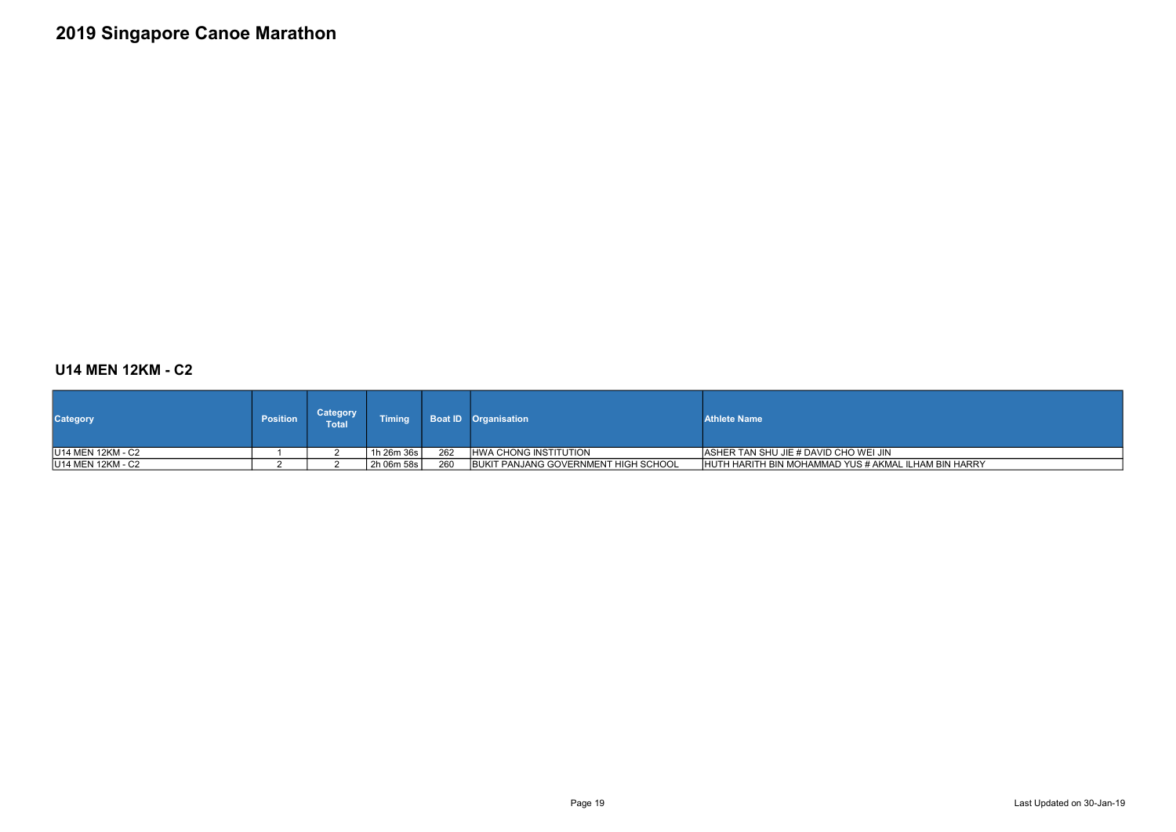### U14 MEN 12KM - C2

| <b>Category</b>           | <b>Position</b> | Category<br><b>Total</b> | <b>Timing</b> |     | <b>Boat ID Organisation</b>                  | <b>Athlete Name</b>                         |
|---------------------------|-----------------|--------------------------|---------------|-----|----------------------------------------------|---------------------------------------------|
| IU14 MEN 12KM - C2        |                 |                          | 1h 26m 36s    | 262 | <b>IHWA CHONG INSTITUTION</b>                | IASHER TAN SHU JIE # DAVID CHO WEI JIN      |
| <b>IU14 MEN 12KM - C2</b> |                 |                          | 2h 06m 58s    | 260 | <b>IBUKIT PANJANG GOVERNMENT HIGH SCHOOL</b> | <b>IHUTH HARITH BIN MOHAMMAD YUS # AKM.</b> |

- C<br>MAL ILHAM BIN HARRY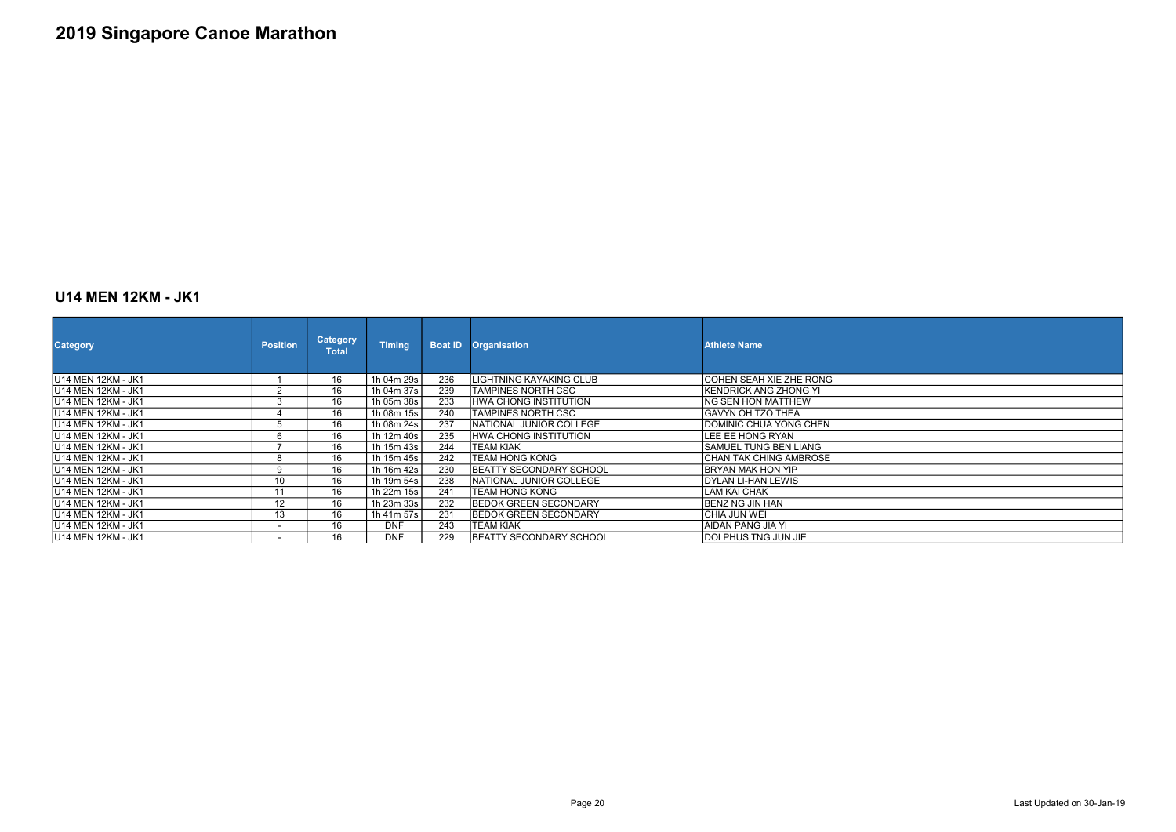#### U14 MEN 12KM - JK1

| <b>Category</b>            | <b>Position</b>          | <b>Category</b><br><b>Total</b> | <b>Timing</b> | <b>Boat ID</b> | <b>Organisation</b>             | <b>Athlete Name</b>           |
|----------------------------|--------------------------|---------------------------------|---------------|----------------|---------------------------------|-------------------------------|
| U14 MEN 12KM - JK1         |                          | 16                              | 1h 04m 29s    | 236            | LIGHTNING KAYAKING CLUB         | COHEN SEAH XIE ZHE RONG       |
| <b>IU14 MEN 12KM - JK1</b> | $\overline{2}$           | 16                              | 1h 04m 37s    | 239            | TAMPINES NORTH CSC              | <b>IKENDRICK ANG ZHONG YI</b> |
| <b>IU14 MEN 12KM - JK1</b> | 3                        | 16                              | 1h 05m 38s    | 233            | <b>HWA CHONG INSTITUTION</b>    | ING SEN HON MATTHEW           |
| <b>IU14 MEN 12KM - JK1</b> | 4                        | 16                              | 1h 08m 15s    | 240            | TAMPINES NORTH CSC              | IGAVYN OH TZO THEA            |
| <b>IU14 MEN 12KM - JK1</b> | 5                        | 16                              | 1h 08m 24s    | 237            | NATIONAL JUNIOR COLLEGE         | IDOMINIC CHUA YONG CHEN       |
| IU14 MEN 12KM - JK1        | 6                        | 16                              | 1h 12m 40s    | 235            | HWA CHONG INSTITUTION           | ILEE EE HONG RYAN             |
| IU14 MEN 12KM - JK1        | ⇁                        | 16                              | 1h 15m 43s    | 244            | <b>TEAM KIAK</b>                | <b>ISAMUEL TUNG BEN LIANG</b> |
| <b>IU14 MEN 12KM - JK1</b> | 8                        | 16                              | 1h 15m 45s    | 242            | <b>TEAM HONG KONG</b>           | ICHAN TAK CHING AMBROSE       |
| <b>IU14 MEN 12KM - JK1</b> | 9                        | 16                              | 1h 16m 42s    | 230            | <b>IBEATTY SECONDARY SCHOOL</b> | <b>IBRYAN MAK HON YIP</b>     |
| <b>IU14 MEN 12KM - JK1</b> | 10                       | 16                              | 1h 19m 54s    | 238            | INATIONAL JUNIOR COLLEGE        | IDYLAN LI-HAN LEWIS           |
| <b>IU14 MEN 12KM - JK1</b> | 11                       | 16                              | 1h 22m 15s    | 241            | ITEAM HONG KONG                 | ILAM KAI CHAK                 |
| U14 MEN 12KM - JK1         | 12                       | 16                              | 1h 23m 33s    | 232            | <b>BEDOK GREEN SECONDARY</b>    | IBENZ NG JIN HAN              |
| <b>IU14 MEN 12KM - JK1</b> | 13                       | 16                              | 1h 41m 57s    | 231            | <b>IBEDOK GREEN SECONDARY</b>   | ICHIA JUN WEI                 |
| IU14 MEN 12KM - JK1        | $\blacksquare$           | 16                              | <b>DNF</b>    | 243            | <b>TEAM KIAK</b>                | IAIDAN PANG JIA YI            |
| <b>IU14 MEN 12KM - JK1</b> | $\overline{\phantom{0}}$ | 16                              | <b>DNF</b>    | 229            | <b>BEATTY SECONDARY SCHOOL</b>  | <b>IDOLPHUS TNG JUN JIE</b>   |

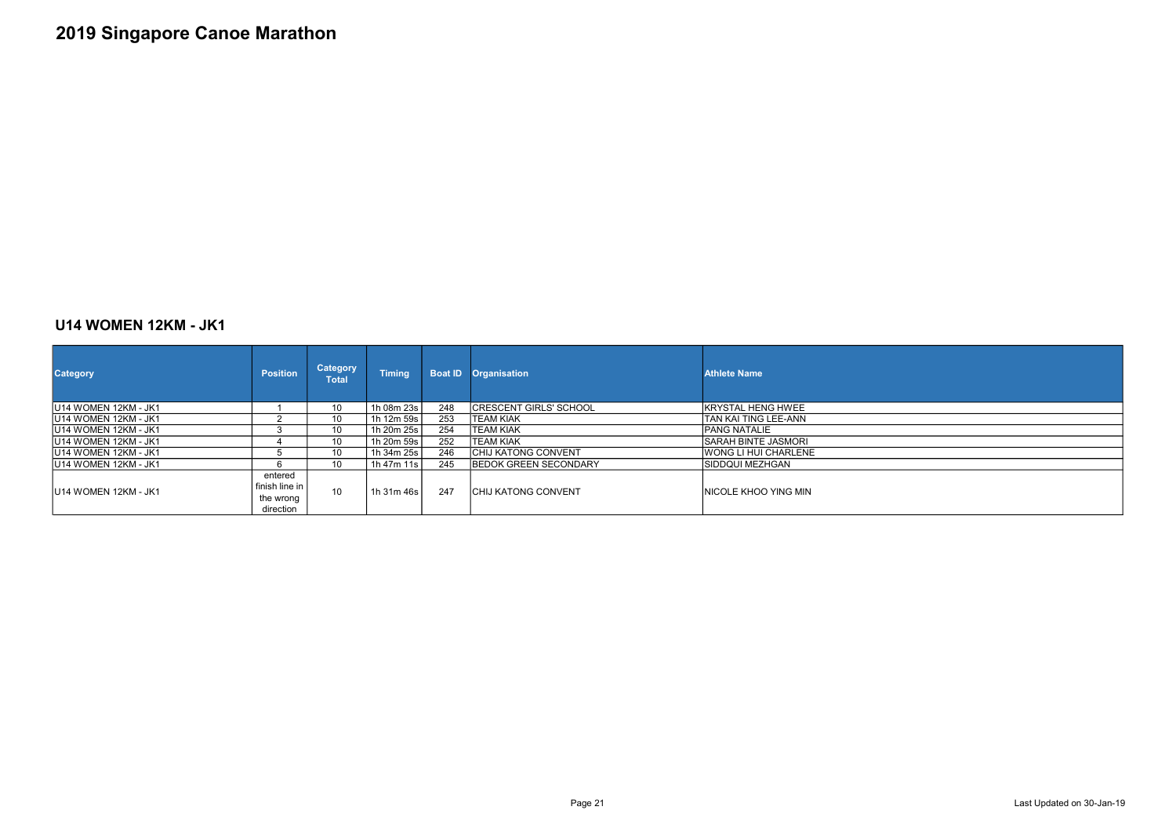### U14 WOMEN 12KM - JK1

| <b>Category</b>       | <b>Position</b>                                     | <b>Category</b><br>Total | <b>Timing</b> | <b>Boat ID</b> | <b>Organisation</b>           | <b>Athlete Name</b>   |
|-----------------------|-----------------------------------------------------|--------------------------|---------------|----------------|-------------------------------|-----------------------|
| IU14 WOMEN 12KM - JK1 |                                                     | 10                       | 1h 08m 23s l  | 248            | <b>CRESCENT GIRLS' SCHOOL</b> | IKRYSTAL HENG HWEE    |
| IU14 WOMEN 12KM - JK1 |                                                     | 10                       | 1h 12m 59s    | 253            | TEAM KIAK                     | TAN KAI TING LEE-ANN  |
| JU14 WOMEN 12KM - JK1 | 3                                                   | 10                       | 1h 20m 25s    | 254            | TEAM KIAK                     | IPANG NATALIE         |
| IU14 WOMEN 12KM - JK1 |                                                     | 10                       | 1h 20m 59s    | 252            | <b>TEAM KIAK</b>              | SARAH BINTE JASMORI   |
| IU14 WOMEN 12KM - JK1 | b                                                   | 10                       | 1h 34m 25s l  | 246            | <b>CHIJ KATONG CONVENT</b>    | IWONG LI HUI CHARLENE |
| IU14 WOMEN 12KM - JK1 | 6                                                   | 10                       | 1h 47m 11s    | 245            | <b>IBEDOK GREEN SECONDARY</b> | ISIDDQUI MEZHGAN      |
| IU14 WOMEN 12KM - JK1 | entered<br>finish line in<br>the wrong<br>direction | 10                       | 1h 31m 46s    | 247            | <b>ICHIJ KATONG CONVENT</b>   | INICOLE KHOO YING MIN |

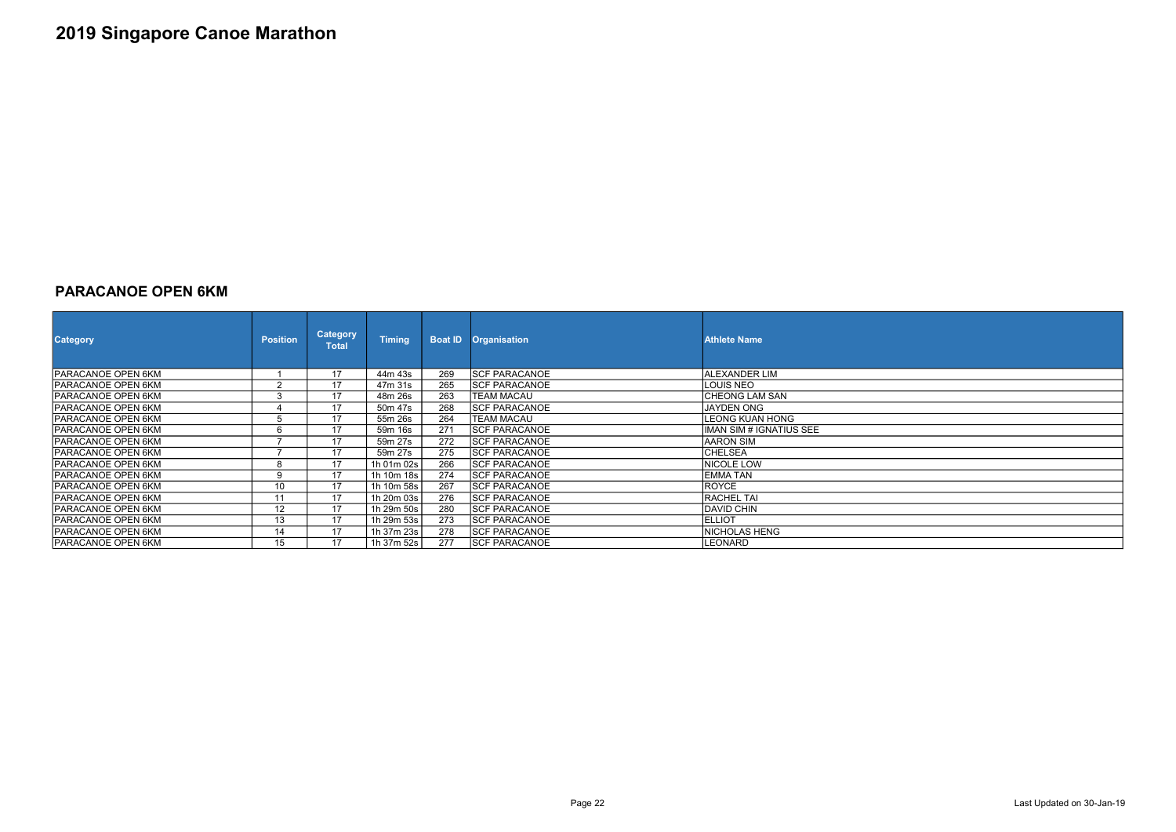### PARACANOE OPEN 6KM

| <b>Category</b>            | <b>Position</b>   | <b>Category</b><br><b>Total</b> | <b>Timing</b> |     | <b>Boat ID Organisation</b> | <b>Athlete Name</b>     |
|----------------------------|-------------------|---------------------------------|---------------|-----|-----------------------------|-------------------------|
| <b>PARACANOE OPEN 6KM</b>  |                   | 17                              | 44m 43s       | 269 | <b>SCF PARACANOE</b>        | IALEXANDER LIM          |
| PARACANOE OPEN 6KM         |                   | 17                              | 47m 31s       | 265 | <b>SCF PARACANOE</b>        | LOUIS NEO               |
| <b>IPARACANOE OPEN 6KM</b> |                   | 17                              | 48m 26s       | 263 | <b>TEAM MACAU</b>           | <b>CHEONG LAM SAN</b>   |
| PARACANOE OPEN 6KM         |                   | 17                              | 50m 47s       | 268 | <b>SCF PARACANOE</b>        | <b>JAYDEN ONG</b>       |
| <b>PARACANOE OPEN 6KM</b>  |                   |                                 | 55m 26s       | 264 | <b>TEAM MACAU</b>           | <b>LEONG KUAN HONG</b>  |
| <b>PARACANOE OPEN 6KM</b>  |                   |                                 | 59m 16s       | 271 | <b>SCF PARACANOE</b>        | IMAN SIM # IGNATIUS SEE |
| PARACANOE OPEN 6KM         |                   | 17                              | 59m 27s       | 272 | <b>SCF PARACANOE</b>        | AARON SIM               |
| <b>PARACANOE OPEN 6KM</b>  |                   | 17                              | 59m 27s       | 275 | <b>SCF PARACANOE</b>        | <b>CHELSEA</b>          |
| <b>PARACANOE OPEN 6KM</b>  |                   | 17                              | 1h 01m 02s    | 266 | <b>SCF PARACANOE</b>        | NICOLE LOW              |
| PARACANOE OPEN 6KM         |                   | 17                              | 1h 10m 18s    | 274 | <b>SCF PARACANOE</b>        | <b>EMMATAN</b>          |
| <b>PARACANOE OPEN 6KM</b>  | 10                | 17                              | 1h 10m 58s    | 267 | <b>SCF PARACANOE</b>        | <b>ROYCE</b>            |
| PARACANOE OPEN 6KM         | 11                | 17                              | 1h 20m 03s    | 276 | <b>SCF PARACANOE</b>        | <b>RACHEL TAI</b>       |
| <b>PARACANOE OPEN 6KM</b>  | $12 \overline{ }$ | 17                              | 1h 29m 50s    | 280 | <b>SCF PARACANOE</b>        | <b>DAVID CHIN</b>       |
| PARACANOE OPEN 6KM         | 13                | 17                              | 1h 29m 53s    | 273 | <b>SCF PARACANOE</b>        | <b>ELLIOT</b>           |
| <b>IPARACANOE OPEN 6KM</b> | 14                | 17                              | 1h 37m 23s    | 278 | <b>SCF PARACANOE</b>        | <b>NICHOLAS HENG</b>    |
| <b>PARACANOE OPEN 6KM</b>  | 15 <sup>15</sup>  | 17                              | 1h 37m 52s    | 277 | <b>SCF PARACANOE</b>        | LEONARD                 |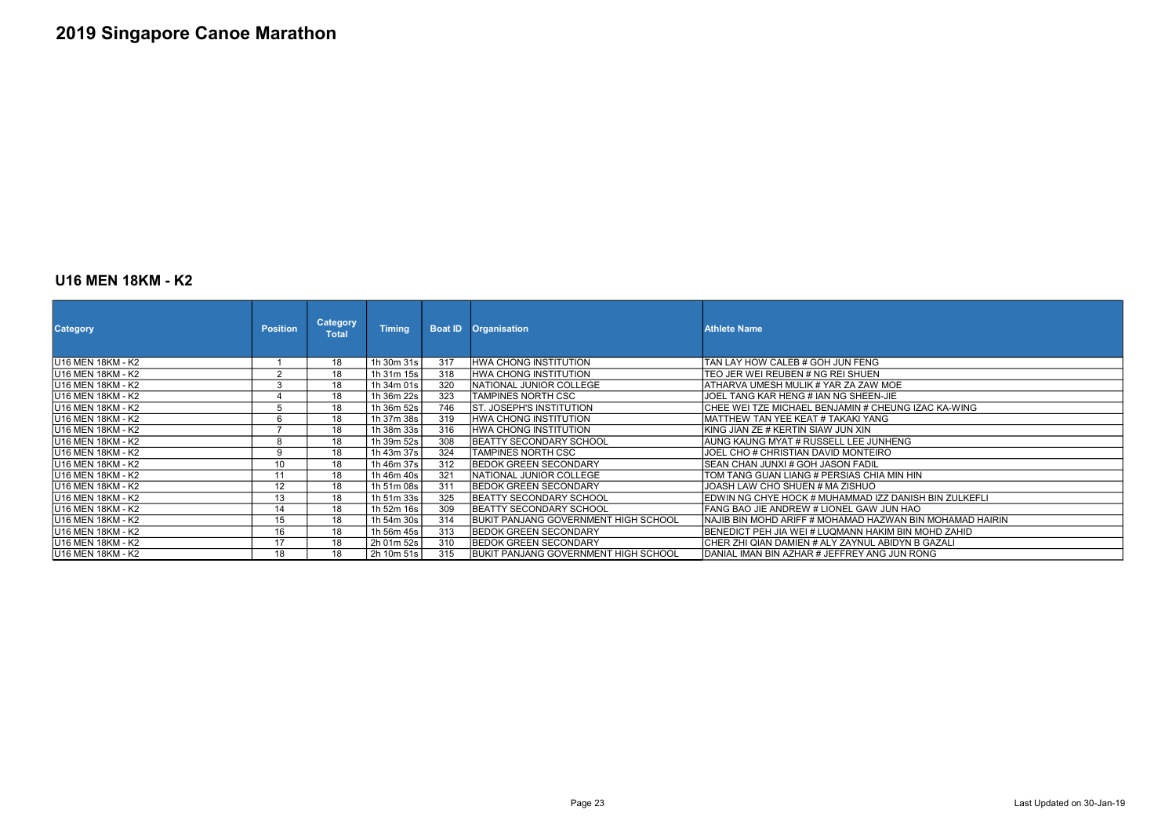#### U16 MEN 18KM - K2

| <b>Category</b>           | <b>Position</b>          | <b>Category</b><br><b>Total</b> | <b>Timing</b> | <b>Boat ID</b> | <b>Organisation</b>                   | <b>Athlete Name</b>                                      |
|---------------------------|--------------------------|---------------------------------|---------------|----------------|---------------------------------------|----------------------------------------------------------|
| IU16 MEN 18KM - K2        |                          | 18                              | 1h 30m 31s    | 317            | <b>HWA CHONG INSTITUTION</b>          | TAN LAY HOW CALEB # GOH JUN FENG                         |
| IU16 MEN 18KM - K2        | 2                        | 18                              | 1h 31m 15s    | 318            | IHWA CHONG INSTITUTION                | TEO JER WEI REUBEN # NG REI SHUEN                        |
| IU16 MEN 18KM - K2        | 3                        | 18                              | 1h 34m 01s    | 320            | <b>INATIONAL JUNIOR COLLEGE</b>       | ATHARVA UMESH MULIK # YAR ZA ZAW MOE                     |
| IU16 MEN 18KM - K2        |                          | 18                              | 1h 36m 22s    | 323            | <b>TAMPINES NORTH CSC</b>             | JOEL TANG KAR HENG # IAN NG SHEEN-JIE                    |
| IU16 MEN 18KM - K2        |                          | 18                              | 1h 36m 52s    | 746            | IST. JOSEPH'S INSTITUTION             | CHEE WEI TZE MICHAEL BENJAMIN # CHEUNG IZAC KA-WING      |
| <b>IU16 MEN 18KM - K2</b> | 6                        | 18                              | 1h 37m 38s    | 319            | HWA CHONG INSTITUTION                 | MATTHEW TAN YEE KEAT # TAKAKI YANG                       |
| lU16 MEN 18KM - K2        | $\overline{\phantom{a}}$ | 18                              | 1h 38m 33s    | 316            | IHWA CHONG INSTITUTION                | KING JIAN ZE # KERTIN SIAW JUN XIN                       |
| U16 MEN 18KM - K2         | 8                        | 18                              | 1h 39m 52s    | 308            | BEATTY SECONDARY SCHOOL               | AUNG KAUNG MYAT # RUSSELL LEE JUNHENG                    |
| IU16 MEN 18KM - K2        | 9                        | 18                              | 1h 43m 37s    | 324            | ITAMPINES NORTH CSC                   | JOEL CHO # CHRISTIAN DAVID MONTEIRO                      |
| IU16 MEN 18KM - K2        | 10                       | 18                              | 1h 46m 37s    | 312            | <b>IBEDOK GREEN SECONDARY</b>         | SEAN CHAN JUNXI # GOH JASON FADIL                        |
| IU16 MEN 18KM - K2        | 11                       | 18                              | 1h 46m 40s    | 321            | INATIONAL JUNIOR COLLEGE              | TOM TANG GUAN LIANG # PERSIAS CHIA MIN HIN               |
| U16 MEN 18KM - K2         | 12                       | 18                              | 1h 51m 08s    | 311            | IBEDOK GREEN SECONDARY                | JOASH LAW CHO SHUEN # MA ZISHUO                          |
| IU16 MEN 18KM - K2        | 13                       | 18                              | 1h 51m 33s    | 325            | IBEATTY SECONDARY SCHOOL              | EDWIN NG CHYE HOCK # MUHAMMAD IZZ DANISH BIN ZULKEFLI    |
| <b>IU16 MEN 18KM - K2</b> | 14                       | 18                              | 1h 52m 16s    | 309            | IBEATTY SECONDARY SCHOOL              | FANG BAO JIE ANDREW # LIONEL GAW JUN HAO                 |
| IU16 MEN 18KM - K2        | 15                       | 18                              | 1h 54m 30s    | 314            | IBUKIT PANJANG GOVERNMENT HIGH SCHOOL | NAJIB BIN MOHD ARIFF # MOHAMAD HAZWAN BIN MOHAMAD HAIRIN |
| U16 MEN 18KM - K2         | 16                       | 18                              | 1h 56m 45s    | 313            | <b>BEDOK GREEN SECONDARY</b>          | BENEDICT PEH JIA WEI # LUQMANN HAKIM BIN MOHD ZAHID      |
| U16 MEN 18KM - K2         | 17                       | 18                              | 2h 01m 52s    | 310            | IBEDOK GREEN SECONDARY                | CHER ZHI QIAN DAMIEN # ALY ZAYNUL ABIDYN B GAZALI        |
| IU16 MEN 18KM - K2        | 18                       | 18                              | 2h 10m 51s    | 315            | IBUKIT PANJANG GOVERNMENT HIGH SCHOOL | DANIAL IMAN BIN AZHAR # JEFFREY ANG JUN RONG             |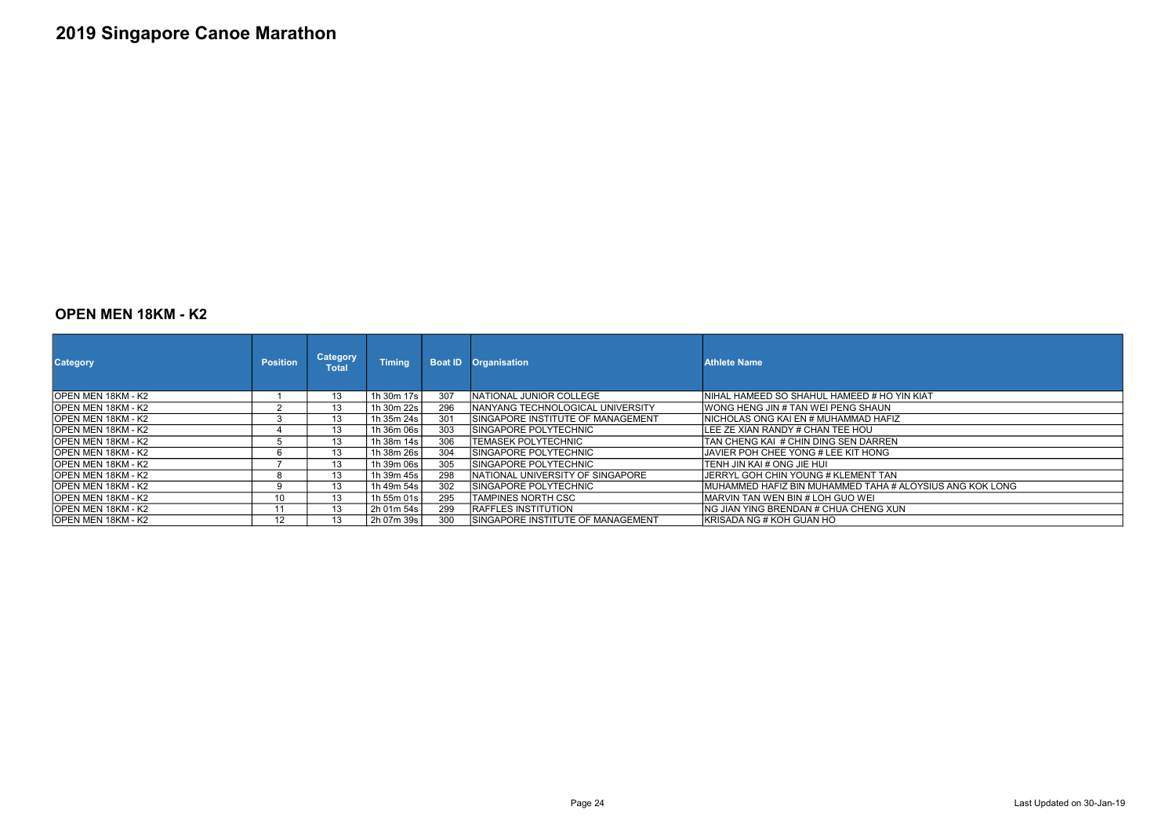#### OPEN MEN 18KM - K2

| <b>Category</b>            | <b>Position</b> | <b>Category</b><br><b>Total</b> | <b>Timing</b> |     | <b>Boat ID Organisation</b>        | <b>Athlete Name</b>                                      |
|----------------------------|-----------------|---------------------------------|---------------|-----|------------------------------------|----------------------------------------------------------|
| OPEN MEN 18KM - K2         |                 | 13                              | 1h 30m 17s    | 307 | NATIONAL JUNIOR COLLEGE            | INIHAL HAMEED SO SHAHUL HAMEED # HO YIN KIAT             |
| IOPEN MEN 18KM - K2        |                 | 13                              | 1h 30m 22s    | 296 | INANYANG TECHNOLOGICAL UNIVERSITY  | IWONG HENG JIN # TAN WEI PENG SHAUN                      |
| IOPEN MEN 18KM - K2        |                 | 13                              | 1h $35m 24s$  | 301 | SINGAPORE INSTITUTE OF MANAGEMENT  | INICHOLAS ONG KAI EN # MUHAMMAD HAFIZ.                   |
| IOPEN MEN 18KM - K2        |                 | 13                              | 1h 36m 06s    | 303 | ISINGAPORE POLYTECHNIC             | ILEE ZE XIAN RANDY # CHAN TEE HOU                        |
| <b>JOPEN MEN 18KM - K2</b> |                 | 13                              | 1h 38m $14s$  | 306 | ITEMASEK POLYTECHNIC               | ITAN CHENG KAI #CHIN DING SEN DARREN                     |
| IOPEN MEN 18KM - K2        |                 | 13                              | 1h 38m 26s    | 304 | ISINGAPORE POLYTECHNIC             | IJAVIER POH CHEE YONG # LEE KIT HONG                     |
| IOPEN MEN 18KM - K2        |                 | 13                              | 1h 39m 06s    | 305 | SINGAPORE POLYTECHNIC              | ITENH JIN KAI # ONG JIE HUI                              |
| IOPEN MEN 18KM - K2        |                 | 13                              | 1h 39m 45s    | 298 | NATIONAL UNIVERSITY OF SINGAPORE   | IJERRYL GOH CHIN YOUNG # KLEMENT TAN                     |
| IOPEN MEN 18KM - K2        | q               | 13                              | 1h 49m 54s    | 302 | SINGAPORE POLYTECHNIC              | MUHAMMED HAFIZ BIN MUHAMMED TAHA # ALOYSIUS ANG KOK LONG |
| IOPEN MEN 18KM - K2        | 10 <sup>°</sup> | 13                              | 1h 55m 01s l  | 295 | ITAMPINES NORTH CSC                | <b>IMARVIN TAN WEN BIN # LOH GUO WEI</b>                 |
| IOPEN MEN 18KM - K2        |                 | 13                              | 2h 01m 54s    | 299 | <b>IRAFFLES INSTITUTION</b>        | ING JIAN YING BRENDAN # CHUA CHENG XUN                   |
| IOPEN MEN 18KM - K2        | 12.             | 13                              | 2h 07m 39s    | 300 | ISINGAPORE INSTITUTE OF MANAGEMENT | IKRISADA NG # KOH GUAN HO                                |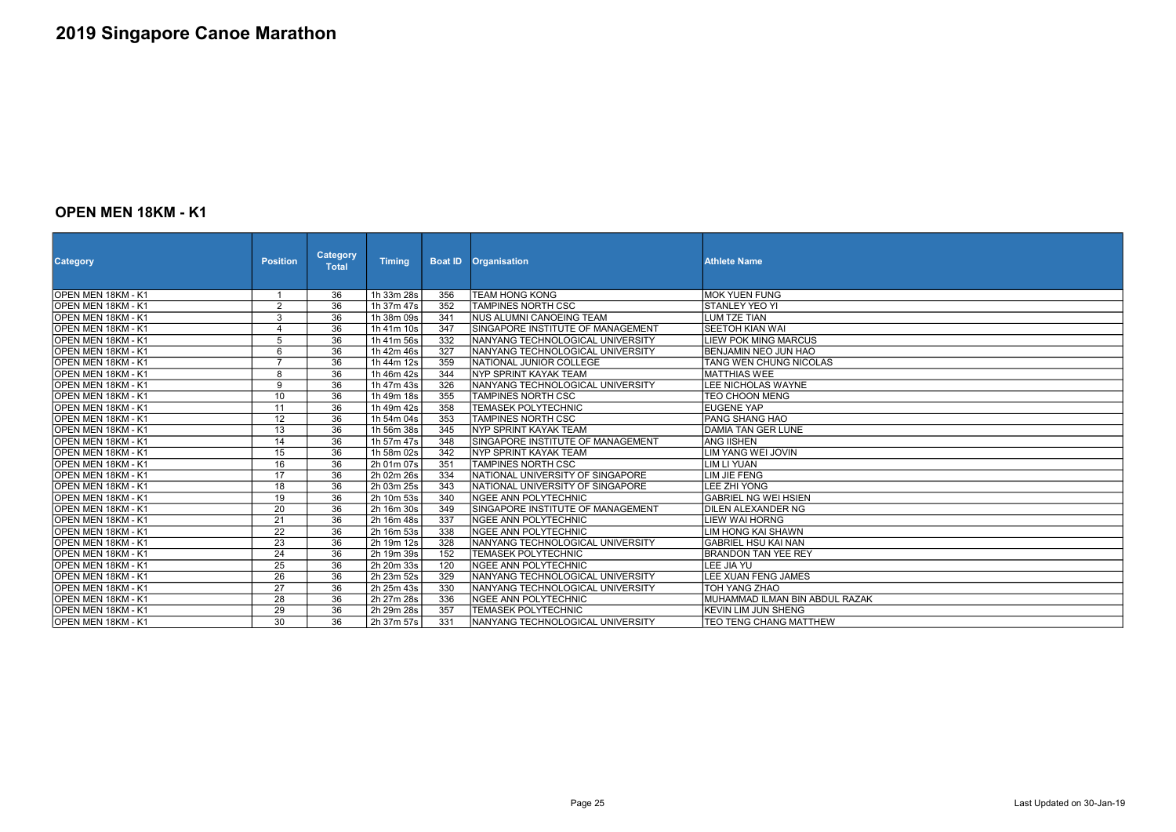#### OPEN MEN 18KM - K1

| <b>Category</b>     | <b>Position</b> | <b>Category</b><br><b>Total</b> | <b>Timing</b> | <b>Boat ID</b> | <b>Organisation</b>               | <b>Athlete Name</b>            |
|---------------------|-----------------|---------------------------------|---------------|----------------|-----------------------------------|--------------------------------|
| OPEN MEN 18KM - K1  |                 | 36                              | 1h 33m 28s    | 356            | <b>TEAM HONG KONG</b>             | <b>MOK YUEN FUNG</b>           |
| OPEN MEN 18KM - K1  | $\overline{2}$  | $\overline{36}$                 | 1h 37m 47s    | 352            | <b>TAMPINES NORTH CSC</b>         | <b>STANLEY YEO YI</b>          |
| OPEN MEN 18KM - K1  | 3               | 36                              | 1h 38m 09s    | 341            | <b>NUS ALUMNI CANOEING TEAM</b>   | <b>LUM TZE TIAN</b>            |
| IOPEN MEN 18KM - K1 | 4               | $\overline{36}$                 | 1h 41m 10s    | 347            | SINGAPORE INSTITUTE OF MANAGEMENT | <b>SEETOH KIAN WAI</b>         |
| OPEN MEN 18KM - K1  | $\overline{5}$  | $\overline{36}$                 | 1h 41m 56s    | 332            | NANYANG TECHNOLOGICAL UNIVERSITY  | <b>LIEW POK MING MARCUS</b>    |
| OPEN MEN 18KM - K1  | $6\phantom{a}$  | 36                              | 1h 42m 46s    | 327            | NANYANG TECHNOLOGICAL UNIVERSITY  | <b>BENJAMIN NEO JUN HAO</b>    |
| OPEN MEN 18KM - K1  | $\overline{7}$  | 36                              | 1h 44m 12s    | 359            | NATIONAL JUNIOR COLLEGE           | TANG WEN CHUNG NICOLAS         |
| OPEN MEN 18KM - K1  | 8               | $\overline{36}$                 | 1h 46m 42s    | 344            | NYP SPRINT KAYAK TEAM             | <b>MATTHIAS WEE</b>            |
| OPEN MEN 18KM - K1  | 9               | 36                              | 1h 47m 43s    | 326            | NANYANG TECHNOLOGICAL UNIVERSITY  | LEE NICHOLAS WAYNE             |
| OPEN MEN 18KM - K1  | 10              | $\overline{36}$                 | 1h 49m 18s    | 355            | <b>TAMPINES NORTH CSC</b>         | <b>TEO CHOON MENG</b>          |
| OPEN MEN 18KM - K1  | 11              | 36                              | 1h 49m 42s    | 358            | <b>TEMASEK POLYTECHNIC</b>        | <b>EUGENE YAP</b>              |
| OPEN MEN 18KM - K1  | $\overline{12}$ | $\overline{36}$                 | 1h 54m 04s    | 353            | <b>TAMPINES NORTH CSC</b>         | PANG SHANG HAO                 |
| OPEN MEN 18KM - K1  | $\overline{13}$ | $\overline{36}$                 | 1h 56m 38s    | 345            | NYP SPRINT KAYAK TEAM             | <b>DAMIA TAN GER LUNE</b>      |
| OPEN MEN 18KM - K1  | 14              | $\overline{36}$                 | 1h 57m 47s    | 348            | SINGAPORE INSTITUTE OF MANAGEMENT | IANG IISHEN                    |
| OPEN MEN 18KM - K1  | 15              | $\overline{36}$                 | 1h 58m 02s    | 342            | NYP SPRINT KAYAK TEAM             | LIM YANG WEI JOVIN             |
| OPEN MEN 18KM - K1  | 16              | $\overline{36}$                 | 2h 01m 07s    | 351            | <b>TAMPINES NORTH CSC</b>         | <b>LIM LI YUAN</b>             |
| OPEN MEN 18KM - K1  | $\overline{17}$ | $\overline{36}$                 | 2h 02m 26s    | 334            | NATIONAL UNIVERSITY OF SINGAPORE  | LIM JIE FENG                   |
| OPEN MEN 18KM - K1  | $\overline{18}$ | 36                              | 2h 03m 25s    | 343            | NATIONAL UNIVERSITY OF SINGAPORE  | <b>LEE ZHI YONG</b>            |
| OPEN MEN 18KM - K1  | 19              | 36                              | 2h 10m 53s    | 340            | INGEE ANN POLYTECHNIC             | <b>GABRIEL NG WEI HSIEN</b>    |
| OPEN MEN 18KM - K1  | $\overline{20}$ | $\overline{36}$                 | 2h 16m 30s    | 349            | SINGAPORE INSTITUTE OF MANAGEMENT | DILEN ALEXANDER NG             |
| OPEN MEN 18KM - K1  | 21              | 36                              | 2h 16m 48s    | 337            | <b>NGEE ANN POLYTECHNIC</b>       | LIEW WAI HORNG                 |
| OPEN MEN 18KM - K1  | $\overline{22}$ | $\overline{36}$                 | 2h 16m 53s    | 338            | <b>NGEE ANN POLYTECHNIC</b>       | LIM HONG KAI SHAWN             |
| OPEN MEN 18KM - K1  | $\overline{23}$ | $\overline{36}$                 | 2h 19m 12s    | 328            | NANYANG TECHNOLOGICAL UNIVERSITY  | <b>GABRIEL HSU KAI NAN</b>     |
| IOPEN MEN 18KM - K1 | $\overline{24}$ | $\overline{36}$                 | 2h 19m 39s    | 152            | <b>TEMASEK POLYTECHNIC</b>        | <b>BRANDON TAN YEE REY</b>     |
| OPEN MEN 18KM - K1  | 25              | $\overline{36}$                 | 2h 20m 33s    | 120            | NGEE ANN POLYTECHNIC              | LEE JIA YU                     |
| OPEN MEN 18KM - K1  | $\overline{26}$ | $\overline{36}$                 | 2h 23m 52s    | 329            | NANYANG TECHNOLOGICAL UNIVERSITY  | LEE XUAN FENG JAMES            |
| OPEN MEN 18KM - K1  | $\overline{27}$ | $\overline{36}$                 | 2h 25m 43s    | 330            | NANYANG TECHNOLOGICAL UNIVERSITY  | TOH YANG ZHAO                  |
| OPEN MEN 18KM - K1  | $\overline{28}$ | $\overline{36}$                 | 2h 27m 28s    | 336            | <b>NGEE ANN POLYTECHNIC</b>       | MUHAMMAD ILMAN BIN ABDUL RAZAK |
| IOPEN MEN 18KM - K1 | 29              | $\overline{36}$                 | 2h 29m 28s    | 357            | <b>TEMASEK POLYTECHNIC</b>        | <b>KEVIN LIM JUN SHENG</b>     |
| OPEN MEN 18KM - K1  | $\overline{30}$ | 36                              | 2h 37m 57s    | 331            | NANYANG TECHNOLOGICAL UNIVERSITY  | TEO TENG CHANG MATTHEW         |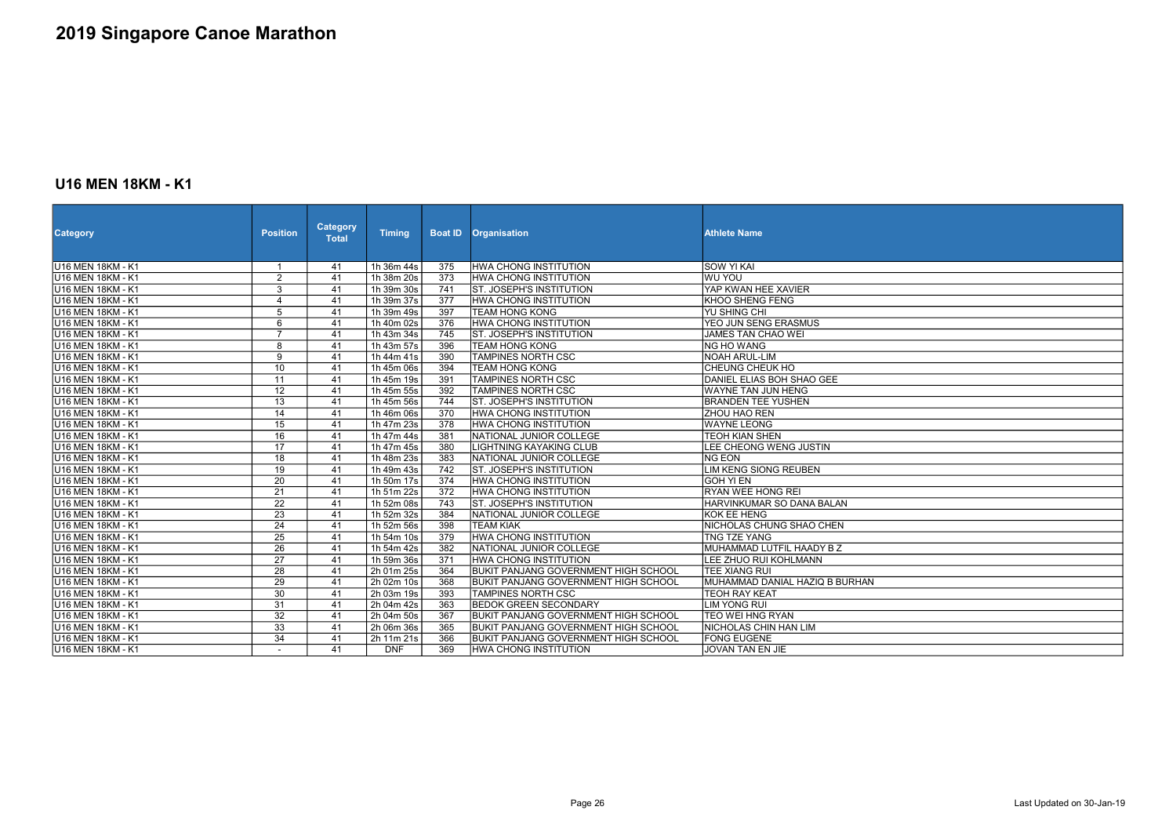### U16 MEN 18KM - K1

| <b>Category</b>          | <b>Position</b>          | <b>Category</b><br><b>Total</b> | <b>Timing</b>           | <b>Boat ID</b>   | <b>Organisation</b>                         | <b>Athlete Name</b>            |
|--------------------------|--------------------------|---------------------------------|-------------------------|------------------|---------------------------------------------|--------------------------------|
| U16 MEN 18KM - K1        |                          | 41                              | 1h 36m 44s              | 375              | <b>HWA CHONG INSTITUTION</b>                | SOW YI KAI                     |
| U16 MEN 18KM - K1        | $\overline{2}$           | 41                              | 1h 38m 20s              | 373              | <b>HWA CHONG INSTITUTION</b>                | <b>WU YOU</b>                  |
| <b>U16 MEN 18KM - K1</b> | $\overline{3}$           | 41                              | 1h 39m 30s              | 741              | <b>ST. JOSEPH'S INSTITUTION</b>             | YAP KWAN HEE XAVIER            |
| <b>U16 MEN 18KM - K1</b> | 4                        | 41                              | 1h 39m 37s              | 377              | <b>HWA CHONG INSTITUTION</b>                | <b>KHOO SHENG FENG</b>         |
| <b>U16 MEN 18KM - K1</b> | $\overline{5}$           | 41                              | 1h 39m 49s              | 397              | <b>TEAM HONG KONG</b>                       | <b>YU SHING CHI</b>            |
| U16 MEN 18KM - K1        | 6                        | 41                              | 1h 40m 02s              | 376              | HWA CHONG INSTITUTION                       | YEO JUN SENG ERASMUS           |
| U16 MEN 18KM - K1        | $\overline{7}$           | 41                              | 1h 43m 34s              | 745              | <b>ST. JOSEPH'S INSTITUTION</b>             | JAMES TAN CHAO WEI             |
| <b>U16 MEN 18KM - K1</b> | 8                        | $\overline{41}$                 | 1h 43m 57s              | 396              | <b>TEAM HONG KONG</b>                       | NG HO WANG                     |
| U16 MEN 18KM - K1        | $\overline{9}$           | 41                              | 1h 44m 41s              | 390              | <b>TAMPINES NORTH CSC</b>                   | NOAH ARUL-LIM                  |
| <b>U16 MEN 18KM - K1</b> | 10                       | 41                              | 1h 45m 06s              | 394              | <b>TEAM HONG KONG</b>                       | <b>CHEUNG CHEUK HO</b>         |
| U16 MEN 18KM - K1        | 11                       | 41                              | 1h 45m 19s              | 391              | <b>TAMPINES NORTH CSC</b>                   | DANIEL ELIAS BOH SHAO GEE      |
| <b>U16 MEN 18KM - K1</b> | $\overline{12}$          | 41                              | 1h 45m 55s              | 392              | <b>TAMPINES NORTH CSC</b>                   | <b>WAYNE TAN JUN HENG</b>      |
| U16 MEN 18KM - K1        | 13                       | 41                              | 1h 45m 56s              | 744              | <b>ST. JOSEPH'S INSTITUTION</b>             | <b>BRANDEN TEE YUSHEN</b>      |
| U16 MEN 18KM - K1        | $\overline{14}$          | 41                              | 1h 46m 06s              | 370              | <b>HWA CHONG INSTITUTION</b>                | <b>ZHOU HAO REN</b>            |
| <b>U16 MEN 18KM - K1</b> | $\overline{15}$          | 41                              | 1h 47m 23s              | $\overline{378}$ | HWA CHONG INSTITUTION                       | <b>WAYNE LEONG</b>             |
| U16 MEN 18KM - K1        | 16                       | 41                              | 1h 47m 44s              | 381              | NATIONAL JUNIOR COLLEGE                     | <b>TEOH KIAN SHEN</b>          |
| <b>U16 MEN 18KM - K1</b> | $\overline{17}$          | 41                              | 1h 47m 45s              | 380              | <b>LIGHTNING KAYAKING CLUB</b>              | LEE CHEONG WENG JUSTIN         |
| U16 MEN 18KM - K1        | 18                       | 41                              | 1h 48m 23s              | 383              | NATIONAL JUNIOR COLLEGE                     | <b>NG EON</b>                  |
| <b>U16 MEN 18KM - K1</b> | $\overline{19}$          | 41                              | 1h 49m 43s              | $\overline{742}$ | <b>ST. JOSEPH'S INSTITUTION</b>             | <b>LIM KENG SIONG REUBEN</b>   |
| <b>U16 MEN 18KM - K1</b> | $\overline{20}$          | 41                              | 1h 50m 17s              | $\overline{374}$ | <b>HWA CHONG INSTITUTION</b>                | <b>GOH YI EN</b>               |
| <b>U16 MEN 18KM - K1</b> | $\overline{21}$          | 41                              | $\overline{1h}$ 51m 22s | 372              | <b>HWA CHONG INSTITUTION</b>                | <b>RYAN WEE HONG REI</b>       |
| <b>U16 MEN 18KM - K1</b> | $\overline{22}$          | $\overline{41}$                 | 1h 52m 08s              | 743              | <b>ST. JOSEPH'S INSTITUTION</b>             | HARVINKUMAR SO DANA BALAN      |
| U16 MEN 18KM - K1        | $\overline{23}$          | 41                              | 1h 52m 32s              | 384              | NATIONAL JUNIOR COLLEGE                     | KOK EE HENG                    |
| U16 MEN 18KM - K1        | $\overline{24}$          | 41                              | 1h 52m 56s              | 398              | <b>TEAM KIAK</b>                            | NICHOLAS CHUNG SHAO CHEN       |
| <b>U16 MEN 18KM - K1</b> | $\overline{25}$          | 41                              | 1h 54m 10s              | 379              | <b>HWA CHONG INSTITUTION</b>                | <b>TNG TZE YANG</b>            |
| <b>U16 MEN 18KM - K1</b> | $\overline{26}$          | 41                              | 1h 54m 42s              | 382              | NATIONAL JUNIOR COLLEGE                     | MUHAMMAD LUTFIL HAADY B Z      |
| U16 MEN 18KM - K1        | $\overline{27}$          | $\overline{41}$                 | 1h 59m 36s              | 371              | <b>HWA CHONG INSTITUTION</b>                | LEE ZHUO RUI KOHLMANN          |
| <b>U16 MEN 18KM - K1</b> | 28                       | 41                              | 2h 01m 25s              | 364              | BUKIT PANJANG GOVERNMENT HIGH SCHOOL        | <b>TEE XIANG RUI</b>           |
| U16 MEN 18KM - K1        | 29                       | 41                              | 2h 02m 10s              | 368              | BUKIT PANJANG GOVERNMENT HIGH SCHOOL        | MUHAMMAD DANIAL HAZIQ B BURHAN |
| U16 MEN 18KM - K1        | $\overline{30}$          | 41                              | 2h 03m 19s              | 393              | <b>TAMPINES NORTH CSC</b>                   | <b>TEOH RAY KEAT</b>           |
| U16 MEN 18KM - K1        | 31                       | 41                              | 2h 04m 42s              | 363              | <b>BEDOK GREEN SECONDARY</b>                | LIM YONG RUI                   |
| <b>U16 MEN 18KM - K1</b> | $\overline{32}$          | 41                              | 2h 04m 50s              | 367              | <b>BUKIT PANJANG GOVERNMENT HIGH SCHOOL</b> | <b>TEO WEI HNG RYAN</b>        |
| U16 MEN 18KM - K1        | 33                       | 41                              | 2h 06m 36s              | 365              | BUKIT PANJANG GOVERNMENT HIGH SCHOOL        | NICHOLAS CHIN HAN LIM          |
| U16 MEN 18KM - K1        | $\overline{34}$          | 41                              | 2h 11m 21s              | 366              | <b>BUKIT PANJANG GOVERNMENT HIGH SCHOOL</b> | <b>FONG EUGENE</b>             |
| U16 MEN 18KM - K1        | $\overline{\phantom{0}}$ | 41                              | <b>DNF</b>              | 369              | HWA CHONG INSTITUTION                       | JOVAN TAN EN JIE               |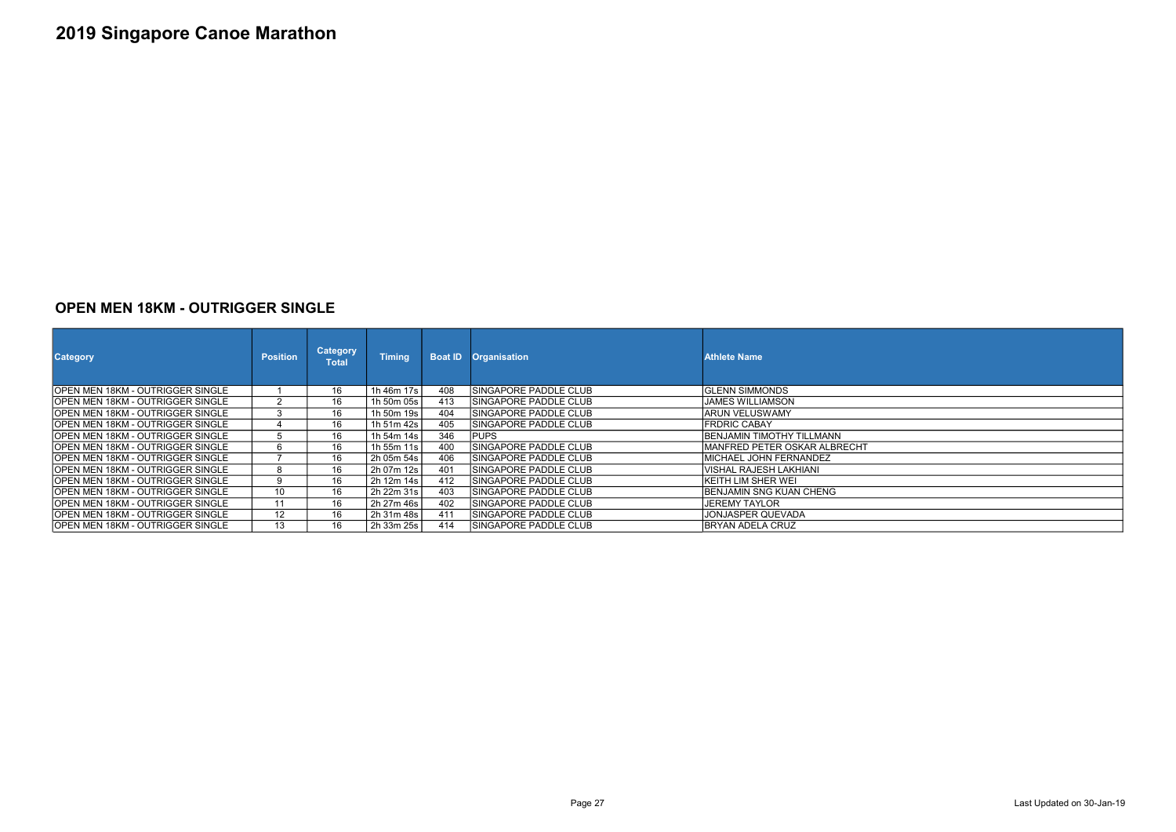#### OPEN MEN 18KM - OUTRIGGER SINGLE

| <b>Category</b>                          | <b>Position</b> | <b>Category</b><br><b>Total</b> | <b>Timing</b> | <b>Boat ID</b> | <b>Organisation</b>           | <b>Athlete Name</b>               |
|------------------------------------------|-----------------|---------------------------------|---------------|----------------|-------------------------------|-----------------------------------|
| OPEN MEN 18KM - OUTRIGGER SINGLE         |                 | 16                              | 1h 46m 17s    | 408            | ISINGAPORE PADDLE CLUB        | IGLENN SIMMONDS                   |
| OPEN MEN 18KM - OUTRIGGER SINGLE         | 2               | 16                              | 1h 50m 05s    | 413            | ISINGAPORE PADDLE CLUB        | <b>JAMES WILLIAMSON</b>           |
| OPEN MEN 18KM - OUTRIGGER SINGLE         | 3               | 16                              | 1h 50m 19s    | 404            | ISINGAPORE PADDLE CLUB        | IARUN VELUSWAMY                   |
| OPEN MEN 18KM - OUTRIGGER SINGLE         | 4               | 16                              | 1h 51m 42s    | 405            | ISINGAPORE PADDLE CLUB        | IFRDRIC CABAY                     |
| IOPEN MEN 18KM - OUTRIGGER SINGLE        | 5               | 16                              | 1h 54m 14s    | 346            | <b>PUPS</b>                   | <b>IBENJAMIN TIMOTHY TILLMANN</b> |
| IOPEN MEN 18KM - OUTRIGGER SINGLE        | 6               | 16                              | 1h 55m 11s    | 400            | ISINGAPORE PADDLE CLUB        | IMANFRED PETER OSKAR ALBRECHT     |
| OPEN MEN 18KM - OUTRIGGER SINGLE         |                 | 16                              | 2h 05m 54s    | 406            | <b>ISINGAPORE PADDLE CLUB</b> | MICHAEL JOHN FERNANDEZ            |
| OPEN MEN 18KM - OUTRIGGER SINGLE         | 8               | 16                              | 2h 07m 12s    | 401            | ISINGAPORE PADDLE CLUB        | IVISHAL RAJESH LAKHIANI           |
| OPEN MEN 18KM - OUTRIGGER SINGLE         | 9               | 16                              | 2h 12m 14s    | 412            | ISINGAPORE PADDLE CLUB        | İKEITH LIM SHER WEI               |
| OPEN MEN 18KM - OUTRIGGER SINGLE         | 10              | 16                              | 2h 22m 31s    | 403            | SINGAPORE PADDLE CLUB         | BENJAMIN SNG KUAN CHENG           |
| OPEN MEN 18KM - OUTRIGGER SINGLE         | 11              | 16                              | 2h 27m 46s    | 402            | ISINGAPORE PADDLE CLUB        | <b>JEREMY TAYLOR</b>              |
| IOPEN MEN 18KM - OUTRIGGER SINGLE        | 12              | 16                              | 2h 31m 48s    | 411            | ISINGAPORE PADDLE CLUB        | JONJASPER QUEVADA                 |
| <b>IOPEN MEN 18KM - OUTRIGGER SINGLE</b> | 13              | 16                              | 2h 33m 25s    | 414            | ISINGAPORE PADDLE CLUB        | IBRYAN ADELA CRUZ                 |

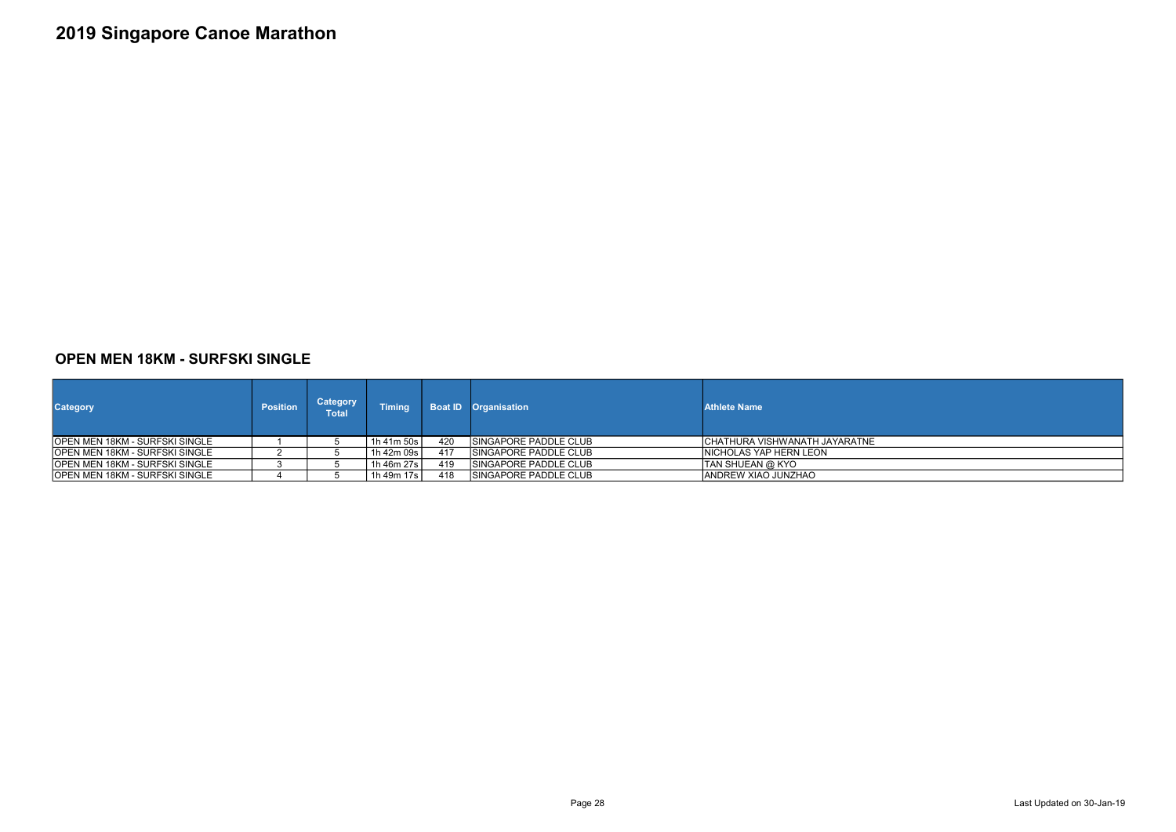### OPEN MEN 18KM - SURFSKI SINGLE

| <b>Category</b>                        | <b>Position</b> | <b>Category</b><br>Total | <b>Timing</b> | <b>Boat ID</b> | <b>Organisation</b>           | <b>Athlete Name</b>            |
|----------------------------------------|-----------------|--------------------------|---------------|----------------|-------------------------------|--------------------------------|
| <b>IOPEN MEN 18KM - SURFSKI SINGLE</b> |                 |                          | 1h 41m 50s    | 420            | ISINGAPORE PADDLE CLUB        | ICHATHURA VISHWANATH JAYARATNE |
| <b>IOPEN MEN 18KM - SURFSKI SINGLE</b> |                 |                          | 1h 42m 09s    | 417            | ISINGAPORE PADDLE CLUB        | INICHOLAS YAP HERN LEON        |
| <b>IOPEN MEN 18KM - SURFSKI SINGLE</b> |                 |                          | 1h 46m 27s    | 419            | <b>ISINGAPORE PADDLE CLUB</b> | <b>TAN SHUEAN @ KYO</b>        |
| OPEN MEN 18KM - SURFSKI SINGLE         |                 |                          | 1h 49m 17s    | 418            | ISINGAPORE PADDLE CLUB        | <b>IANDREW XIAO JUNZHAO</b>    |



Page 28 Last Updated on 30-Jan-19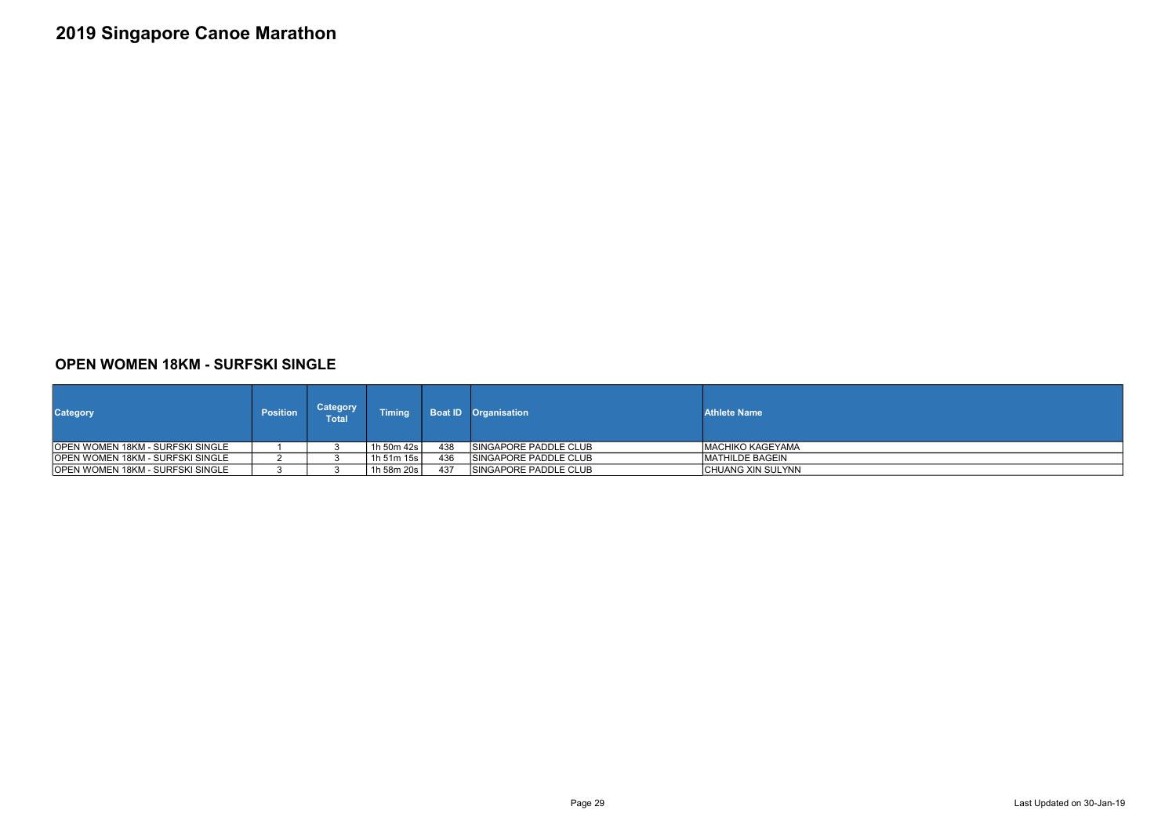### OPEN WOMEN 18KM - SURFSKI SINGLE

| <b>Category</b>                          | <b>Position</b> | <b>Category</b><br>Total' | <b>Timing</b> |     | <b>Boat ID</b> Organisation   | <b>Athlete Name</b>     |
|------------------------------------------|-----------------|---------------------------|---------------|-----|-------------------------------|-------------------------|
| <b>IOPEN WOMEN 18KM - SURFSKI SINGLE</b> |                 |                           | 1h 50m 42s l  | 438 | <b>ISINGAPORE PADDLE CLUB</b> | IMACHIKO KAGEYAMA       |
| OPEN WOMEN 18KM - SURFSKI SINGLE         |                 |                           | 1h 51m 15s l  | 436 | <b>ISINGAPORE PADDLE CLUB</b> | <b>IMATHILDE BAGEIN</b> |
| OPEN WOMEN 18KM - SURFSKI SINGLE         |                 |                           | 1h 58m 20s    | 437 | <b>ISINGAPORE PADDLE CLUB</b> | CHUANG XIN SULYNN       |



Page 29 Last Updated on 30-Jan-19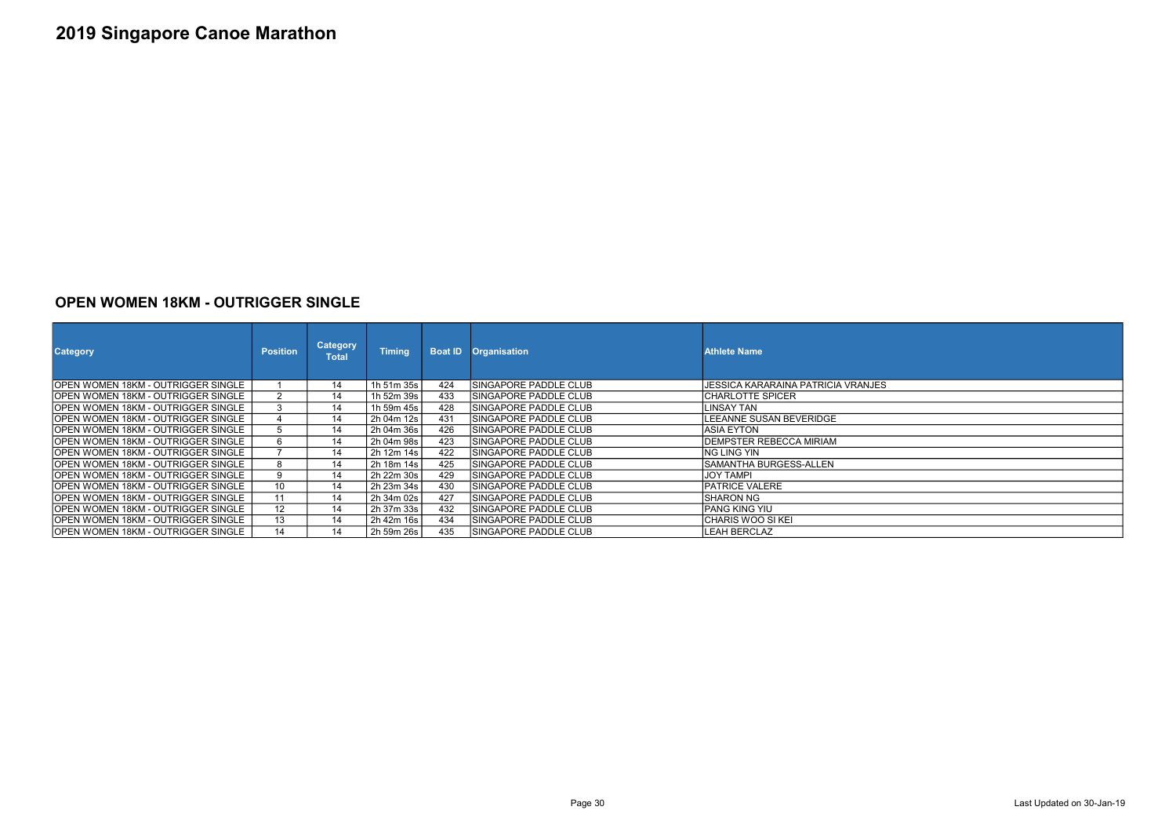### OPEN WOMEN 18KM - OUTRIGGER SINGLE

| <b>Category</b>                     | <b>Position</b> | <b>Category</b><br><b>Total</b> | <b>Timina</b> | <b>Boat ID</b> | <b>Organisation</b>           | <b>Athlete Name</b>                |
|-------------------------------------|-----------------|---------------------------------|---------------|----------------|-------------------------------|------------------------------------|
| IOPEN WOMEN 18KM - OUTRIGGER SINGLE |                 | 14                              | 1h 51m 35s    | 424            | <b>ISINGAPORE PADDLE CLUB</b> | JESSICA KARARAINA PATRICIA VRANJES |
| IOPEN WOMEN 18KM - OUTRIGGER SINGLE |                 | 14                              | 1h 52m 39s    | 433            | <b>ISINGAPORE PADDLE CLUB</b> | <b>CHARLOTTE SPICER</b>            |
| IOPEN WOMEN 18KM - OUTRIGGER SINGLE |                 | 14                              | 1h 59m 45s l  | 428            | <b>ISINGAPORE PADDLE CLUB</b> | LINSAY TAN                         |
| OPEN WOMEN 18KM - OUTRIGGER SINGLE  |                 | 14                              | 2h 04m 12s    | 431            | ISINGAPORE PADDLE CLUB        | LEEANNE SUSAN BEVERIDGE            |
| OPEN WOMEN 18KM - OUTRIGGER SINGLE  |                 | 14                              | 2h 04m 36s    | 426            | <b>ISINGAPORE PADDLE CLUB</b> | <b>ASIA EYTON</b>                  |
| OPEN WOMEN 18KM - OUTRIGGER SINGLE  | 6               | 14                              | 2h 04m 98s    | 423            | <b>ISINGAPORE PADDLE CLUB</b> | DEMPSTER REBECCA MIRIAM            |
| OPEN WOMEN 18KM - OUTRIGGER SINGLE  |                 | 14                              | 2h 12m 14s l  | 422            | <b>ISINGAPORE PADDLE CLUB</b> | NG LING YIN                        |
| OPEN WOMEN 18KM - OUTRIGGER SINGLE  | 8               | 14                              | 2h 18m 14s    | 425            | <b>ISINGAPORE PADDLE CLUB</b> | SAMANTHA BURGESS-ALLEN             |
| IOPEN WOMEN 18KM - OUTRIGGER SINGLE | 9               | 14                              | 2h 22m 30s    | 429            | <b>ISINGAPORE PADDLE CLUB</b> | <b>JOY TAMPI</b>                   |
| IOPEN WOMEN 18KM - OUTRIGGER SINGLE | 10              | 14                              | 2h 23m 34s    | 430            | <b>ISINGAPORE PADDLE CLUB</b> | <b>IPATRICE VALERE</b>             |
| IOPEN WOMEN 18KM - OUTRIGGER SINGLE | 11              | 14                              | 2h 34m 02s    | 427            | <b>ISINGAPORE PADDLE CLUB</b> | <b>SHARON NG</b>                   |
| IOPEN WOMEN 18KM - OUTRIGGER SINGLE | 12              | 14                              | 2h 37m 33s l  | 432            | <b>ISINGAPORE PADDLE CLUB</b> | <b>PANG KING YIU</b>               |
| IOPEN WOMEN 18KM - OUTRIGGER SINGLE | 13              | 14                              | 2h 42m 16s    | 434            | <b>ISINGAPORE PADDLE CLUB</b> | CHARIS WOO SI KEI                  |
| OPEN WOMEN 18KM - OUTRIGGER SINGLE  | 14              | 14                              | 2h 59m 26s    | 435            | <b>ISINGAPORE PADDLE CLUB</b> | LEAH BERCLAZ                       |

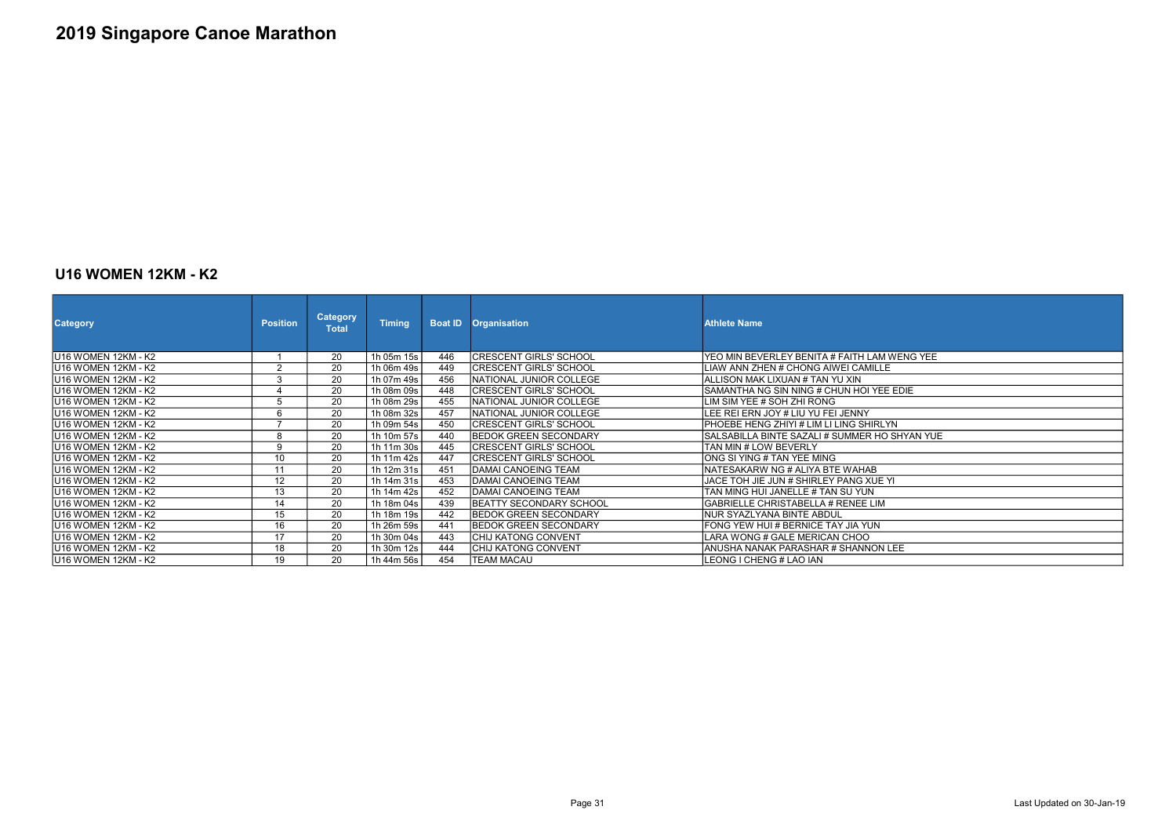### U16 WOMEN 12KM - K2

| <b>Category</b>             | <b>Position</b> | <b>Category</b><br><b>Total</b> | <b>Timing</b> |     | <b>Boat ID Organisation</b>   | <b>Athlete Name</b>                            |
|-----------------------------|-----------------|---------------------------------|---------------|-----|-------------------------------|------------------------------------------------|
| U16 WOMEN 12KM - K2         |                 | 20                              | 1h 05m 15s    | 446 | CRESCENT GIRLS' SCHOOL        | YEO MIN BEVERLEY BENITA # FAITH LAM WENG YEE   |
| U16 WOMEN 12KM - K2         | $\Omega$        | 20                              | 1h 06m 49s    | 449 | <b>CRESCENT GIRLS' SCHOOL</b> | LIAW ANN ZHEN # CHONG AIWEI CAMILLE            |
| lU16 WOMEN 12KM - K2        | 3               | 20                              | 1h 07m 49s    | 456 | NATIONAL JUNIOR COLLEGE       | IALLISON MAK LIXUAN # TAN YU XIN               |
| U16 WOMEN 12KM - K2         |                 | 20                              | 1h 08m 09s    | 448 | CRESCENT GIRLS' SCHOOL        | SAMANTHA NG SIN NING # CHUN HOI YEE EDIE       |
| U16 WOMEN 12KM - K2         |                 | 20                              | 1h 08m 29s    | 455 | NATIONAL JUNIOR COLLEGE       | LIM SIM YEE # SOH ZHI RONG                     |
| lU16 WOMEN 12KM - K2        | 6               | 20                              | 1h 08m 32s    | 457 | NATIONAL JUNIOR COLLEGE       | LEE REI ERN JOY # LIU YU FEI JENNY             |
| <b>JU16 WOMEN 12KM - K2</b> |                 | 20                              | 1h 09m 54s    | 450 | <b>CRESCENT GIRLS' SCHOOL</b> | PHOEBE HENG ZHIYI # LIM LI LING SHIRLYN        |
| <b>IU16 WOMEN 12KM - K2</b> | 8               | 20                              | 1h 10m 57s    | 440 | <b>IBEDOK GREEN SECONDARY</b> | ISALSABILLA BINTE SAZALI # SUMMER HO SHYAN YUE |
| <b>JU16 WOMEN 12KM - K2</b> | Q               | 20                              | 1h 11m 30s    | 445 | CRESCENT GIRLS' SCHOOL        | ITAN MIN # LOW BEVERLY_                        |
| U16 WOMEN 12KM - K2         | 10              | 20                              | 1h 11m 42s    | 447 | ICRESCENT GIRLS' SCHOOL       | IONG SI YING # TAN YEE MING                    |
| lU16 WOMEN 12KM - K2        | 11              | 20                              | 1h 12m 31s    | 451 | <b>DAMAI CANOEING TEAM</b>    | NATESAKARW NG # ALIYA BTE WAHAB                |
| U16 WOMEN 12KM - K2         | 12              | 20                              | 1h 14m 31s    | 453 | IDAMAI CANOEING TEAM          | JACE TOH JIE JUN # SHIRLEY PANG XUE YI         |
| U16 WOMEN 12KM - K2         | 13              | 20                              | 1h 14m 42s    | 452 | <b>DAMAI CANOEING TEAM</b>    | TAN MING HUI JANELLE # TAN SU YUN              |
| U16 WOMEN 12KM - K2         | 14              | 20                              | 1h 18m 04s    | 439 | BEATTY SECONDARY SCHOOL       | GABRIELLE CHRISTABELLA # RENEE LIM             |
| lU16 WOMEN 12KM - K2        | 15              | 20                              | 1h 18m 19s    | 442 | <b>BEDOK GREEN SECONDARY</b>  | INUR SYAZLYANA BINTE ABDUL                     |
| <b>IU16 WOMEN 12KM - K2</b> | 16              | 20                              | 1h 26m 59s    | 441 | <b>IBEDOK GREEN SECONDARY</b> | IFONG YEW HUI # BERNICE TAY JIA YUN            |
| lU16 WOMEN 12KM - K2        | 17              | 20                              | 1h 30m 04s    | 443 | ICHIJ KATONG CONVENT          | LARA WONG # GALE MERICAN CHOO                  |
| U16 WOMEN 12KM - K2         | 18              | 20                              | 1h 30m 12s    | 444 | CHIJ KATONG CONVENT           | ANUSHA NANAK PARASHAR # SHANNON LEE            |
| lU16 WOMEN 12KM - K2        | 19              | 20                              | 1h 44m 56s    | 454 | ITEAM MACAU                   | ILEONG I CHENG # LAO IAN                       |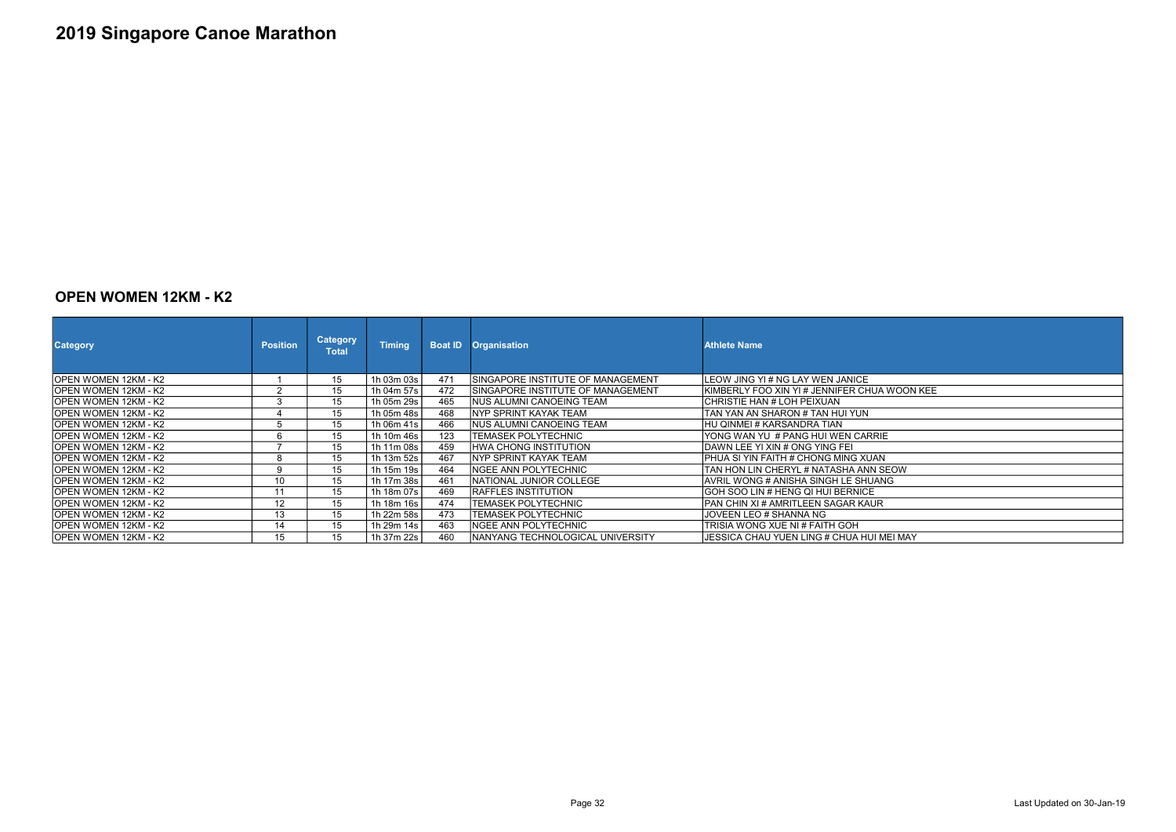#### OPEN WOMEN 12KM - K2

| <b>Category</b>              | <b>Position</b> | Category<br><b>Total</b> | <b>Timing</b> |     | <b>Boat ID Organisation</b>        | <b>Athlete Name</b>                           |
|------------------------------|-----------------|--------------------------|---------------|-----|------------------------------------|-----------------------------------------------|
| IOPEN WOMEN 12KM - K2        |                 | 15                       | 1h 03m 03s    | 471 | ISINGAPORE INSTITUTE OF MANAGEMENT | ILEOW JING YI # NG LAY WEN JANICE             |
| IOPEN WOMEN 12KM - K2        | $\Omega$        | 15 <sub>15</sub>         | 1h 04m 57s l  | 472 | ISINGAPORE INSTITUTE OF MANAGEMENT | IKIMBERLY FOO XIN YI # JENNIFER CHUA WOON KEE |
| IOPEN WOMEN 12KM - K2        |                 | 15 <sub>15</sub>         | 1h 05m 29s    | 465 | INUS ALUMNI CANOEING TEAM          | ICHRISTIE HAN # LOH PEIXUAN                   |
| IOPEN WOMEN 12KM - K2        |                 | 15                       | 1h 05m 48s l  | 468 | <b>INYP SPRINT KAYAK TEAM</b>      | TAN YAN AN SHARON # TAN HUI YUN               |
| <b>IOPEN WOMEN 12KM - K2</b> |                 | 15                       | 1h 06m 41s    | 466 | INUS ALUMNI CANOEING TEAM          | IHU QINMEI # KARSANDRA TIAN                   |
| IOPEN WOMEN 12KM - K2        |                 | 15                       | 1h 10m 46s    | 123 | ITEMASEK POLYTECHNIC               | YONG WAN YU # PANG HUI WEN CARRIE             |
| <b>JOPEN WOMEN 12KM - K2</b> |                 | 15                       | 1h 11m 08s    | 459 | IHWA CHONG INSTITUTION             | IDAWN LEE YI XIN # ONG YING FEI               |
| IOPEN WOMEN 12KM - K2        |                 | 15                       | 1h 13m 52s    | 467 | <b>NYP SPRINT KAYAK TEAM</b>       | PHUA SI YIN FAITH # CHONG MING XUAN           |
| IOPEN WOMEN 12KM - K2        | 9               | 15                       | 1h 15m 19s    | 464 | NGEE ANN POLYTECHNIC               | TAN HON LIN CHERYL # NATASHA ANN SEOW         |
| IOPEN WOMEN 12KM - K2        | 10              | 15                       | 1h 17m 38s    | 461 | NATIONAL JUNIOR COLLEGE            | IAVRIL WONG # ANISHA SINGH LE SHUANG          |
| IOPEN WOMEN 12KM - K2        |                 | 15                       | 1h 18m 07s    | 469 | <b>IRAFFLES INSTITUTION</b>        | IGOH SOO LIN # HENG QI HUI BERNICE            |
| <b>JOPEN WOMEN 12KM - K2</b> | 12              | 15                       | 1h 18m 16s    | 474 | TEMASEK POLYTECHNIC                | IPAN CHIN XI # AMRITLEEN SAGAR KAUR           |
| IOPEN WOMEN 12KM - K2        | 13              | 15                       | 1h 22m 58s l  | 473 | ITEMASEK POLYTECHNIC               | JOVEEN LEO # SHANNA NG                        |
| <b>JOPEN WOMEN 12KM - K2</b> | 14              | 15                       | 1h 29m 14s    | 463 | INGEE ANN POLYTECHNIC              | TRISIA WONG XUE NI # FAITH GOH                |
| IOPEN WOMEN 12KM - K2        | 15              | 15                       | 1h 37m 22s    | 460 | INANYANG TECHNOLOGICAL UNIVERSITY  | JESSICA CHAU YUEN LING # CHUA HUI MEI MAY     |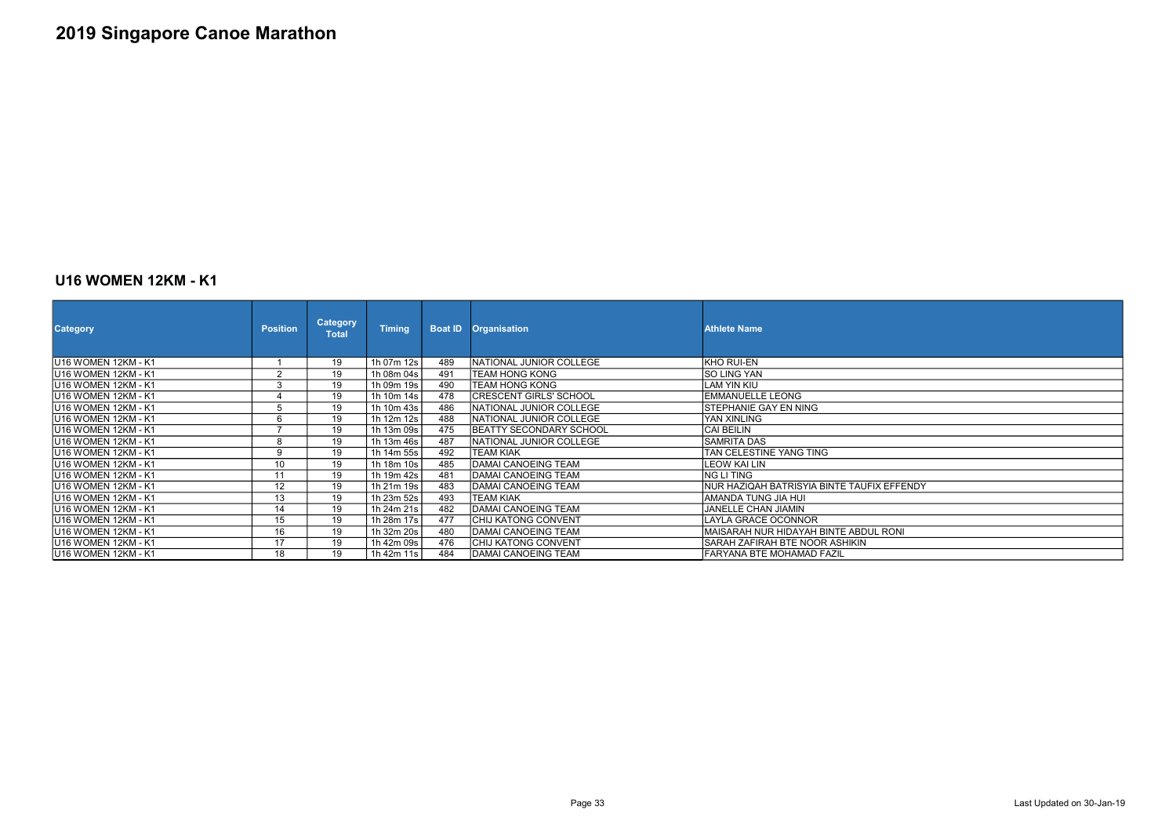### U16 WOMEN 12KM - K1

| <b>Category</b>             | <b>Position</b> | <b>Category</b><br><b>Total</b> | <b>Timing</b> |     | <b>Boat ID Organisation</b>    | <b>Athlete Name</b>                        |
|-----------------------------|-----------------|---------------------------------|---------------|-----|--------------------------------|--------------------------------------------|
| lU16 WOMEN 12KM - K1        |                 | 19                              | 1h 07m 12s    | 489 | NATIONAL JUNIOR COLLEGE        | KHO RUI-EN                                 |
| U16 WOMEN 12KM - K1         | $\sim$          | 19                              | 1h 08m 04s    | 491 | <b>TEAM HONG KONG</b>          | SO LING YAN                                |
| U16 WOMEN 12KM - K1         | 3               | 19                              | 1h 09m 19s    | 490 | <b>TEAM HONG KONG</b>          | <b>LAM YIN KIU</b>                         |
| U16 WOMEN 12KM - K1         |                 | 19                              | 1h 10m 14s    | 478 | CRESCENT GIRLS' SCHOOL         | <b>EMMANUELLE LEONG</b>                    |
| U16 WOMEN 12KM - K1         |                 | 19                              | 1h 10m 43s    | 486 | NATIONAL JUNIOR COLLEGE        | STEPHANIE GAY EN NING                      |
| U16 WOMEN 12KM - K1         |                 | 19                              | 1h 12m 12s    | 488 | NATIONAL JUNIOR COLLEGE        | IYAN XINLING                               |
| U16 WOMEN 12KM - K1         |                 | 19                              | 1h 13m 09s    | 475 | <b>BEATTY SECONDARY SCHOOL</b> | <b>CAI BEILIN</b>                          |
| U16 WOMEN 12KM - K1         | 8               | 19                              | 1h 13m 46s    | 487 | NATIONAL JUNIOR COLLEGE        | <b>ISAMRITA DAS</b>                        |
| <b>JU16 WOMEN 12KM - K1</b> | a               | 19                              | 1h 14m 55s    | 492 | ITEAM KIAK                     | TAN CELESTINE YANG TING                    |
| JU16 WOMEN 12KM - K1        | 10              | 19                              | 1h 18m 10s    | 485 | DAMAI CANOEING TEAM            | LEOW KAI LIN                               |
| U16 WOMEN 12KM - K1         | 11              | 19                              | 1h 19m 42s    | 481 | <b>DAMAI CANOEING TEAM</b>     | NG LI TING                                 |
| <b>JU16 WOMEN 12KM - K1</b> | 12              | 19                              | 1h 21m 19s    | 483 | DAMAI CANOEING TEAM            | NUR HAZIQAH BATRISYIA BINTE TAUFIX EFFENDY |
| IU16 WOMEN 12KM - K1        | 13              | 19                              | 1h 23m 52s    | 493 | <b>TEAM KIAK</b>               | IAMANDA TUNG JIA HUI                       |
| U16 WOMEN 12KM - K1         | 14              | 19                              | 1h 24m 21s    | 482 | <b>DAMAI CANOEING TEAM</b>     | <b>JANELLE CHAN JIAMIN</b>                 |
| U16 WOMEN 12KM - K1         | 15              | 19                              | 1h 28m 17s    | 477 | ICHIJ KATONG CONVENT           | LAYLA GRACE OCONNOR                        |
| lU16 WOMEN 12KM - K1        | 16              | 19                              | 1h 32m 20s    | 480 | <b>DAMAI CANOEING TEAM</b>     | MAISARAH NUR HIDAYAH BINTE ABDUL RONI      |
| JU16 WOMEN 12KM - K1        | 17              | 19                              | 1h 42m 09s    | 476 | CHIJ KATONG CONVENT            | SARAH ZAFIRAH BTE NOOR ASHIKIN             |
| U16 WOMEN 12KM - K1         | 18              | 19                              | 1h 42m 11s    | 484 | DAMAI CANOEING TEAM            | FARYANA BTE MOHAMAD FAZIL                  |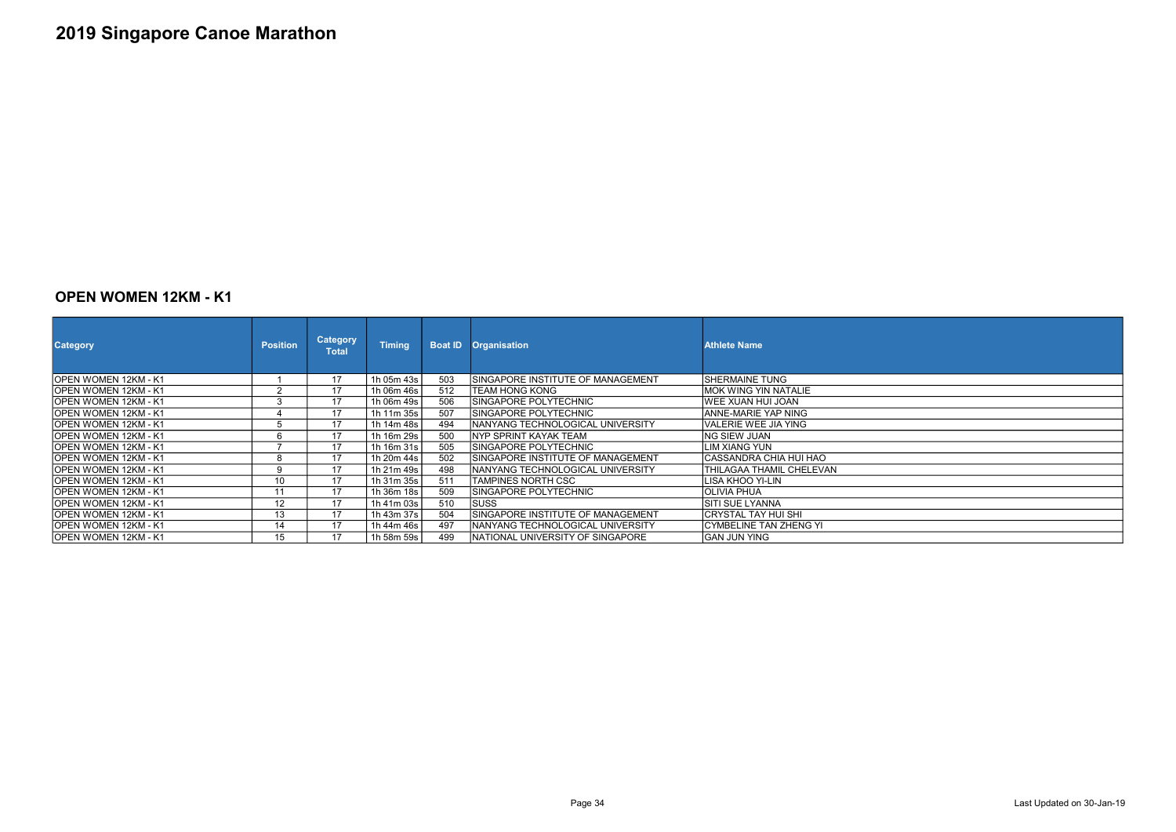#### OPEN WOMEN 12KM - K1

| <b>Category</b>       | <b>Position</b> | <b>Category</b><br>Total | <b>Timing</b> | <b>Boat ID</b> | <b>Organisation</b>                       | <b>Athlete Name</b>      |
|-----------------------|-----------------|--------------------------|---------------|----------------|-------------------------------------------|--------------------------|
| IOPEN WOMEN 12KM - K1 |                 | 17                       | 1h 05m 43s    | 503            | <b>ISINGAPORE INSTITUTE OF MANAGEMENT</b> | ISHERMAINE TUNG          |
| IOPEN WOMEN 12KM - K1 | $\overline{2}$  | 17                       | 1h 06m 46s    | 512            | ITEAM HONG KONG                           | IMOK WING YIN NATALIE    |
| IOPEN WOMEN 12KM - K1 | 3               | 17                       | 1h 06m 49s    | 506            | ISINGAPORE POLYTECHNIC                    | IWEE XUAN HUI JOAN       |
| IOPEN WOMEN 12KM - K1 | 4               | 17                       | 1h 11m 35s    | 507            | ISINGAPORE POLYTECHNIC                    | IANNE-MARIE YAP NING     |
| IOPEN WOMEN 12KM - K1 | 5               | 17                       | 1h 14m 48s    | 494            | INANYANG TECHNOLOGICAL UNIVERSITY         | lVALERIE WEE JIA YING    |
| OPEN WOMEN 12KM - K1  | 6               | 17                       | 1h 16m 29s    | 500            | INYP SPRINT KAYAK TEAM                    | ING SIEW JUAN            |
| IOPEN WOMEN 12KM - K1 |                 | 17                       | 1h 16m 31s    | 505            | <b>ISINGAPORE POLYTECHNIC</b>             | ILIM XIANG YUN           |
| IOPEN WOMEN 12KM - K1 | 8               | 17                       | 1h 20m 44s    | 502            | ISINGAPORE INSTITUTE OF MANAGEMENT        | ICASSANDRA CHIA HUI HAO  |
| IOPEN WOMEN 12KM - K1 | 9               | 17                       | 1h 21m 49s    | 498            | INANYANG TECHNOLOGICAL UNIVERSITY         | THILAGAA THAMIL CHELEVAN |
| IOPEN WOMEN 12KM - K1 | 10              | 17                       | 1h 31m 35s    | 511            | ITAMPINES NORTH CSC                       | ILISA KHOO YI-LIN        |
| IOPEN WOMEN 12KM - K1 | 11              | 17                       | 1h 36m 18s    | 509            | <b>ISINGAPORE POLYTECHNIC</b>             | IOLIVIA PHUA             |
| IOPEN WOMEN 12KM - K1 | 12              | 17                       | 1h 41m 03s    | 510            | <b>ISUSS</b>                              | <b>SITI SUE LYANNA</b>   |
| IOPEN WOMEN 12KM - K1 | 13              | 17                       | 1h 43m 37s    | 504            | ISINGAPORE INSTITUTE OF MANAGEMENT        | ICRYSTAL TAY HUI SHI     |
| IOPEN WOMEN 12KM - K1 | 14              | 17                       | 1h 44m 46s    | 497            | INANYANG TECHNOLOGICAL UNIVERSITY         | ICYMBELINE TAN ZHENG YI  |
| IOPEN WOMEN 12KM - K1 | 15              | 17                       | 1h 58m 59s    | 499            | INATIONAL UNIVERSITY OF SINGAPORE         | IGAN JUN YING            |

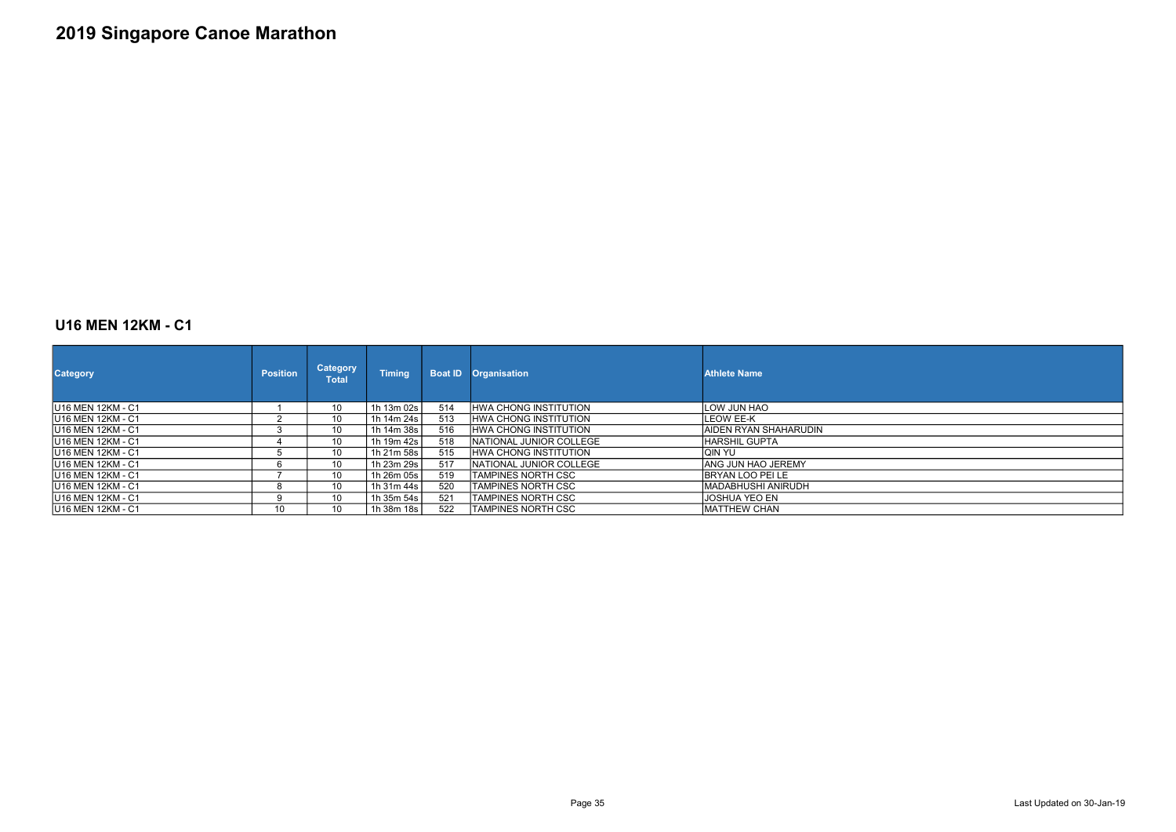### U16 MEN 12KM - C1

| <b>Category</b>    | <b>Position</b> | <b>Category</b><br>Total | <b>Timing</b> |     | <b>Boat ID Organisation</b>  | <b>Athlete Name</b>    |
|--------------------|-----------------|--------------------------|---------------|-----|------------------------------|------------------------|
| IU16 MEN 12KM - C1 |                 | 10                       | 1h 13m 02s    | 514 | <b>HWA CHONG INSTITUTION</b> | LOW JUN HAO            |
| IU16 MEN 12KM - C1 |                 | 10                       | 1h 14m 24s    | 513 | <b>HWA CHONG INSTITUTION</b> | LEOW EE-K              |
| IU16 MEN 12KM - C1 | 3               | 10                       | 1h 14m 38s    | 516 | <b>HWA CHONG INSTITUTION</b> | IAIDEN RYAN SHAHARUDIN |
| IU16 MEN 12KM - C1 | 4               | 10                       | 1h 19m 42s    | 518 | INATIONAL JUNIOR COLLEGE     | IHARSHIL GUPTA         |
| IU16 MEN 12KM - C1 | ۰.              | 10                       | 1h 21m 58s l  | 515 | <b>HWA CHONG INSTITUTION</b> | lqin yu                |
| IU16 MEN 12KM - C1 | 6               | 10                       | 1h 23m 29s l  | 517 | NATIONAL JUNIOR COLLEGE      | IANG JUN HAO JEREMY    |
| IU16 MEN 12KM - C1 |                 | 10                       | 1h 26m 05s    | 519 | TAMPINES NORTH CSC           | IBRYAN LOO PEI LE      |
| IU16 MEN 12KM - C1 | 8               | 10                       | 1h 31m 44s    | 520 | <b>TAMPINES NORTH CSC</b>    | IMADABHUSHI ANIRUDH    |
| IU16 MEN 12KM - C1 | 9               | 10                       | 1h 35m 54s    | 521 | <b>TAMPINES NORTH CSC</b>    | IJOSHUA YEO EN         |
| IU16 MEN 12KM - C1 | 10              | 10 <sup>°</sup>          | 1h 38m 18s    | 522 | <b>TAMPINES NORTH CSC</b>    | <b>IMATTHEW CHAN</b>   |

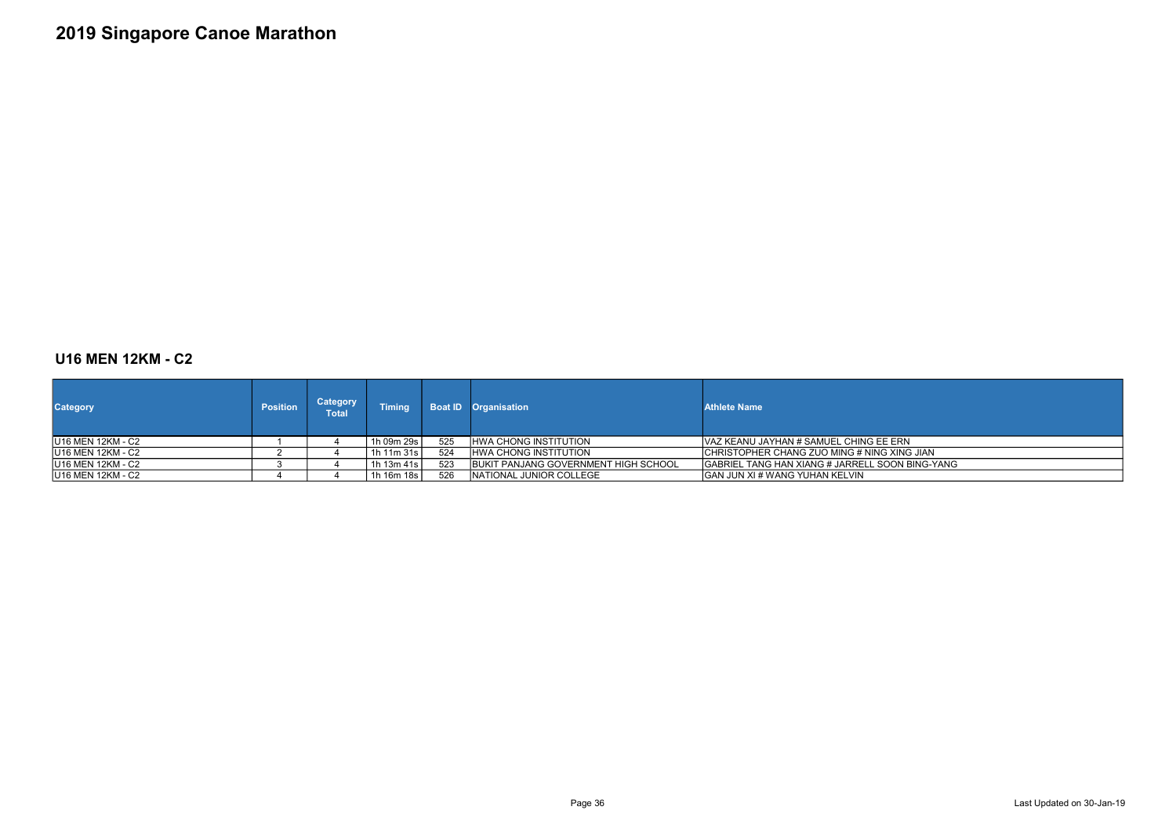### U16 MEN 12KM - C2

| <b>Category</b>    | <b>Position</b> | Category<br>Total | <b>Timing</b>  |     | <b>Boat ID Organisation</b>          | <b>Athlete Name</b>                             |
|--------------------|-----------------|-------------------|----------------|-----|--------------------------------------|-------------------------------------------------|
| IU16 MEN 12KM - C2 |                 |                   | 1h 09m 29s     | 525 | <b>IHWA CHONG INSTITUTION</b>        | IVAZ KEANU JAYHAN # SAMUEL CHING EE ERN         |
| IU16 MEN 12KM - C2 |                 |                   | 1h 11m $31s_1$ | 524 | <b>HWA CHONG INSTITUTION</b>         | ICHRISTOPHER CHANG ZUO MING # NING XING JIAN    |
| IU16 MEN 12KM - C2 |                 |                   | 1h $13m 41s$   | 523 | BUKIT PANJANG GOVERNMENT HIGH SCHOOL | GABRIEL TANG HAN XIANG # JARRELL SOON BING-YANG |
| IU16 MEN 12KM - C2 |                 |                   | 1h 16m 18s     | 526 | NATIONAL JUNIOR COLLEGE              | <b>GAN JUN XI # WANG YUHAN KELVIN</b>           |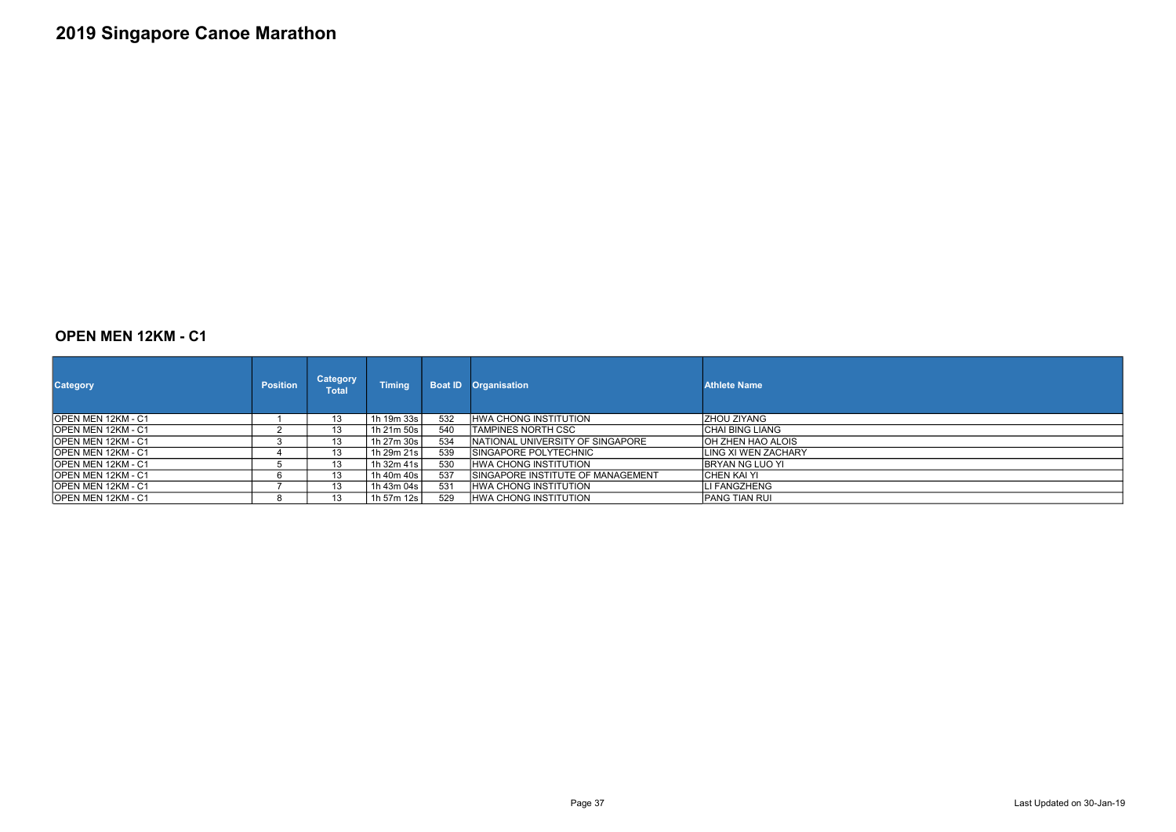### OPEN MEN 12KM - C1

| <b>Category</b>            | <b>Position</b> | <b>Category</b><br>Total | <b>Timing</b> |     | <b>Boat ID Organisation</b>              | <b>Athlete Name</b> |
|----------------------------|-----------------|--------------------------|---------------|-----|------------------------------------------|---------------------|
| <b>IOPEN MEN 12KM - C1</b> |                 | 13                       | 1h 19m 33s l  | 532 | IHWA CHONG INSTITUTION                   | IZHOU ZIYANG        |
| <b>IOPEN MEN 12KM - C1</b> |                 | 13                       | 1h 21m 50s l  | 540 | ITAMPINES NORTH CSC                      | ICHAI BING LIANG    |
| IOPEN MEN 12KM - C1        |                 | 13                       | 1h 27m 30s    | 534 | INATIONAL UNIVERSITY OF SINGAPORE        | OH ZHEN HAO ALOIS   |
| <b>IOPEN MEN 12KM - C1</b> |                 | 13                       | 1h 29m 21s    | 539 | ISINGAPORE POLYTECHNIC                   | LING XI WEN ZACHARY |
| <b>IOPEN MEN 12KM - C1</b> |                 | 13                       | 1h 32m 41s    | 530 | IHWA CHONG INSTITUTION                   | IBRYAN NG LUO YI    |
| <b>IOPEN MEN 12KM - C1</b> |                 | 13                       | 1h 40m 40s    | 537 | <b>SINGAPORE INSTITUTE OF MANAGEMENT</b> | ICHEN KAI YI        |
| <b>IOPEN MEN 12KM - C1</b> |                 | 13                       | 1h 43m 04s l  | 531 | IHWA CHONG INSTITUTION                   | LI FANGZHENG        |
| <b>IOPEN MEN 12KM - C1</b> |                 | 13                       | 1h 57m 12s l  | 529 | IHWA CHONG INSTITUTION                   | IPANG TIAN RUI      |

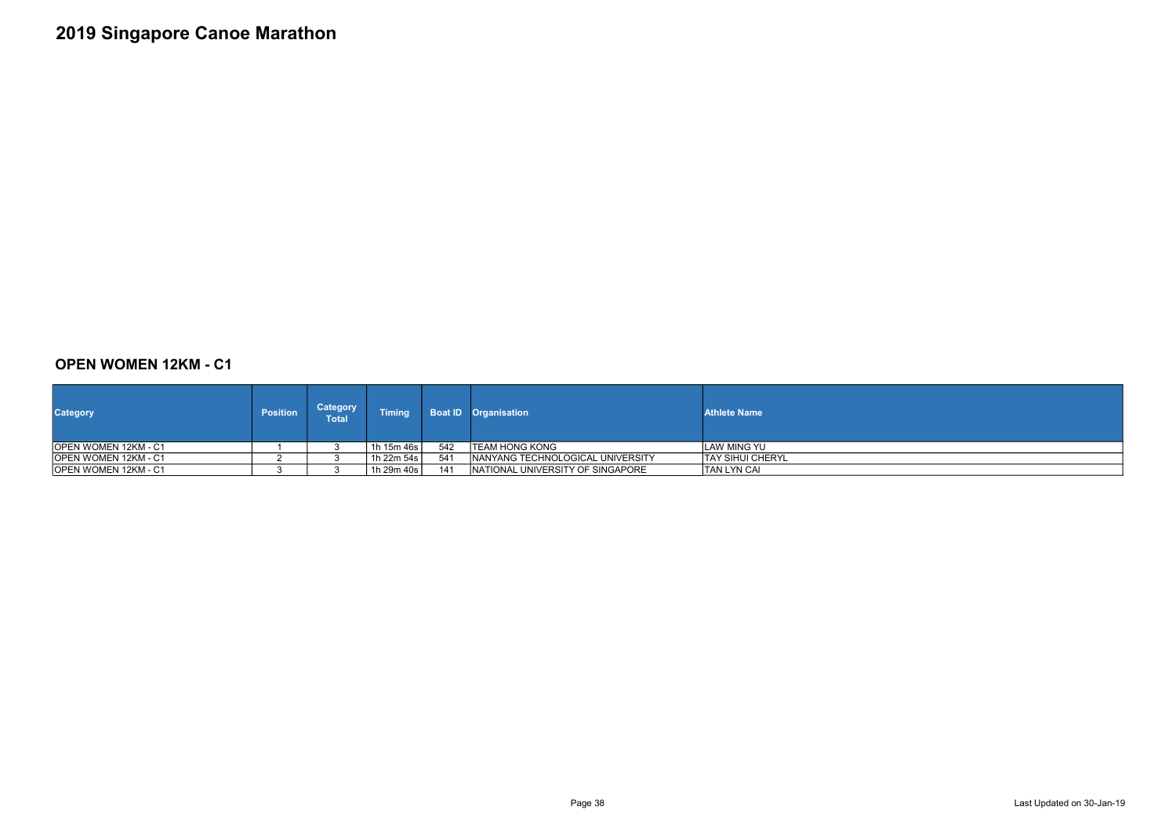### OPEN WOMEN 12KM - C1

| <b>Category</b>       | <b>Position</b> | <b>Category</b><br>Total' | <b>Timing</b> |     | <b>Boat ID</b> Organisation       | <b>Athlete Name</b>      |
|-----------------------|-----------------|---------------------------|---------------|-----|-----------------------------------|--------------------------|
| IOPEN WOMEN 12KM - C1 |                 |                           | 1h 15m 46s    | 542 | ITEAM HONG KONG                   | <b>ILAW MING YU</b>      |
| IOPEN WOMEN 12KM - C1 |                 |                           | 1h 22m 54s    | 541 | INANYANG TECHNOLOGICAL UNIVERSITY | <b>ITAY SIHUI CHERYL</b> |
| OPEN WOMEN 12KM - C1  |                 |                           | 1h 29m 40s    | 141 | NATIONAL UNIVERSITY OF SINGAPORE  | ITAN LYN CAI             |



Page 38 Last Updated on 30-Jan-19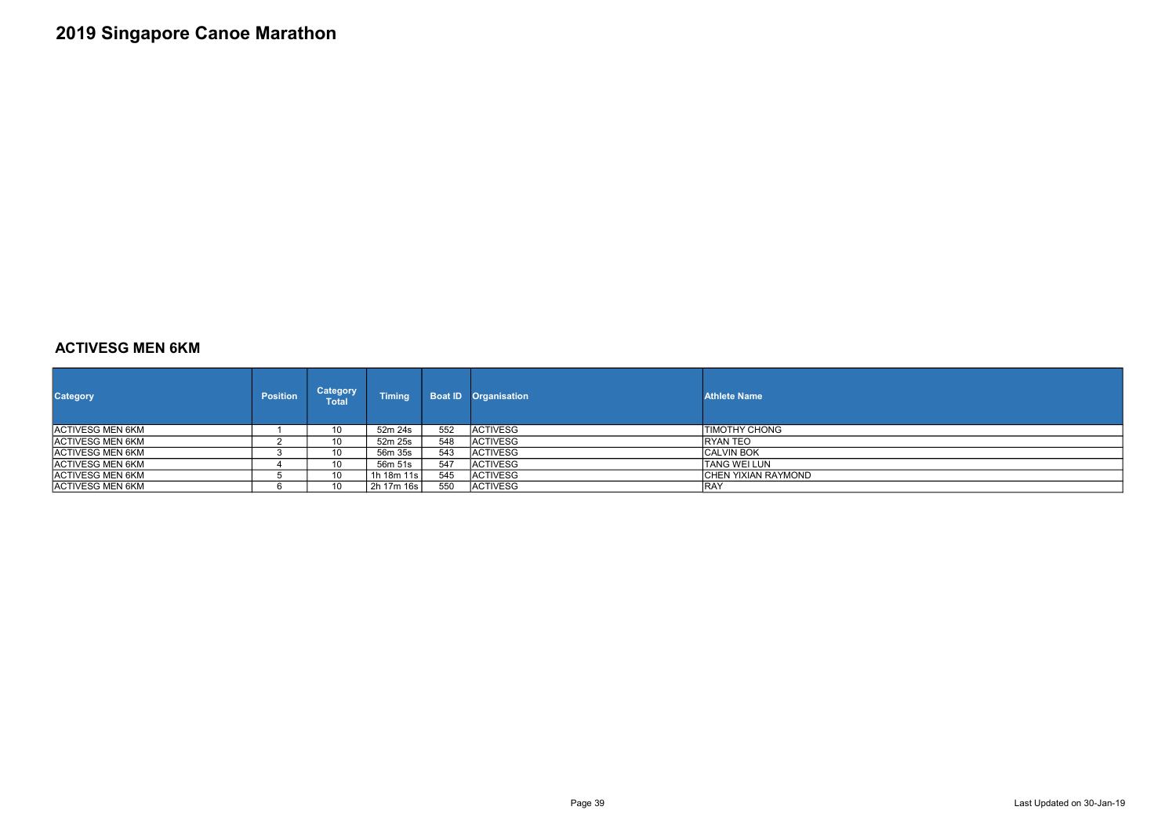### ACTIVESG MEN 6KM

| <b>Category</b>          | <b>Position</b> | <b>Category</b><br>Total | <b>Timing</b> |     | <b>Boat ID Organisation</b> | <b>Athlete Name</b> |
|--------------------------|-----------------|--------------------------|---------------|-----|-----------------------------|---------------------|
| <b>ACTIVESG MEN 6KM</b>  |                 | 10                       | 52m 24s       | 552 | <b>ACTIVESG</b>             | TIMOTHY CHONG       |
| <b>ACTIVESG MEN 6KM</b>  |                 | 10                       | 52m 25s       | 548 | <b>IACTIVESG</b>            | IRYAN TEO           |
| <b>ACTIVESG MEN 6KM</b>  |                 | 10                       | 56m 35s       | 543 | <b>ACTIVESG</b>             | ICALVIN BOK         |
| <b>IACTIVESG MEN 6KM</b> |                 | 10                       | 56m 51s       | 547 | <b>IACTIVESG</b>            | ITANG WEI LUN       |
| <b>ACTIVESG MEN 6KM</b>  |                 | 10                       | 1h 18m 11s l  | 545 | <b>ACTIVESG</b>             | CHEN YIXIAN RAYMOND |
| <b>IACTIVESG MEN 6KM</b> |                 | 10                       | 2h 17m 16s    | 550 | <b>IACTIVESG</b>            | IRAY                |

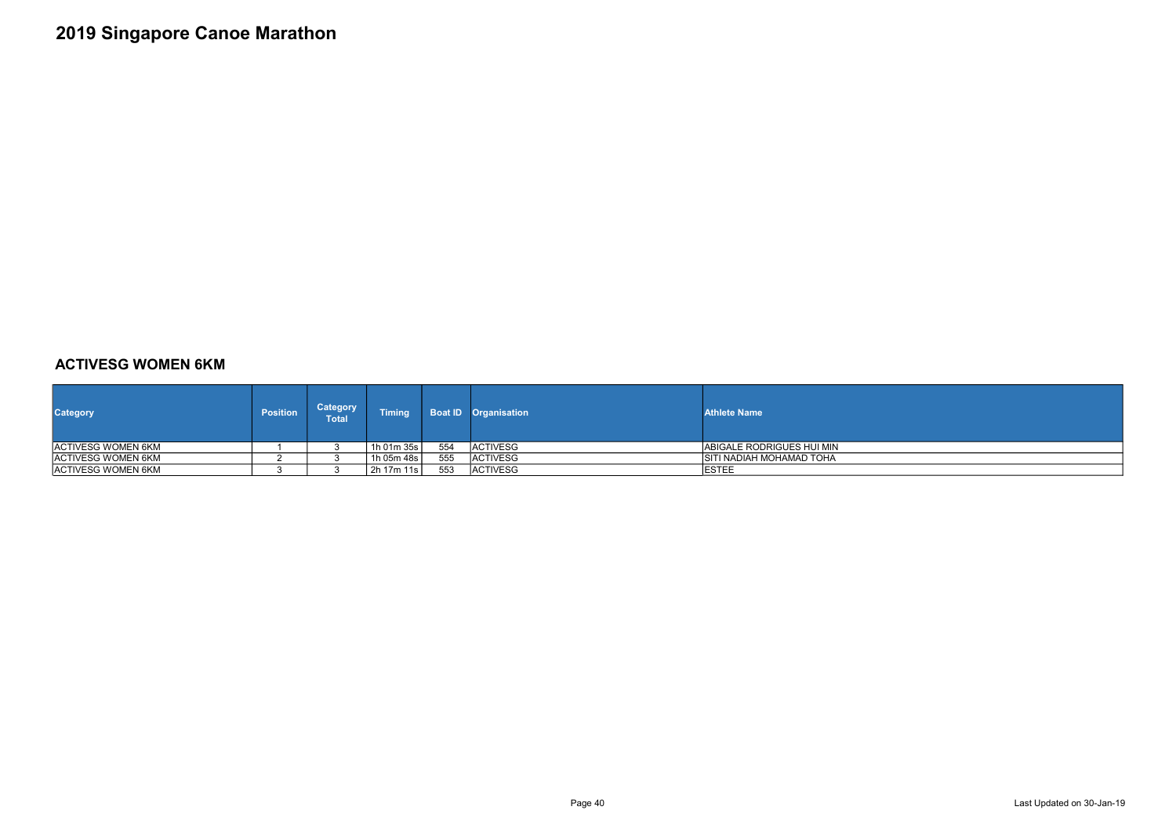#### ACTIVESG WOMEN 6KM

| <b>Category</b>     | <b>Position</b> | <b>Category</b><br>Total | <b>Timing</b> |     | <b>Boat ID</b> Organisation | <b>Athlete Name</b>        |
|---------------------|-----------------|--------------------------|---------------|-----|-----------------------------|----------------------------|
| IACTIVESG WOMEN 6KM |                 |                          | 1h 01m 35s    | 554 | <b>IACTIVESG</b>            | IABIGALE RODRIGUES HUI MIN |
| IACTIVESG WOMEN 6KM |                 |                          | 1h 05m 48s    | 555 | <b>ACTIVESG</b>             | ISITI NADIAH MOHAMAD TOHA  |
| ACTIVESG WOMEN 6KM  |                 |                          | 2h 17m 11s    | 553 | <b>ACTIVESG</b>             | <b>IESTEE</b>              |



Page 40 Last Updated on 30-Jan-19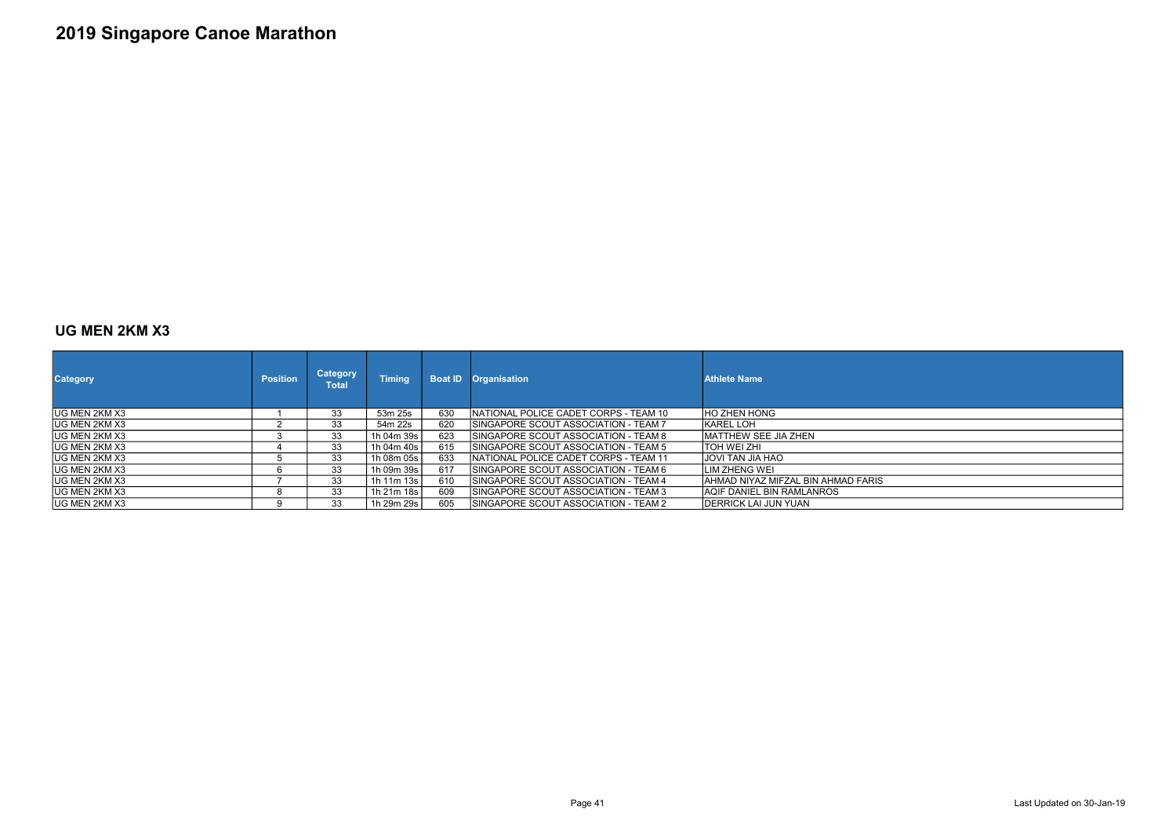#### UG MEN 2KM X3

| <b>Category</b>       | <b>Position</b> | <b>Category</b><br><b>Total</b> | <b>Timing</b> | <b>Boat ID</b> | <b>Organisation</b>                          | <b>Athlete Name</b>                 |
|-----------------------|-----------------|---------------------------------|---------------|----------------|----------------------------------------------|-------------------------------------|
| IUG MEN 2KM X3        |                 | 33                              | 53m 25s       | 630            | NATIONAL POLICE CADET CORPS - TEAM 10        | IHO ZHEN HONG                       |
| <b>IUG MEN 2KM X3</b> |                 | 33                              | 54m 22s       | 620            | <b>ISINGAPORE SCOUT ASSOCIATION - TEAM 7</b> | IKAREL LOH                          |
| IUG MEN 2KM X3        |                 | 33                              | 1h 04m 39s l  | 623            | <b>ISINGAPORE SCOUT ASSOCIATION - TEAM 8</b> | <b>IMATTHEW SEE JIA ZHEN</b>        |
| IUG MEN 2KM X3        |                 | 33                              | 1h 04m 40s l  | 615            | ISINGAPORE SCOUT ASSOCIATION - TEAM 5        | ITOH WEI ZHI                        |
| <b>IUG MEN 2KM X3</b> |                 | 33                              | 1h 08m 05s    | 633            | INATIONAL POLICE CADET CORPS - TEAM 11       | OAH AIL <i>I</i> AT IVOLI           |
| IUG MEN 2KM X3        | 6               | 33                              | 1h 09m 39s l  | 617            | ISINGAPORE SCOUT ASSOCIATION - TEAM 6        | <b>ILIM ZHENG WEI</b>               |
| IUG MEN 2KM X3        |                 | 33                              | 1h 11m 13s l  | 610            | ISINGAPORE SCOUT ASSOCIATION - TEAM 4        | IAHMAD NIYAZ MIFZAL BIN AHMAD FARIS |
| IUG MEN 2KM X3        |                 | 33                              | 1h 21m 18s    | 609            | SINGAPORE SCOUT ASSOCIATION - TEAM 3         | IAQIF DANIEL BIN RAMLANROS          |
| IUG MEN 2KM X3        |                 | 33                              | 1h 29m 29s l  | 605            | ISINGAPORE SCOUT ASSOCIATION - TEAM 2        | IDERRICK LAI JUN YUAN               |

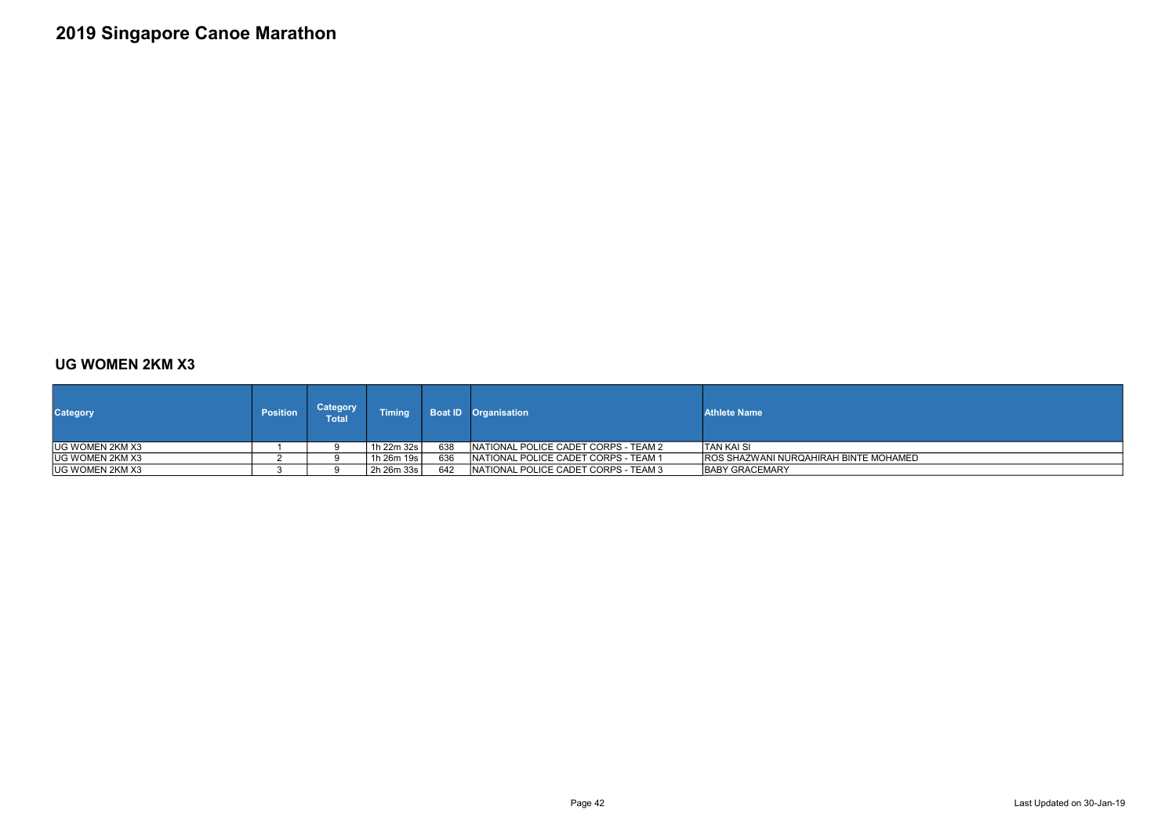#### UG WOMEN 2KM X3

| <b>Category</b>        | <b>Position</b> | <b>Category</b><br><b>Total</b> | <b>Timing</b> |     | <b>Boat ID</b> Organisation                  | <b>Athlete Name</b>                    |
|------------------------|-----------------|---------------------------------|---------------|-----|----------------------------------------------|----------------------------------------|
| IUG WOMEN 2KM X3       |                 |                                 | 1h 22m 32s l  | 638 | <b>INATIONAL POLICE CADET CORPS - TEAM 2</b> | ITAN KAI SI                            |
| <b>UG WOMEN 2KM X3</b> |                 |                                 | 1h 26m 19s l  | 636 | INATIONAL POLICE CADET CORPS - TEAM 1        | IROS SHAZWANI NURQAHIRAH BINTE MOHAMED |
| <b>UG WOMEN 2KM X3</b> |                 |                                 | 2h 26m 33s    | 642 | NATIONAL POLICE CADET CORPS - TEAM 3         | <b>IBABY GRACEMARY</b>                 |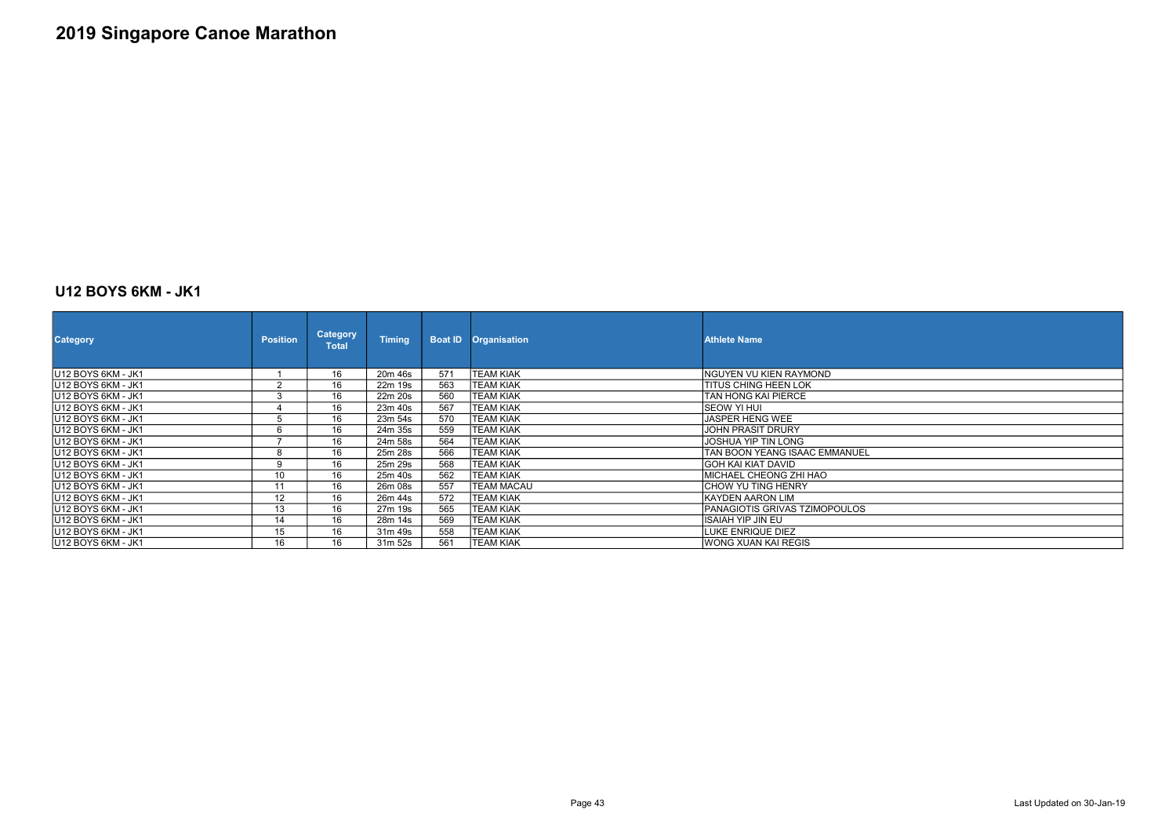### U12 BOYS 6KM - JK1

| <b>Category</b>                | <b>Position</b> | <b>Category</b><br><b>Total</b> | <b>Timing</b> |     | <b>Boat ID Organisation</b> | <b>Athlete Name</b>           |
|--------------------------------|-----------------|---------------------------------|---------------|-----|-----------------------------|-------------------------------|
| IU12 BOYS 6KM - JK1            |                 | 16                              | 20m 46s       | 571 | <b>TEAM KIAK</b>            | INGUYEN VU KIEN RAYMOND       |
| U12 BOYS 6KM - JK1             | $\sim$          | 16                              | 22m 19s       | 563 | <b>TEAM KIAK</b>            | <b>TITUS CHING HEEN LOK</b>   |
| U12 BOYS 6KM - JK1             |                 | 16                              | 22m 20s       | 560 | <b>TEAM KIAK</b>            | TAN HONG KAI PIERCE           |
| U12 BOYS 6KM - JK1             |                 | 16                              | 23m 40s       | 567 | <b>TEAM KIAK</b>            | SEOW YI HUI                   |
| IU12 BOYS 6KM - JK1            |                 | 16                              | 23m 54s       | 570 | <b>TEAM KIAK</b>            | <b>JASPER HENG WEE</b>        |
| U12 BOYS 6KM - JK1             |                 | 16                              | 24m 35s       | 559 | <b>TEAM KIAK</b>            | <b>JOHN PRASIT DRURY</b>      |
| U12 BOYS 6KM - JK1             |                 | 16                              | 24m 58s       | 564 | <b>TEAM KIAK</b>            | JOSHUA YIP TIN LONG           |
| U12 BOYS 6KM - JK1             |                 | 16                              | 25m 28s       | 566 | <b>TEAM KIAK</b>            | TAN BOON YEANG ISAAC EMMANUEL |
| IU12 BOYS 6KM - JK1            | $\Omega$        | 16                              | 25m 29s       | 568 | <b>TEAM KIAK</b>            | IGOH KAI KIAT DAVID           |
| U12 BOYS 6KM - JK1             | 10              | 16                              | 25m 40s       | 562 | <b>TEAM KIAK</b>            | MICHAEL CHEONG ZHI HAO        |
| U12 BOYS 6KM - JK1             | 11              | 16                              | 26m 08s       | 557 | <b>TEAM MACAU</b>           | <b>CHOW YU TING HENRY</b>     |
| IU12 BOYS 6KM - JK1            | 12              | 16                              | 26m 44s       | 572 | <b>TEAM KIAK</b>            | KAYDEN AARON LIM              |
| U12 BOYS 6KM - JK1             | 13              | 16                              | 27m 19s       | 565 | <b>TEAM KIAK</b>            | PANAGIOTIS GRIVAS TZIMOPOULOS |
| U <sub>12</sub> BOYS 6KM - JK1 | 14              | 16                              | 28m 14s       | 569 | <b>TEAM KIAK</b>            | ISAIAH YIP JIN EU             |
| U12 BOYS 6KM - JK1             | 15              | 16                              | 31m 49s       | 558 | <b>TEAM KIAK</b>            | LUKE ENRIQUE DIEZ             |
| U12 BOYS 6KM - JK1             | 16              | 16                              | 31m 52s       | 561 | <b>TEAM KIAK</b>            | IWONG XUAN KAI REGIS          |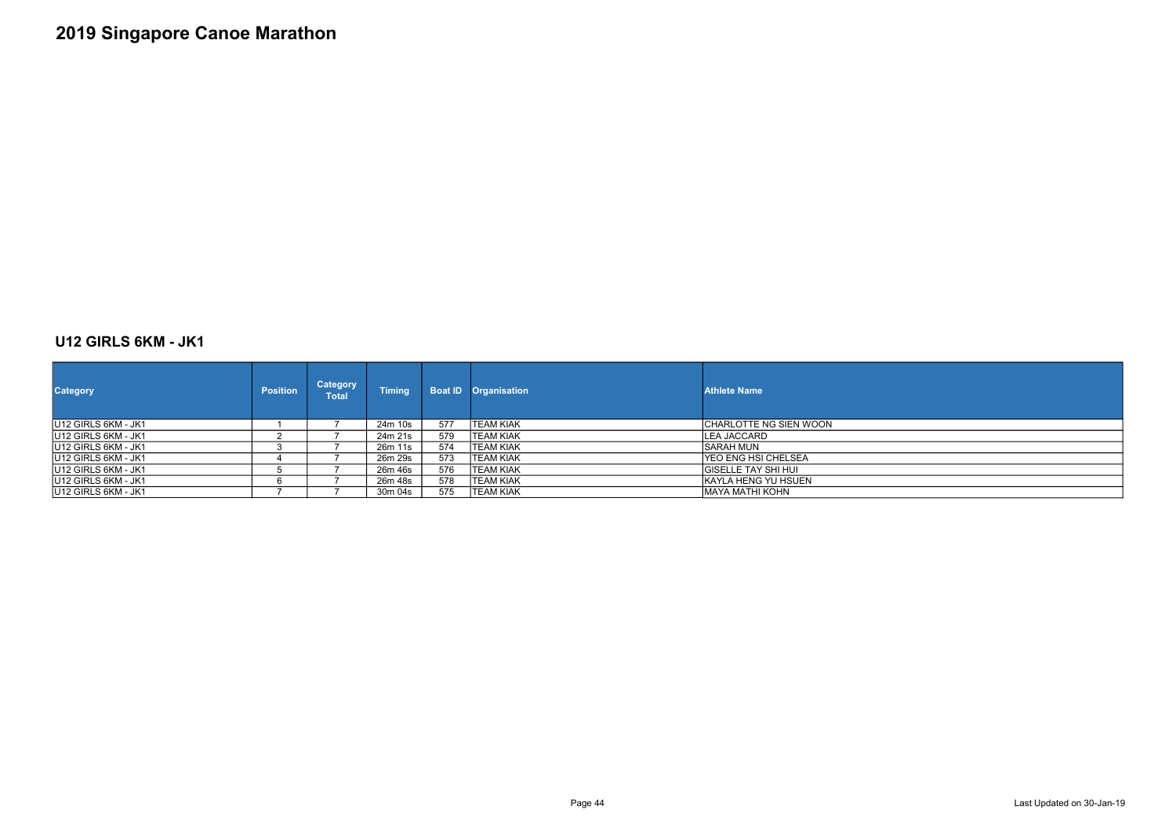### U12 GIRLS 6KM - JK1

| <b>Category</b>             | <b>Position</b> | <b>Category</b><br>Total | <b>Timing</b> | <b>Boat ID</b> | <b>Organisation</b> | <b>Athlete Name</b>        |
|-----------------------------|-----------------|--------------------------|---------------|----------------|---------------------|----------------------------|
| U12 GIRLS 6KM - JK1         |                 |                          | 24m 10s       | 577            | <b>TEAM KIAK</b>    | CHARLOTTE NG SIEN WOON     |
| <b>IU12 GIRLS 6KM - JK1</b> |                 |                          | 24m 21s       | 579            | <b>TEAM KIAK</b>    | <b>LEA JACCARD</b>         |
| <b>IU12 GIRLS 6KM - JK1</b> |                 |                          | 26m 11s       | 574            | <b>TEAM KIAK</b>    | ISARAH MUN                 |
| <b>IU12 GIRLS 6KM - JK1</b> |                 |                          | 26m 29s       | 573            | <b>TEAM KIAK</b>    | IYEO ENG HSI CHELSEA       |
| <b>IU12 GIRLS 6KM - JK1</b> |                 |                          | 26m 46s       | 576            | <b>TEAM KIAK</b>    | <b>GISELLE TAY SHI HUI</b> |
| <b>IU12 GIRLS 6KM - JK1</b> |                 |                          | 26m 48s       | 578            | <b>TEAM KIAK</b>    | IKAYLA HENG YU HSUEN       |
| U12 GIRLS 6KM - JK1         |                 |                          | 30m 04s       | 575            | <b>TEAM KIAK</b>    | MAYA MATHI KOHN            |

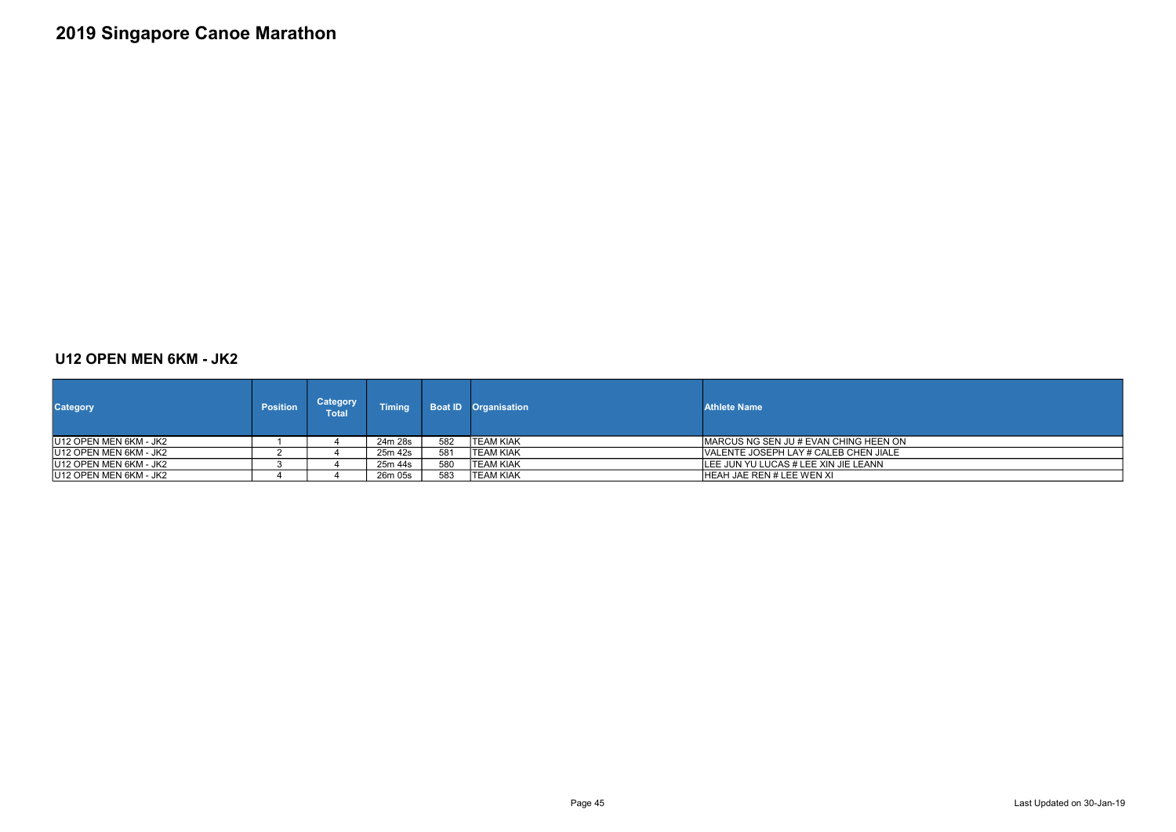### U12 OPEN MEN 6KM - JK2

| <b>Category</b>         | <b>Position</b> | Category<br><b>Total</b> | <b>Timing</b> |     | <b>Boat ID Organisation</b> | <b>Athlete Name</b>                    |
|-------------------------|-----------------|--------------------------|---------------|-----|-----------------------------|----------------------------------------|
| IU12 OPEN MEN 6KM - JK2 |                 |                          | 24m 28s       | 582 | ITEAM KIAK                  | IMARCUS NG SEN JU # EVAN CHING HEEN ON |
| U12 OPEN MEN 6KM - JK2  |                 |                          | 25m 42s       | 581 | ITEAM KIAK                  | IVALENTE JOSEPH LAY # CALEB CHEN JIALE |
| IU12 OPEN MEN 6KM - JK2 |                 |                          | 25m 44s       | 580 | ITEAM KIAK                  | ILEE JUN YU LUCAS # LEE XIN JIE LEANN  |
| IU12 OPEN MEN 6KM - JK2 |                 |                          | 26m 05s       | 583 | <b>ITEAM KIAK</b>           | IHEAH JAE REN # LEE WEN XI             |